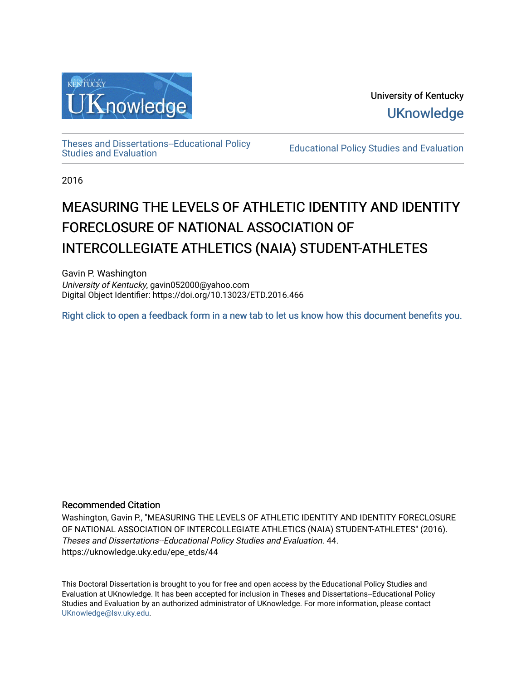

[Theses and Dissertations--Educational Policy](https://uknowledge.uky.edu/epe_etds) 

**Educational Policy Studies and Evaluation** 

2016

# MEASURING THE LEVELS OF ATHLETIC IDENTITY AND IDENTITY FORECLOSURE OF NATIONAL ASSOCIATION OF INTERCOLLEGIATE ATHLETICS (NAIA) STUDENT-ATHLETES

Gavin P. Washington University of Kentucky, gavin052000@yahoo.com Digital Object Identifier: https://doi.org/10.13023/ETD.2016.466

[Right click to open a feedback form in a new tab to let us know how this document benefits you.](https://uky.az1.qualtrics.com/jfe/form/SV_9mq8fx2GnONRfz7)

## Recommended Citation

Washington, Gavin P., "MEASURING THE LEVELS OF ATHLETIC IDENTITY AND IDENTITY FORECLOSURE OF NATIONAL ASSOCIATION OF INTERCOLLEGIATE ATHLETICS (NAIA) STUDENT-ATHLETES" (2016). Theses and Dissertations--Educational Policy Studies and Evaluation. 44. https://uknowledge.uky.edu/epe\_etds/44

This Doctoral Dissertation is brought to you for free and open access by the Educational Policy Studies and Evaluation at UKnowledge. It has been accepted for inclusion in Theses and Dissertations--Educational Policy Studies and Evaluation by an authorized administrator of UKnowledge. For more information, please contact [UKnowledge@lsv.uky.edu.](mailto:UKnowledge@lsv.uky.edu)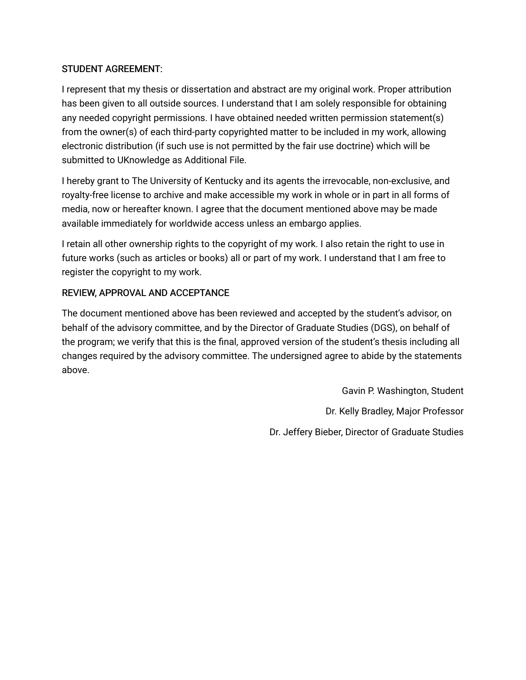# STUDENT AGREEMENT:

I represent that my thesis or dissertation and abstract are my original work. Proper attribution has been given to all outside sources. I understand that I am solely responsible for obtaining any needed copyright permissions. I have obtained needed written permission statement(s) from the owner(s) of each third-party copyrighted matter to be included in my work, allowing electronic distribution (if such use is not permitted by the fair use doctrine) which will be submitted to UKnowledge as Additional File.

I hereby grant to The University of Kentucky and its agents the irrevocable, non-exclusive, and royalty-free license to archive and make accessible my work in whole or in part in all forms of media, now or hereafter known. I agree that the document mentioned above may be made available immediately for worldwide access unless an embargo applies.

I retain all other ownership rights to the copyright of my work. I also retain the right to use in future works (such as articles or books) all or part of my work. I understand that I am free to register the copyright to my work.

# REVIEW, APPROVAL AND ACCEPTANCE

The document mentioned above has been reviewed and accepted by the student's advisor, on behalf of the advisory committee, and by the Director of Graduate Studies (DGS), on behalf of the program; we verify that this is the final, approved version of the student's thesis including all changes required by the advisory committee. The undersigned agree to abide by the statements above.

> Gavin P. Washington, Student Dr. Kelly Bradley, Major Professor Dr. Jeffery Bieber, Director of Graduate Studies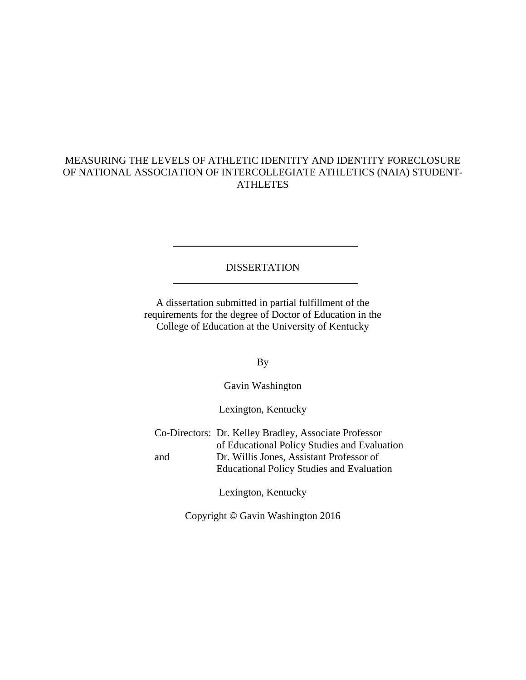# MEASURING THE LEVELS OF ATHLETIC IDENTITY AND IDENTITY FORECLOSURE OF NATIONAL ASSOCIATION OF INTERCOLLEGIATE ATHLETICS (NAIA) STUDENT-ATHLETES

## **DISSERTATION**

A dissertation submitted in partial fulfillment of the requirements for the degree of Doctor of Education in the College of Education at the University of Kentucky

By

Gavin Washington

Lexington, Kentucky

Co-Directors: Dr. Kelley Bradley, Associate Professor of Educational Policy Studies and Evaluation and Dr. Willis Jones, Assistant Professor of Educational Policy Studies and Evaluation

Lexington, Kentucky

Copyright © Gavin Washington 2016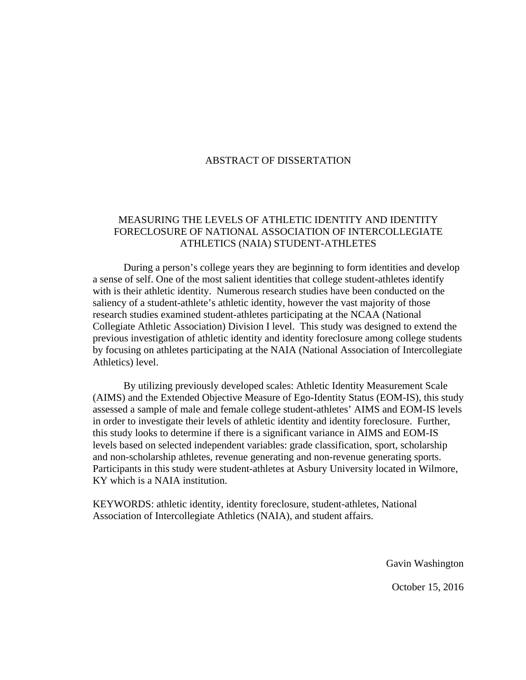## ABSTRACT OF DISSERTATION

## MEASURING THE LEVELS OF ATHLETIC IDENTITY AND IDENTITY FORECLOSURE OF NATIONAL ASSOCIATION OF INTERCOLLEGIATE ATHLETICS (NAIA) STUDENT-ATHLETES

During a person's college years they are beginning to form identities and develop a sense of self. One of the most salient identities that college student-athletes identify with is their athletic identity. Numerous research studies have been conducted on the saliency of a student-athlete's athletic identity, however the vast majority of those research studies examined student-athletes participating at the NCAA (National Collegiate Athletic Association) Division I level. This study was designed to extend the previous investigation of athletic identity and identity foreclosure among college students by focusing on athletes participating at the NAIA (National Association of Intercollegiate Athletics) level.

By utilizing previously developed scales: Athletic Identity Measurement Scale (AIMS) and the Extended Objective Measure of Ego-Identity Status (EOM-IS), this study assessed a sample of male and female college student-athletes' AIMS and EOM-IS levels in order to investigate their levels of athletic identity and identity foreclosure. Further, this study looks to determine if there is a significant variance in AIMS and EOM-IS levels based on selected independent variables: grade classification, sport, scholarship and non-scholarship athletes, revenue generating and non-revenue generating sports. Participants in this study were student-athletes at Asbury University located in Wilmore, KY which is a NAIA institution.

KEYWORDS: athletic identity, identity foreclosure, student-athletes, National Association of Intercollegiate Athletics (NAIA), and student affairs.

Gavin Washington

October 15, 2016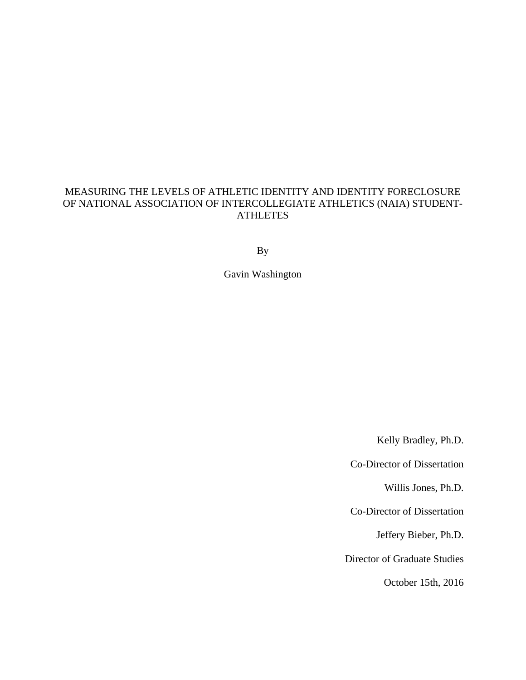# MEASURING THE LEVELS OF ATHLETIC IDENTITY AND IDENTITY FORECLOSURE OF NATIONAL ASSOCIATION OF INTERCOLLEGIATE ATHLETICS (NAIA) STUDENT-**ATHLETES**

By

Gavin Washington

Kelly Bradley, Ph.D.

Co-Director of Dissertation

Willis Jones, Ph.D.

Co-Director of Dissertation

Jeffery Bieber, Ph.D.

Director of Graduate Studies

October 15th, 2016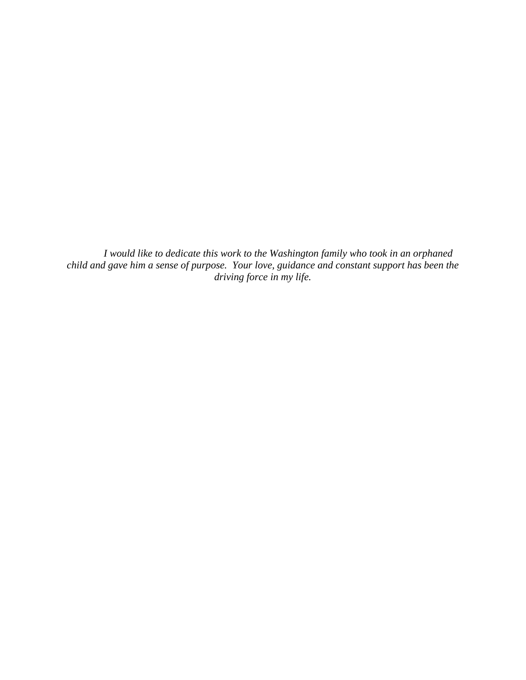*I would like to dedicate this work to the Washington family who took in an orphaned child and gave him a sense of purpose. Your love, guidance and constant support has been the driving force in my life.*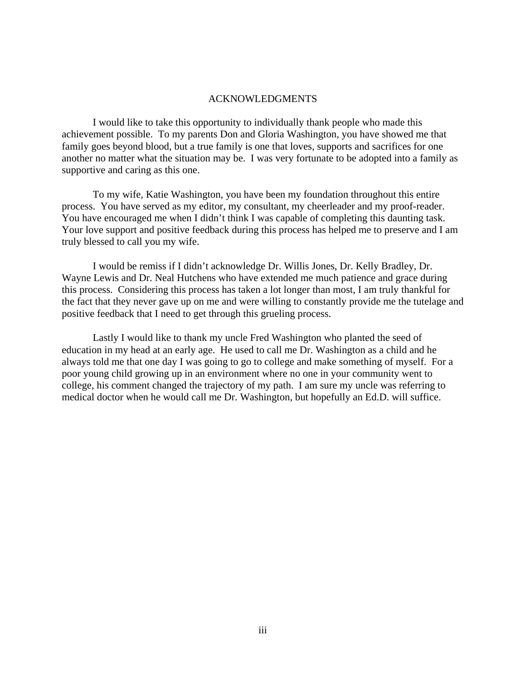#### ACKNOWLEDGMENTS

I would like to take this opportunity to individually thank people who made this achievement possible. To my parents Don and Gloria Washington, you have showed me that family goes beyond blood, but a true family is one that loves, supports and sacrifices for one another no matter what the situation may be. I was very fortunate to be adopted into a family as supportive and caring as this one.

To my wife, Katie Washington, you have been my foundation throughout this entire process. You have served as my editor, my consultant, my cheerleader and my proof-reader. You have encouraged me when I didn't think I was capable of completing this daunting task. Your love support and positive feedback during this process has helped me to preserve and I am truly blessed to call you my wife.

I would be remiss if I didn't acknowledge Dr. Willis Jones, Dr. Kelly Bradley, Dr. Wayne Lewis and Dr. Neal Hutchens who have extended me much patience and grace during this process. Considering this process has taken a lot longer than most, I am truly thankful for the fact that they never gave up on me and were willing to constantly provide me the tutelage and positive feedback that I need to get through this grueling process.

Lastly I would like to thank my uncle Fred Washington who planted the seed of education in my head at an early age. He used to call me Dr. Washington as a child and he always told me that one day I was going to go to college and make something of myself. For a poor young child growing up in an environment where no one in your community went to college, his comment changed the trajectory of my path. I am sure my uncle was referring to medical doctor when he would call me Dr. Washington, but hopefully an Ed.D. will suffice.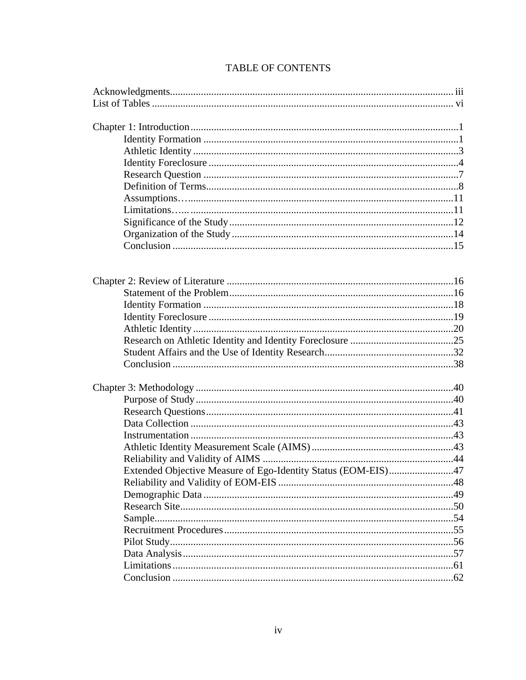| Extended Objective Measure of Ego-Identity Status (EOM-EIS)47 |  |
|---------------------------------------------------------------|--|
|                                                               |  |
|                                                               |  |
|                                                               |  |
|                                                               |  |
|                                                               |  |
|                                                               |  |
|                                                               |  |
|                                                               |  |
|                                                               |  |
|                                                               |  |

# TABLE OF CONTENTS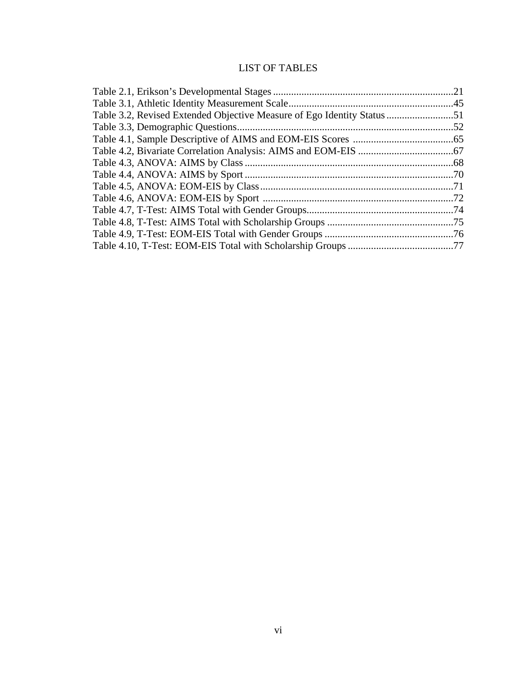# LIST OF TABLES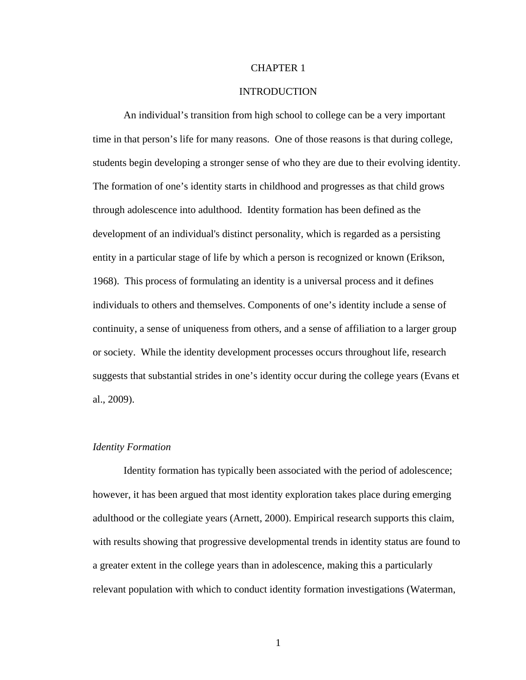#### CHAPTER 1

## INTRODUCTION

An individual's transition from high school to college can be a very important time in that person's life for many reasons. One of those reasons is that during college, students begin developing a stronger sense of who they are due to their evolving identity. The formation of one's identity starts in childhood and progresses as that child grows through adolescence into adulthood. Identity formation has been defined as the development of an individual's distinct personality, which is regarded as a persisting entity in a particular stage of life by which a person is recognized or known (Erikson, 1968). This process of formulating an identity is a universal process and it defines individuals to others and themselves. Components of one's identity include a sense of continuity, a sense of uniqueness from others, and a sense of affiliation to a larger group or society. While the identity development processes occurs throughout life, research suggests that substantial strides in one's identity occur during the college years (Evans et al., 2009).

#### *Identity Formation*

Identity formation has typically been associated with the period of adolescence; however, it has been argued that most identity exploration takes place during emerging adulthood or the collegiate years (Arnett, 2000). Empirical research supports this claim, with results showing that progressive developmental trends in identity status are found to a greater extent in the college years than in adolescence, making this a particularly relevant population with which to conduct identity formation investigations (Waterman,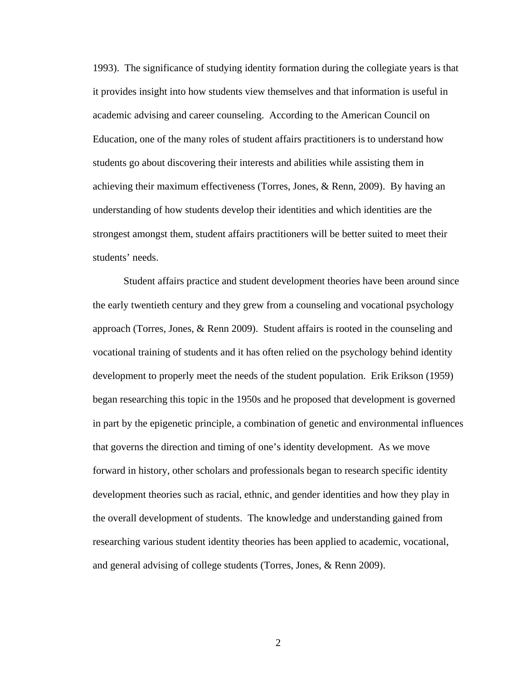1993). The significance of studying identity formation during the collegiate years is that it provides insight into how students view themselves and that information is useful in academic advising and career counseling. According to the American Council on Education, one of the many roles of student affairs practitioners is to understand how students go about discovering their interests and abilities while assisting them in achieving their maximum effectiveness (Torres, Jones, & Renn, 2009). By having an understanding of how students develop their identities and which identities are the strongest amongst them, student affairs practitioners will be better suited to meet their students' needs.

Student affairs practice and student development theories have been around since the early twentieth century and they grew from a counseling and vocational psychology approach (Torres, Jones, & Renn 2009). Student affairs is rooted in the counseling and vocational training of students and it has often relied on the psychology behind identity development to properly meet the needs of the student population. Erik Erikson (1959) began researching this topic in the 1950s and he proposed that development is governed in part by the epigenetic principle, a combination of genetic and environmental influences that governs the direction and timing of one's identity development. As we move forward in history, other scholars and professionals began to research specific identity development theories such as racial, ethnic, and gender identities and how they play in the overall development of students. The knowledge and understanding gained from researching various student identity theories has been applied to academic, vocational, and general advising of college students (Torres, Jones, & Renn 2009).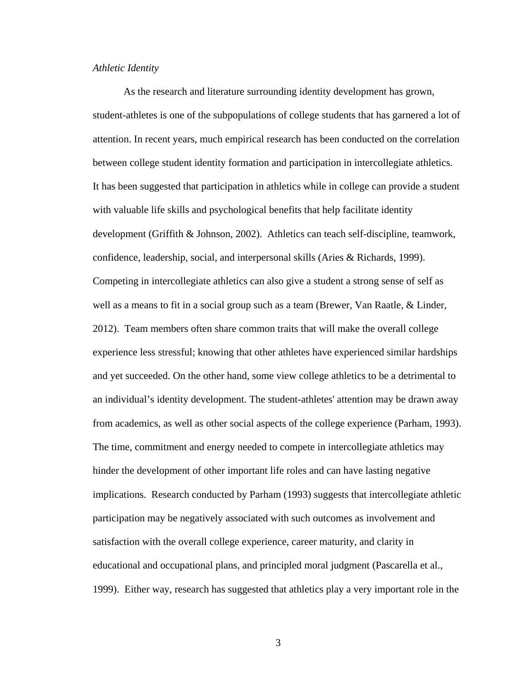#### *Athletic Identity*

As the research and literature surrounding identity development has grown, student-athletes is one of the subpopulations of college students that has garnered a lot of attention. In recent years, much empirical research has been conducted on the correlation between college student identity formation and participation in intercollegiate athletics. It has been suggested that participation in athletics while in college can provide a student with valuable life skills and psychological benefits that help facilitate identity development (Griffith & Johnson, 2002). Athletics can teach self-discipline, teamwork, confidence, leadership, social, and interpersonal skills (Aries & Richards, 1999). Competing in intercollegiate athletics can also give a student a strong sense of self as well as a means to fit in a social group such as a team (Brewer, Van Raatle, & Linder, 2012). Team members often share common traits that will make the overall college experience less stressful; knowing that other athletes have experienced similar hardships and yet succeeded. On the other hand, some view college athletics to be a detrimental to an individual's identity development. The student-athletes' attention may be drawn away from academics, as well as other social aspects of the college experience (Parham, 1993). The time, commitment and energy needed to compete in intercollegiate athletics may hinder the development of other important life roles and can have lasting negative implications. Research conducted by Parham (1993) suggests that intercollegiate athletic participation may be negatively associated with such outcomes as involvement and satisfaction with the overall college experience, career maturity, and clarity in educational and occupational plans, and principled moral judgment (Pascarella et al., 1999). Either way, research has suggested that athletics play a very important role in the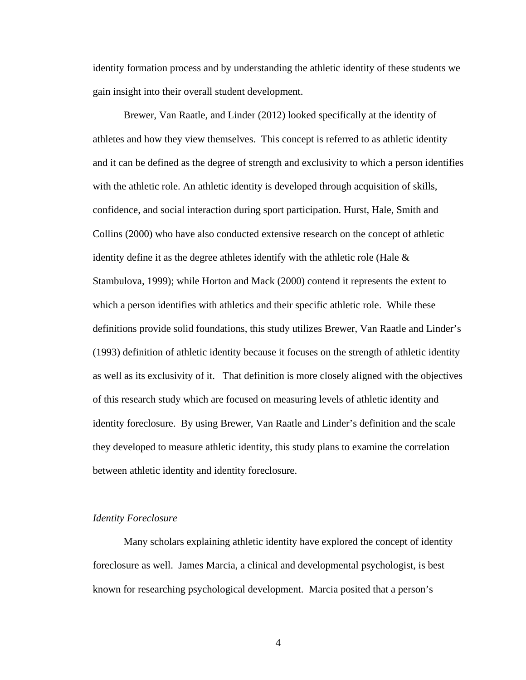identity formation process and by understanding the athletic identity of these students we gain insight into their overall student development.

Brewer, Van Raatle, and Linder (2012) looked specifically at the identity of athletes and how they view themselves. This concept is referred to as athletic identity and it can be defined as the degree of strength and exclusivity to which a person identifies with the athletic role. An athletic identity is developed through acquisition of skills, confidence, and social interaction during sport participation. Hurst, Hale, Smith and Collins (2000) who have also conducted extensive research on the concept of athletic identity define it as the degree athletes identify with the athletic role (Hale  $\&$ Stambulova, 1999); while Horton and Mack (2000) contend it represents the extent to which a person identifies with athletics and their specific athletic role. While these definitions provide solid foundations, this study utilizes Brewer, Van Raatle and Linder's (1993) definition of athletic identity because it focuses on the strength of athletic identity as well as its exclusivity of it. That definition is more closely aligned with the objectives of this research study which are focused on measuring levels of athletic identity and identity foreclosure. By using Brewer, Van Raatle and Linder's definition and the scale they developed to measure athletic identity, this study plans to examine the correlation between athletic identity and identity foreclosure.

#### *Identity Foreclosure*

Many scholars explaining athletic identity have explored the concept of identity foreclosure as well. James Marcia, a clinical and developmental psychologist, is best known for researching psychological development. Marcia posited that a person's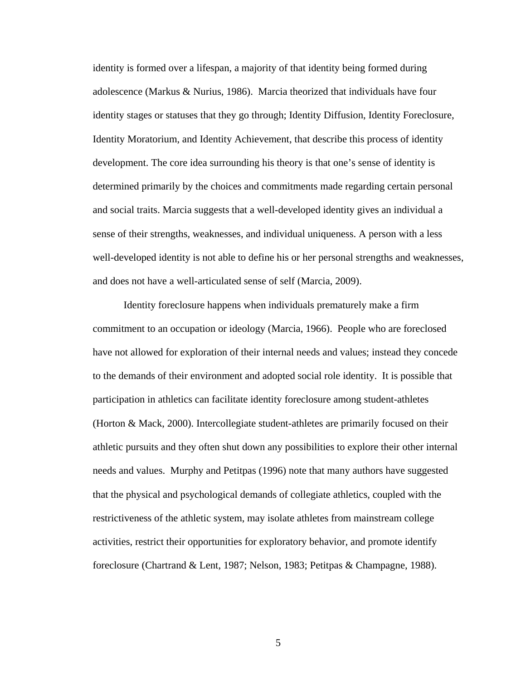identity is formed over a lifespan, a majority of that identity being formed during adolescence (Markus & Nurius, 1986). Marcia theorized that individuals have four identity stages or statuses that they go through; Identity Diffusion, Identity Foreclosure, Identity Moratorium, and Identity Achievement, that describe this process of identity development. The core idea surrounding his theory is that one's sense of identity is determined primarily by the choices and commitments made regarding certain personal and social traits. Marcia suggests that a well-developed identity gives an individual a sense of their strengths, weaknesses, and individual uniqueness. A person with a less well-developed identity is not able to define his or her personal strengths and weaknesses, and does not have a well-articulated sense of self (Marcia, 2009).

Identity foreclosure happens when individuals prematurely make a firm commitment to an occupation or ideology (Marcia, 1966). People who are foreclosed have not allowed for exploration of their internal needs and values; instead they concede to the demands of their environment and adopted social role identity. It is possible that participation in athletics can facilitate identity foreclosure among student-athletes (Horton & Mack, 2000). Intercollegiate student-athletes are primarily focused on their athletic pursuits and they often shut down any possibilities to explore their other internal needs and values. Murphy and Petitpas (1996) note that many authors have suggested that the physical and psychological demands of collegiate athletics, coupled with the restrictiveness of the athletic system, may isolate athletes from mainstream college activities, restrict their opportunities for exploratory behavior, and promote identify foreclosure (Chartrand & Lent, 1987; Nelson, 1983; Petitpas & Champagne, 1988).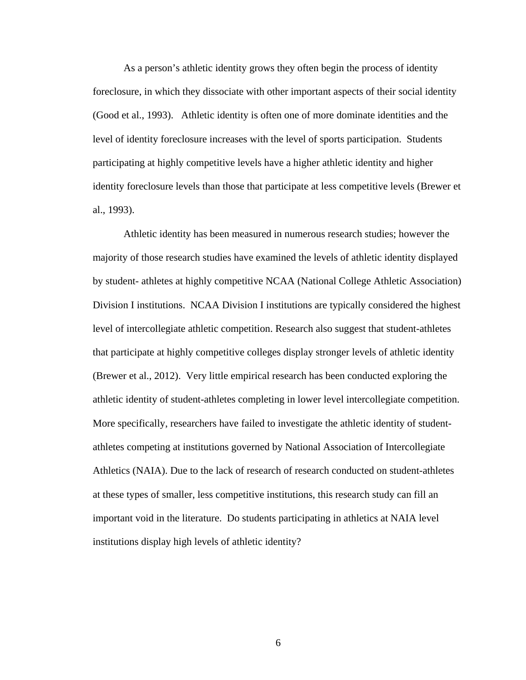As a person's athletic identity grows they often begin the process of identity foreclosure, in which they dissociate with other important aspects of their social identity (Good et al., 1993). Athletic identity is often one of more dominate identities and the level of identity foreclosure increases with the level of sports participation. Students participating at highly competitive levels have a higher athletic identity and higher identity foreclosure levels than those that participate at less competitive levels (Brewer et al., 1993).

Athletic identity has been measured in numerous research studies; however the majority of those research studies have examined the levels of athletic identity displayed by student- athletes at highly competitive NCAA (National College Athletic Association) Division I institutions. NCAA Division I institutions are typically considered the highest level of intercollegiate athletic competition. Research also suggest that student-athletes that participate at highly competitive colleges display stronger levels of athletic identity (Brewer et al., 2012). Very little empirical research has been conducted exploring the athletic identity of student-athletes completing in lower level intercollegiate competition. More specifically, researchers have failed to investigate the athletic identity of studentathletes competing at institutions governed by National Association of Intercollegiate Athletics (NAIA). Due to the lack of research of research conducted on student-athletes at these types of smaller, less competitive institutions, this research study can fill an important void in the literature. Do students participating in athletics at NAIA level institutions display high levels of athletic identity?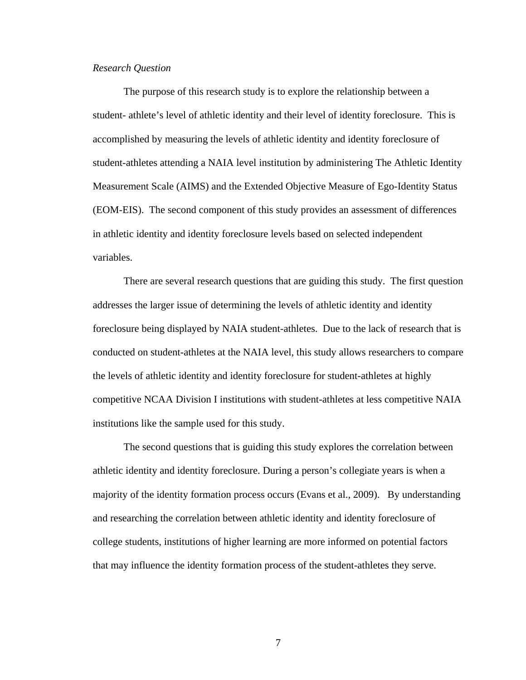#### *Research Question*

The purpose of this research study is to explore the relationship between a student- athlete's level of athletic identity and their level of identity foreclosure. This is accomplished by measuring the levels of athletic identity and identity foreclosure of student-athletes attending a NAIA level institution by administering The Athletic Identity Measurement Scale (AIMS) and the Extended Objective Measure of Ego-Identity Status (EOM-EIS). The second component of this study provides an assessment of differences in athletic identity and identity foreclosure levels based on selected independent variables.

There are several research questions that are guiding this study. The first question addresses the larger issue of determining the levels of athletic identity and identity foreclosure being displayed by NAIA student-athletes. Due to the lack of research that is conducted on student-athletes at the NAIA level, this study allows researchers to compare the levels of athletic identity and identity foreclosure for student-athletes at highly competitive NCAA Division I institutions with student-athletes at less competitive NAIA institutions like the sample used for this study.

The second questions that is guiding this study explores the correlation between athletic identity and identity foreclosure. During a person's collegiate years is when a majority of the identity formation process occurs (Evans et al., 2009). By understanding and researching the correlation between athletic identity and identity foreclosure of college students, institutions of higher learning are more informed on potential factors that may influence the identity formation process of the student-athletes they serve.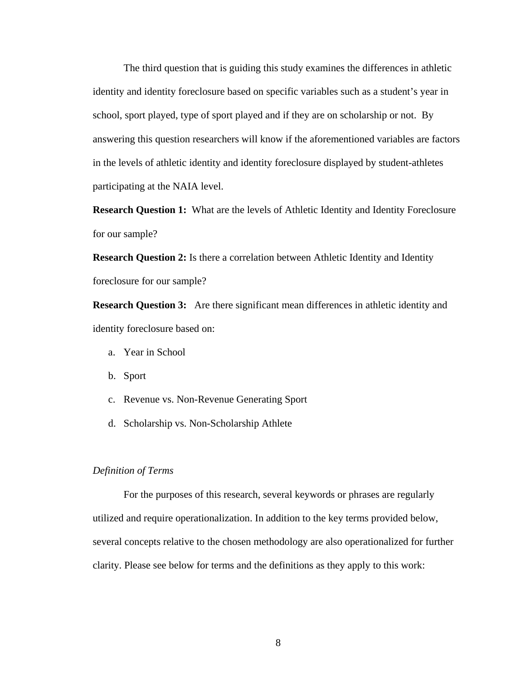The third question that is guiding this study examines the differences in athletic identity and identity foreclosure based on specific variables such as a student's year in school, sport played, type of sport played and if they are on scholarship or not. By answering this question researchers will know if the aforementioned variables are factors in the levels of athletic identity and identity foreclosure displayed by student-athletes participating at the NAIA level.

**Research Question 1:** What are the levels of Athletic Identity and Identity Foreclosure for our sample?

**Research Question 2:** Is there a correlation between Athletic Identity and Identity foreclosure for our sample?

**Research Question 3:** Are there significant mean differences in athletic identity and identity foreclosure based on:

- a. Year in School
- b. Sport
- c. Revenue vs. Non-Revenue Generating Sport
- d. Scholarship vs. Non-Scholarship Athlete

## *Definition of Terms*

For the purposes of this research, several keywords or phrases are regularly utilized and require operationalization. In addition to the key terms provided below, several concepts relative to the chosen methodology are also operationalized for further clarity. Please see below for terms and the definitions as they apply to this work: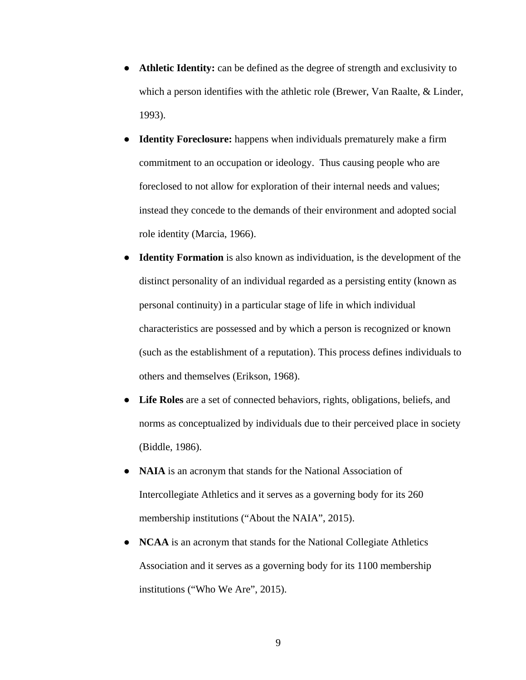- Athletic **Identity:** can be defined as the degree of strength and exclusivity to which a person identifies with the athletic role (Brewer, Van Raalte, & Linder, 1993).
- **Identity Foreclosure:** happens when individuals prematurely make a firm commitment to an occupation or ideology. Thus causing people who are foreclosed to not allow for exploration of their internal needs and values; instead they concede to the demands of their environment and adopted social role identity (Marcia, 1966).
- **Identity Formation** is also known as individuation, is the development of the distinct personality of an individual regarded as a persisting entity (known as personal continuity) in a particular stage of life in which individual characteristics are possessed and by which a person is recognized or known (such as the establishment of a reputation). This process defines individuals to others and themselves (Erikson, 1968).
- **Life Roles** are a set of connected [behaviors,](https://en.wikipedia.org/wiki/Behaviour) [rights,](https://en.wikipedia.org/wiki/Rights) [obligations,](https://en.wikipedia.org/wiki/Moral_obligation) beliefs, and norms as conceptualized by individuals due to their perceived place in society (Biddle, 1986).
- **NAIA** is an acronym that stands for the National Association of Intercollegiate Athletics and it serves as a governing body for its 260 membership institutions ("About the NAIA", 2015).
- **NCAA** is an acronym that stands for the National Collegiate Athletics Association and it serves as a governing body for its 1100 membership institutions ("Who We Are", 2015).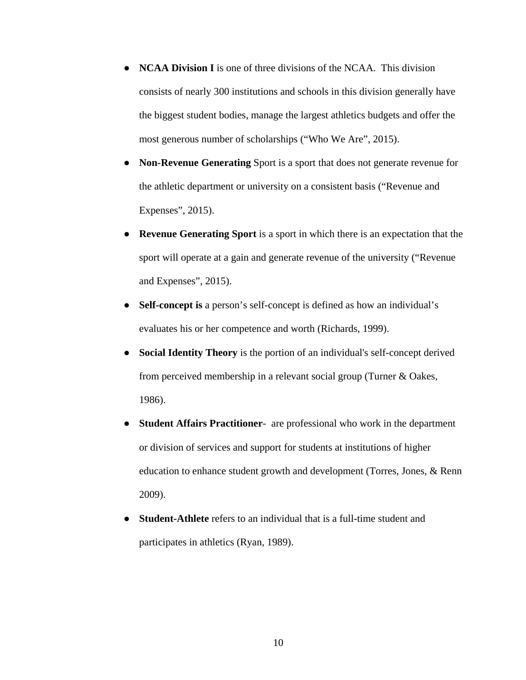- **NCAA Division I** is one of three divisions of the NCAA. This division consists of nearly 300 institutions and schools in this division generally have the biggest student bodies, manage the largest athletics budgets and offer the most generous number of scholarships ("Who We Are", 2015).
- **Non-Revenue Generating** Sport is a sport that does not generate revenue for the athletic department or university on a consistent basis ("Revenue and Expenses", 2015).
- **Revenue Generating Sport** is a sport in which there is an expectation that the sport will operate at a gain and generate revenue of the university ("Revenue and Expenses", 2015).
- **Self-concept is** a person's self-concept is defined as how an individual's evaluates his or her competence and worth (Richards, 1999).
- **Social Identity Theory** is the portion of an individual's self-concept derived from perceived membership in a relevant social group (Turner & Oakes, 1986).
- **Student Affairs Practitioner-** are professional who work in the department or division of services and support for students at institutions of higher education to enhance student growth and development (Torres, Jones, & Renn 2009).
- **Student-Athlete** refers to an individual that is a full-time student and participates in athletics (Ryan, 1989).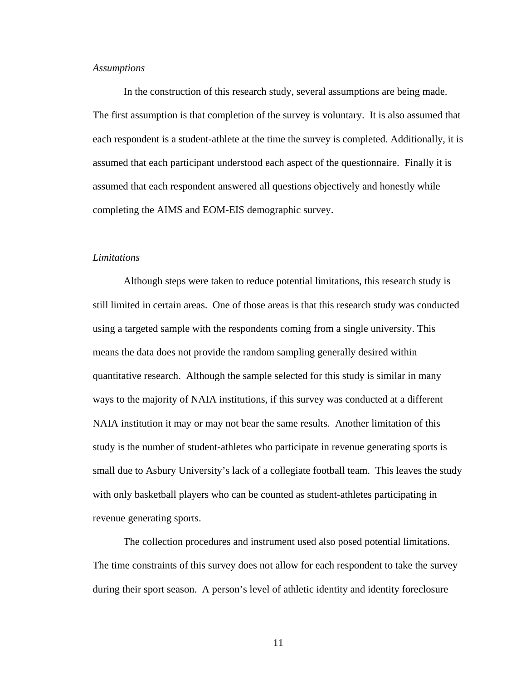#### *Assumptions*

In the construction of this research study, several assumptions are being made. The first assumption is that completion of the survey is voluntary. It is also assumed that each respondent is a student-athlete at the time the survey is completed. Additionally, it is assumed that each participant understood each aspect of the questionnaire. Finally it is assumed that each respondent answered all questions objectively and honestly while completing the AIMS and EOM-EIS demographic survey.

#### *Limitations*

Although steps were taken to reduce potential limitations, this research study is still limited in certain areas. One of those areas is that this research study was conducted using a targeted sample with the respondents coming from a single university. This means the data does not provide the random sampling generally desired within quantitative research. Although the sample selected for this study is similar in many ways to the majority of NAIA institutions, if this survey was conducted at a different NAIA institution it may or may not bear the same results. Another limitation of this study is the number of student-athletes who participate in revenue generating sports is small due to Asbury University's lack of a collegiate football team. This leaves the study with only basketball players who can be counted as student-athletes participating in revenue generating sports.

The collection procedures and instrument used also posed potential limitations. The time constraints of this survey does not allow for each respondent to take the survey during their sport season. A person's level of athletic identity and identity foreclosure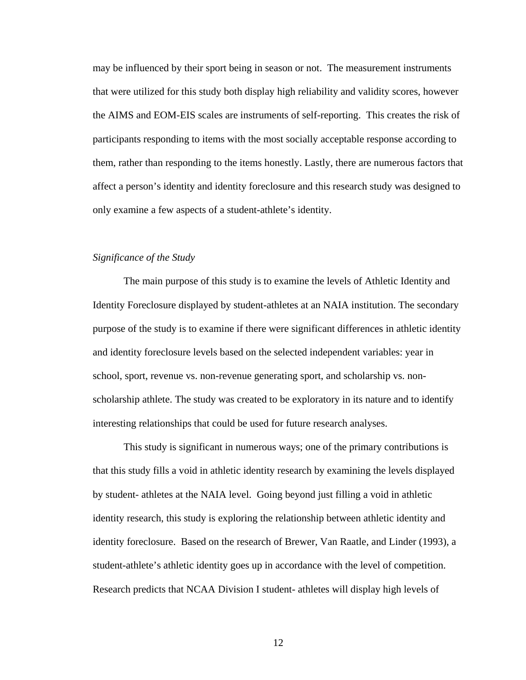may be influenced by their sport being in season or not. The measurement instruments that were utilized for this study both display high reliability and validity scores, however the AIMS and EOM-EIS scales are instruments of self-reporting. This creates the risk of participants responding to items with the most socially acceptable response according to them, rather than responding to the items honestly. Lastly, there are numerous factors that affect a person's identity and identity foreclosure and this research study was designed to only examine a few aspects of a student-athlete's identity.

#### *Significance of the Study*

The main purpose of this study is to examine the levels of Athletic Identity and Identity Foreclosure displayed by student-athletes at an NAIA institution. The secondary purpose of the study is to examine if there were significant differences in athletic identity and identity foreclosure levels based on the selected independent variables: year in school, sport, revenue vs. non-revenue generating sport, and scholarship vs. nonscholarship athlete. The study was created to be exploratory in its nature and to identify interesting relationships that could be used for future research analyses.

This study is significant in numerous ways; one of the primary contributions is that this study fills a void in athletic identity research by examining the levels displayed by student- athletes at the NAIA level. Going beyond just filling a void in athletic identity research, this study is exploring the relationship between athletic identity and identity foreclosure. Based on the research of Brewer, Van Raatle, and Linder (1993), a student-athlete's athletic identity goes up in accordance with the level of competition. Research predicts that NCAA Division I student- athletes will display high levels of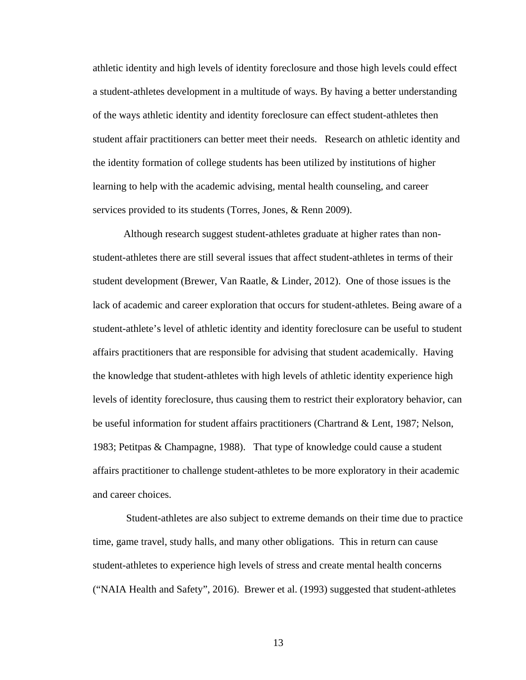athletic identity and high levels of identity foreclosure and those high levels could effect a student-athletes development in a multitude of ways. By having a better understanding of the ways athletic identity and identity foreclosure can effect student-athletes then student affair practitioners can better meet their needs. Research on athletic identity and the identity formation of college students has been utilized by institutions of higher learning to help with the academic advising, mental health counseling, and career services provided to its students (Torres, Jones, & Renn 2009).

Although research suggest student-athletes graduate at higher rates than nonstudent-athletes there are still several issues that affect student-athletes in terms of their student development (Brewer, Van Raatle, & Linder, 2012). One of those issues is the lack of academic and career exploration that occurs for student-athletes. Being aware of a student-athlete's level of athletic identity and identity foreclosure can be useful to student affairs practitioners that are responsible for advising that student academically. Having the knowledge that student-athletes with high levels of athletic identity experience high levels of identity foreclosure, thus causing them to restrict their exploratory behavior, can be useful information for student affairs practitioners (Chartrand & Lent, 1987; Nelson, 1983; Petitpas & Champagne, 1988). That type of knowledge could cause a student affairs practitioner to challenge student-athletes to be more exploratory in their academic and career choices.

Student-athletes are also subject to extreme demands on their time due to practice time, game travel, study halls, and many other obligations. This in return can cause student-athletes to experience high levels of stress and create mental health concerns ("NAIA Health and Safety", 2016). Brewer et al. (1993) suggested that student-athletes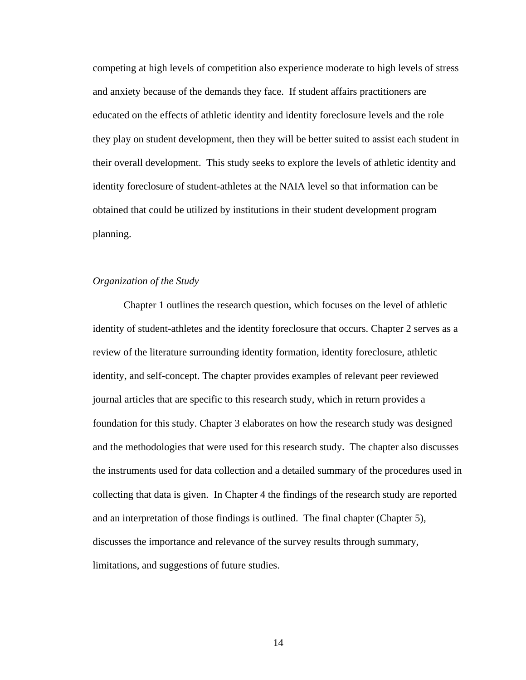competing at high levels of competition also experience moderate to high levels of stress and anxiety because of the demands they face. If student affairs practitioners are educated on the effects of athletic identity and identity foreclosure levels and the role they play on student development, then they will be better suited to assist each student in their overall development. This study seeks to explore the levels of athletic identity and identity foreclosure of student-athletes at the NAIA level so that information can be obtained that could be utilized by institutions in their student development program planning.

#### *Organization of the Study*

Chapter 1 outlines the research question, which focuses on the level of athletic identity of student-athletes and the identity foreclosure that occurs. Chapter 2 serves as a review of the literature surrounding identity formation, identity foreclosure, athletic identity, and self-concept. The chapter provides examples of relevant peer reviewed journal articles that are specific to this research study, which in return provides a foundation for this study. Chapter 3 elaborates on how the research study was designed and the methodologies that were used for this research study. The chapter also discusses the instruments used for data collection and a detailed summary of the procedures used in collecting that data is given. In Chapter 4 the findings of the research study are reported and an interpretation of those findings is outlined. The final chapter (Chapter 5), discusses the importance and relevance of the survey results through summary, limitations, and suggestions of future studies.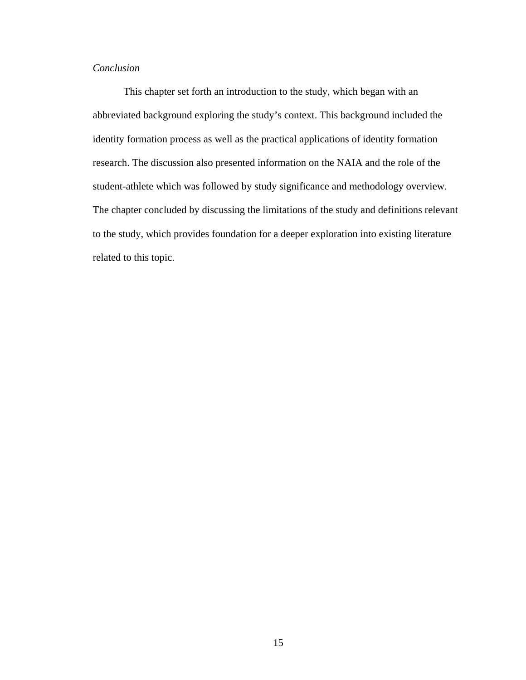# *Conclusion*

This chapter set forth an introduction to the study, which began with an abbreviated background exploring the study's context. This background included the identity formation process as well as the practical applications of identity formation research. The discussion also presented information on the NAIA and the role of the student-athlete which was followed by study significance and methodology overview. The chapter concluded by discussing the limitations of the study and definitions relevant to the study, which provides foundation for a deeper exploration into existing literature related to this topic.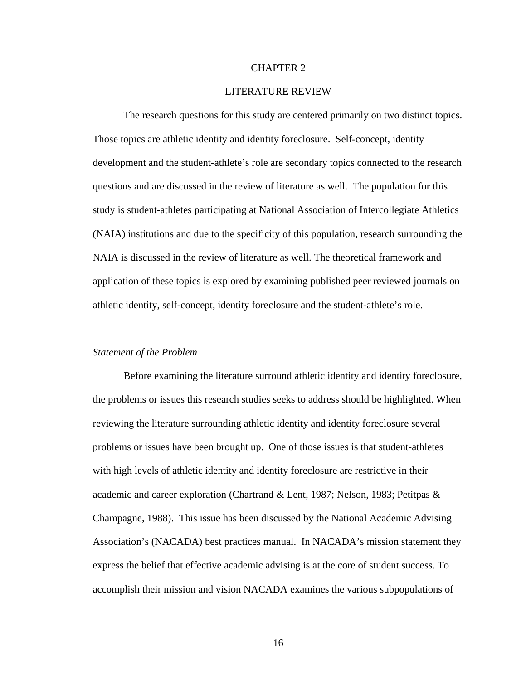#### CHAPTER 2

## LITERATURE REVIEW

The research questions for this study are centered primarily on two distinct topics. Those topics are athletic identity and identity foreclosure. Self-concept, identity development and the student-athlete's role are secondary topics connected to the research questions and are discussed in the review of literature as well. The population for this study is student-athletes participating at National Association of Intercollegiate Athletics (NAIA) institutions and due to the specificity of this population, research surrounding the NAIA is discussed in the review of literature as well. The theoretical framework and application of these topics is explored by examining published peer reviewed journals on athletic identity, self-concept, identity foreclosure and the student-athlete's role.

## *Statement of the Problem*

Before examining the literature surround athletic identity and identity foreclosure, the problems or issues this research studies seeks to address should be highlighted. When reviewing the literature surrounding athletic identity and identity foreclosure several problems or issues have been brought up. One of those issues is that student-athletes with high levels of athletic identity and identity foreclosure are restrictive in their academic and career exploration (Chartrand & Lent, 1987; Nelson, 1983; Petitpas & Champagne, 1988). This issue has been discussed by the National Academic Advising Association's (NACADA) best practices manual. In NACADA's mission statement they express the belief that effective academic advising is at the core of student success. To accomplish their mission and vision NACADA examines the various subpopulations of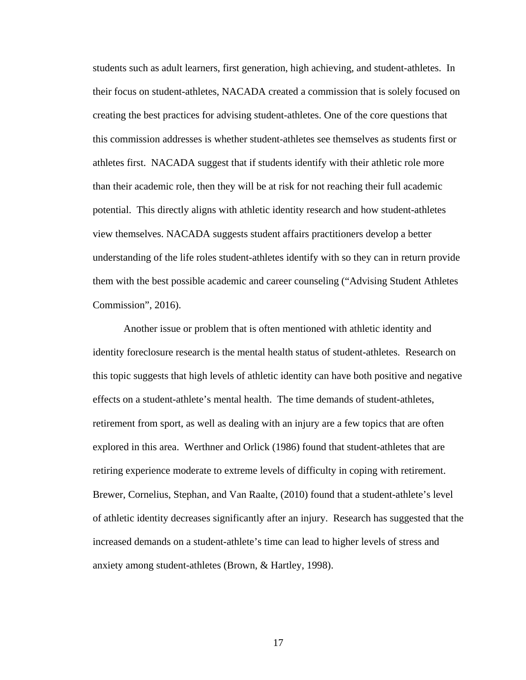students such as adult learners, first generation, high achieving, and student-athletes. In their focus on student-athletes, NACADA created a commission that is solely focused on creating the best practices for advising student-athletes. One of the core questions that this commission addresses is whether student-athletes see themselves as students first or athletes first. NACADA suggest that if students identify with their athletic role more than their academic role, then they will be at risk for not reaching their full academic potential. This directly aligns with athletic identity research and how student-athletes view themselves. NACADA suggests student affairs practitioners develop a better understanding of the life roles student-athletes identify with so they can in return provide them with the best possible academic and career counseling ("Advising Student Athletes Commission", 2016).

Another issue or problem that is often mentioned with athletic identity and identity foreclosure research is the mental health status of student-athletes. Research on this topic suggests that high levels of athletic identity can have both positive and negative effects on a student-athlete's mental health. The time demands of student-athletes, retirement from sport, as well as dealing with an injury are a few topics that are often explored in this area. Werthner and Orlick (1986) found that student-athletes that are retiring experience moderate to extreme levels of difficulty in coping with retirement. Brewer, Cornelius, Stephan, and Van Raalte, (2010) found that a student-athlete's level of athletic identity decreases significantly after an injury. Research has suggested that the increased demands on a student-athlete's time can lead to higher levels of stress and anxiety among student-athletes (Brown, & Hartley, 1998).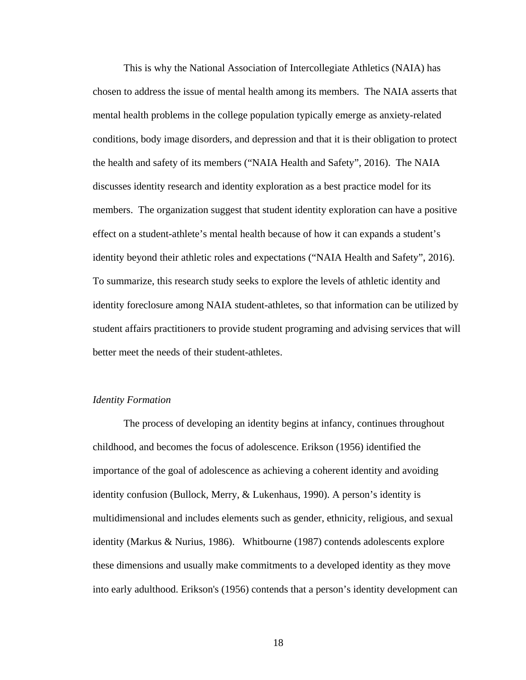This is why the National Association of Intercollegiate Athletics (NAIA) has chosen to address the issue of mental health among its members. The NAIA asserts that mental health problems in the college population typically emerge as anxiety-related conditions, body image disorders, and depression and that it is their obligation to protect the health and safety of its members ("NAIA Health and Safety", 2016). The NAIA discusses identity research and identity exploration as a best practice model for its members. The organization suggest that student identity exploration can have a positive effect on a student-athlete's mental health because of how it can expands a student's identity beyond their athletic roles and expectations ("NAIA Health and Safety", 2016). To summarize, this research study seeks to explore the levels of athletic identity and identity foreclosure among NAIA student-athletes, so that information can be utilized by student affairs practitioners to provide student programing and advising services that will better meet the needs of their student-athletes.

## *Identity Formation*

The process of developing an identity begins at infancy, continues throughout childhood, and becomes the focus of adolescence. Erikson (1956) identified the importance of the goal of adolescence as achieving a coherent identity and avoiding identity confusion (Bullock, Merry, & Lukenhaus, 1990). A person's identity is multidimensional and includes elements such as gender, ethnicity, religious, and sexual identity (Markus & Nurius, 1986). Whitbourne (1987) contends adolescents explore these dimensions and usually make commitments to a developed identity as they move into early adulthood. Erikson's (1956) contends that a person's identity development can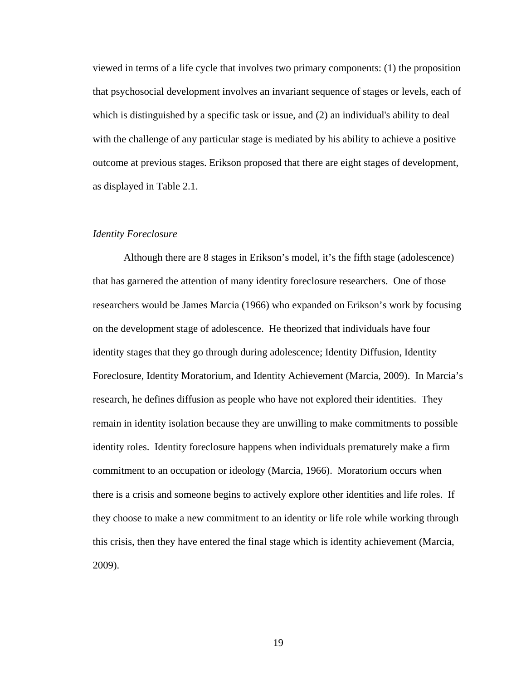viewed in terms of a life cycle that involves two primary components: (1) the proposition that psychosocial development involves an invariant sequence of stages or levels, each of which is distinguished by a specific task or issue, and (2) an individual's ability to deal with the challenge of any particular stage is mediated by his ability to achieve a positive outcome at previous stages. Erikson proposed that there are eight stages of development, as displayed in Table 2.1.

#### *Identity Foreclosure*

Although there are 8 stages in Erikson's model, it's the fifth stage (adolescence) that has garnered the attention of many identity foreclosure researchers. One of those researchers would be James Marcia (1966) who expanded on Erikson's work by focusing on the development stage of adolescence. He theorized that individuals have four identity stages that they go through during adolescence; Identity Diffusion, Identity Foreclosure, Identity Moratorium, and Identity Achievement (Marcia, 2009). In Marcia's research, he defines diffusion as people who have not explored their identities. They remain in identity isolation because they are unwilling to make commitments to possible identity roles. Identity foreclosure happens when individuals prematurely make a firm commitment to an occupation or ideology (Marcia, 1966). Moratorium occurs when there is a crisis and someone begins to actively explore other identities and life roles. If they choose to make a new commitment to an identity or life role while working through this crisis, then they have entered the final stage which is identity achievement (Marcia, 2009).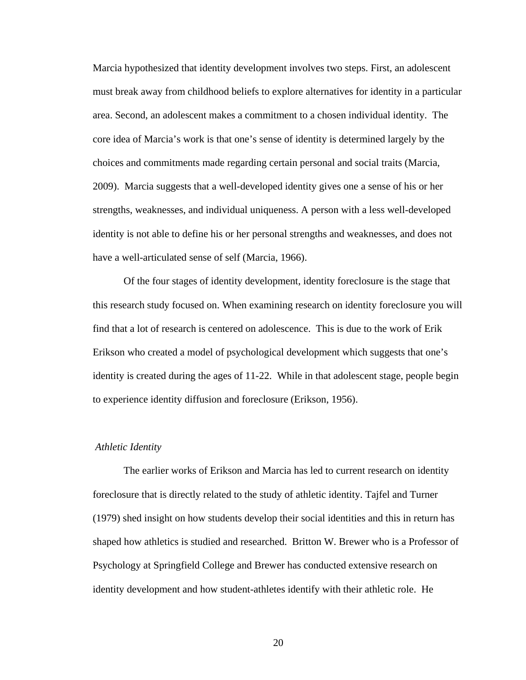Marcia hypothesized that identity development involves two steps. First, an adolescent must break away from childhood beliefs to explore alternatives for identity in a particular area. Second, an adolescent makes a commitment to a chosen individual identity. The core idea of Marcia's work is that one's sense of identity is determined largely by the choices and commitments made regarding certain personal and social traits (Marcia, 2009). Marcia suggests that a well-developed identity gives one a sense of his or her strengths, weaknesses, and individual uniqueness. A person with a less well-developed identity is not able to define his or her personal strengths and weaknesses, and does not have a well-articulated sense of self (Marcia, 1966).

Of the four stages of identity development, identity foreclosure is the stage that this research study focused on. When examining research on identity foreclosure you will find that a lot of research is centered on adolescence. This is due to the work of Erik Erikson who created a model of psychological development which suggests that one's identity is created during the ages of 11-22. While in that adolescent stage, people begin to experience identity diffusion and foreclosure (Erikson, 1956).

#### *Athletic Identity*

The earlier works of Erikson and Marcia has led to current research on identity foreclosure that is directly related to the study of athletic identity. Tajfel and Turner (1979) shed insight on how students develop their social identities and this in return has shaped how athletics is studied and researched. Britton W. Brewer who is a Professor of Psychology at Springfield College and Brewer has conducted extensive research on identity development and how student-athletes identify with their athletic role. He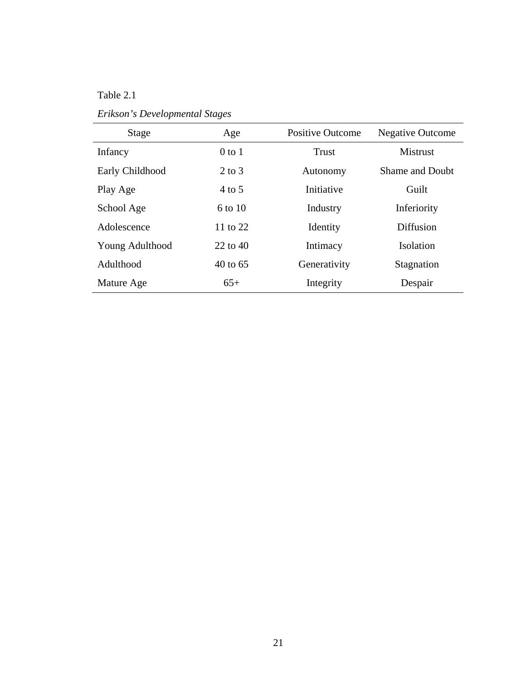# Table 2.1

| Stage           | Age                 | <b>Positive Outcome</b> | <b>Negative Outcome</b> |
|-----------------|---------------------|-------------------------|-------------------------|
| Infancy         | $0$ to $1$          | <b>Trust</b>            | <b>Mistrust</b>         |
| Early Childhood | $2$ to $3$          | Autonomy                | <b>Shame and Doubt</b>  |
| Play Age        | $4$ to 5            | Initiative              | Guilt                   |
| School Age      | 6 to 10             | Industry                | Inferiority             |
| Adolescence     | 11 to $22$          | Identity                | <b>Diffusion</b>        |
| Young Adulthood | $22$ to $40$        | Intimacy                | Isolation               |
| Adulthood       | $40 \text{ to } 65$ | Generativity            | Stagnation              |
| Mature Age      | $65+$               | Integrity               | Despair                 |

*Erikson's Developmental Stages*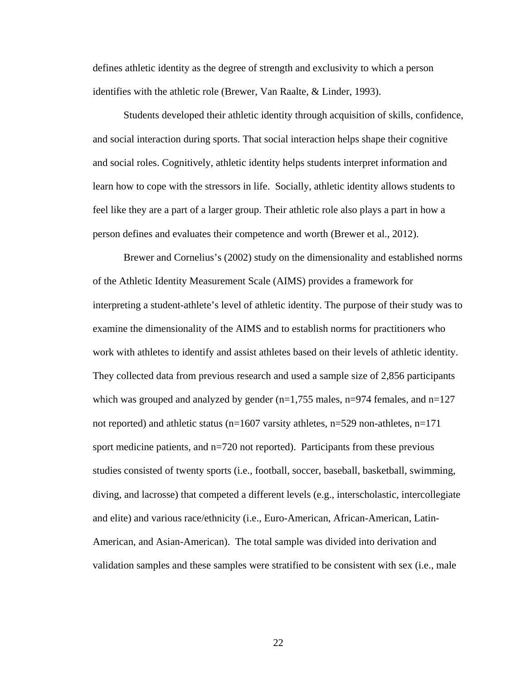defines athletic identity as the degree of strength and exclusivity to which a person identifies with the athletic role (Brewer, Van Raalte, & Linder, 1993).

Students developed their athletic identity through acquisition of skills, confidence, and social interaction during sports. That social interaction helps shape their cognitive and social roles. Cognitively, athletic identity helps students interpret information and learn how to cope with the stressors in life. Socially, athletic identity allows students to feel like they are a part of a larger group. Their athletic role also plays a part in how a person defines and evaluates their competence and worth (Brewer et al., 2012).

Brewer and Cornelius's (2002) study on the dimensionality and established norms of the Athletic Identity Measurement Scale (AIMS) provides a framework for interpreting a student-athlete's level of athletic identity. The purpose of their study was to examine the dimensionality of the AIMS and to establish norms for practitioners who work with athletes to identify and assist athletes based on their levels of athletic identity. They collected data from previous research and used a sample size of 2,856 participants which was grouped and analyzed by gender  $(n=1,755 \text{ males}, n=974 \text{ females}, \text{and } n=127$ not reported) and athletic status ( $n=1607$  varsity athletes,  $n=529$  non-athletes,  $n=171$ sport medicine patients, and n=720 not reported). Participants from these previous studies consisted of twenty sports (i.e., football, soccer, baseball, basketball, swimming, diving, and lacrosse) that competed a different levels (e.g., interscholastic, intercollegiate and elite) and various race/ethnicity (i.e., Euro-American, African-American, Latin-American, and Asian-American). The total sample was divided into derivation and validation samples and these samples were stratified to be consistent with sex (i.e., male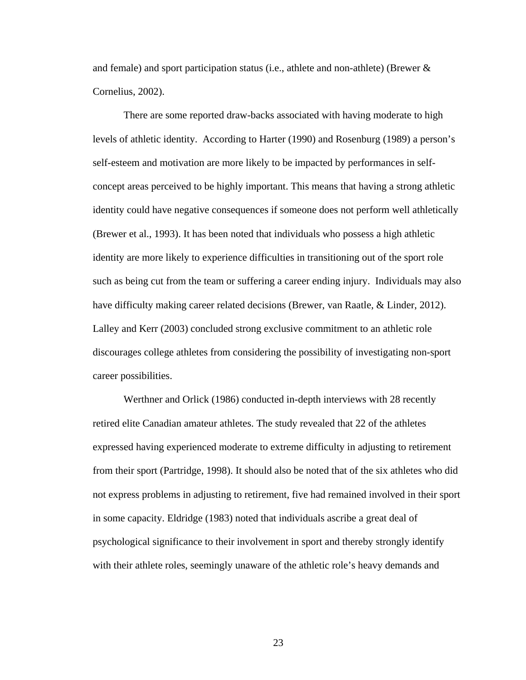and female) and sport participation status (i.e., athlete and non-athlete) (Brewer & Cornelius, 2002).

There are some reported draw-backs associated with having moderate to high levels of athletic identity. According to Harter (1990) and Rosenburg (1989) a person's self-esteem and motivation are more likely to be impacted by performances in selfconcept areas perceived to be highly important. This means that having a strong athletic identity could have negative consequences if someone does not perform well athletically (Brewer et al., 1993). It has been noted that individuals who possess a high athletic identity are more likely to experience difficulties in transitioning out of the sport role such as being cut from the team or suffering a career ending injury. Individuals may also have difficulty making career related decisions (Brewer, van Raatle, & Linder, 2012). Lalley and Kerr (2003) concluded strong exclusive commitment to an athletic role discourages college athletes from considering the possibility of investigating non-sport career possibilities.

Werthner and Orlick (1986) conducted in-depth interviews with 28 recently retired elite Canadian amateur athletes. The study revealed that 22 of the athletes expressed having experienced moderate to extreme difficulty in adjusting to retirement from their sport (Partridge, 1998). It should also be noted that of the six athletes who did not express problems in adjusting to retirement, five had remained involved in their sport in some capacity. Eldridge (1983) noted that individuals ascribe a great deal of psychological significance to their involvement in sport and thereby strongly identify with their athlete roles, seemingly unaware of the athletic role's heavy demands and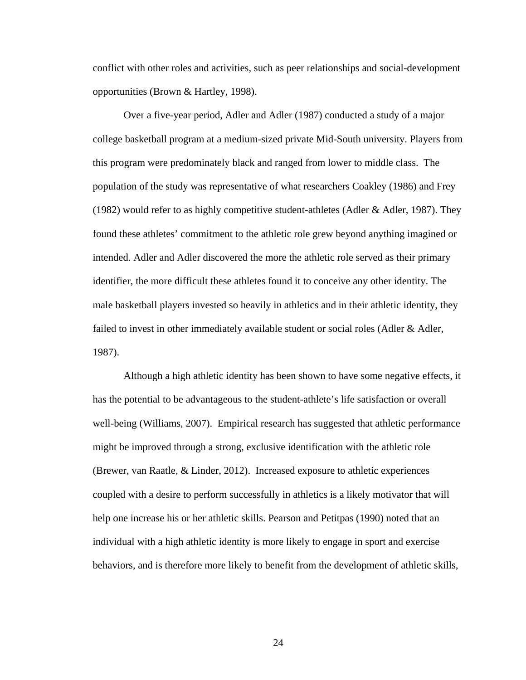conflict with other roles and activities, such as peer relationships and social-development opportunities (Brown & Hartley, 1998).

Over a five-year period, Adler and Adler (1987) conducted a study of a major college basketball program at a medium-sized private Mid-South university. Players from this program were predominately black and ranged from lower to middle class. The population of the study was representative of what researchers Coakley (1986) and Frey (1982) would refer to as highly competitive student-athletes (Adler & Adler, 1987). They found these athletes' commitment to the athletic role grew beyond anything imagined or intended. Adler and Adler discovered the more the athletic role served as their primary identifier, the more difficult these athletes found it to conceive any other identity. The male basketball players invested so heavily in athletics and in their athletic identity, they failed to invest in other immediately available student or social roles (Adler & Adler, 1987).

Although a high athletic identity has been shown to have some negative effects, it has the potential to be advantageous to the student-athlete's life satisfaction or overall well-being (Williams, 2007). Empirical research has suggested that athletic performance might be improved through a strong, exclusive identification with the athletic role (Brewer, van Raatle, & Linder, 2012). Increased exposure to athletic experiences coupled with a desire to perform successfully in athletics is a likely motivator that will help one increase his or her athletic skills. Pearson and Petitpas (1990) noted that an individual with a high athletic identity is more likely to engage in sport and exercise behaviors, and is therefore more likely to benefit from the development of athletic skills,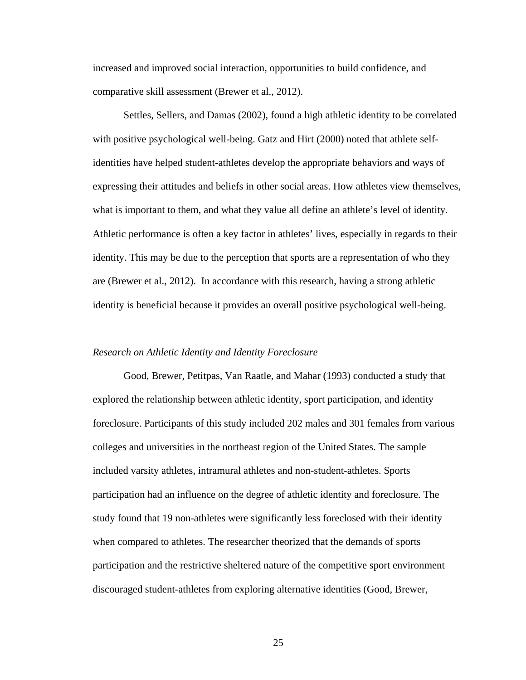increased and improved social interaction, opportunities to build confidence, and comparative skill assessment (Brewer et al., 2012).

Settles, Sellers, and Damas (2002), found a high athletic identity to be correlated with positive psychological well-being. Gatz and Hirt (2000) noted that athlete selfidentities have helped student-athletes develop the appropriate behaviors and ways of expressing their attitudes and beliefs in other social areas. How athletes view themselves, what is important to them, and what they value all define an athlete's level of identity. Athletic performance is often a key factor in athletes' lives, especially in regards to their identity. This may be due to the perception that sports are a representation of who they are (Brewer et al., 2012). In accordance with this research, having a strong athletic identity is beneficial because it provides an overall positive psychological well-being.

## *Research on Athletic Identity and Identity Foreclosure*

Good, Brewer, Petitpas, Van Raatle, and Mahar (1993) conducted a study that explored the relationship between athletic identity, sport participation, and identity foreclosure. Participants of this study included 202 males and 301 females from various colleges and universities in the northeast region of the United States. The sample included varsity athletes, intramural athletes and non-student-athletes. Sports participation had an influence on the degree of athletic identity and foreclosure. The study found that 19 non-athletes were significantly less foreclosed with their identity when compared to athletes. The researcher theorized that the demands of sports participation and the restrictive sheltered nature of the competitive sport environment discouraged student-athletes from exploring alternative identities (Good, Brewer,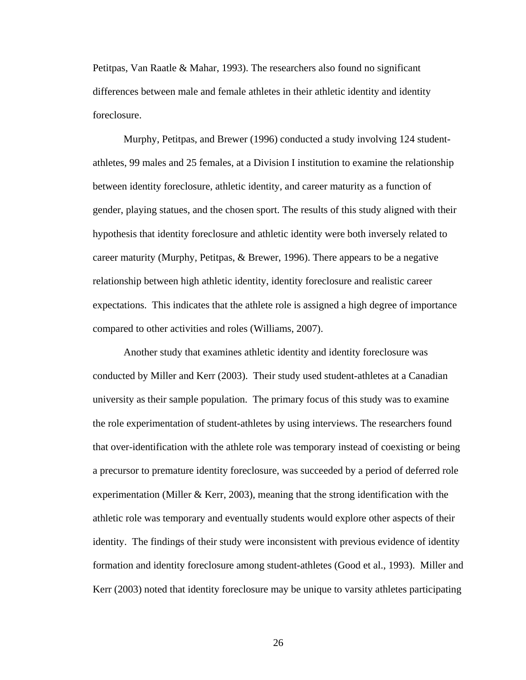Petitpas, Van Raatle & Mahar, 1993). The researchers also found no significant differences between male and female athletes in their athletic identity and identity foreclosure.

Murphy, Petitpas, and Brewer (1996) conducted a study involving 124 studentathletes, 99 males and 25 females, at a Division I institution to examine the relationship between identity foreclosure, athletic identity, and career maturity as a function of gender, playing statues, and the chosen sport. The results of this study aligned with their hypothesis that identity foreclosure and athletic identity were both inversely related to career maturity (Murphy, Petitpas, & Brewer, 1996). There appears to be a negative relationship between high athletic identity, identity foreclosure and realistic career expectations. This indicates that the athlete role is assigned a high degree of importance compared to other activities and roles (Williams, 2007).

Another study that examines athletic identity and identity foreclosure was conducted by Miller and Kerr (2003). Their study used student-athletes at a Canadian university as their sample population. The primary focus of this study was to examine the role experimentation of student-athletes by using interviews. The researchers found that over-identification with the athlete role was temporary instead of coexisting or being a precursor to premature identity foreclosure, was succeeded by a period of deferred role experimentation (Miller  $&$  Kerr, 2003), meaning that the strong identification with the athletic role was temporary and eventually students would explore other aspects of their identity. The findings of their study were inconsistent with previous evidence of identity formation and identity foreclosure among student-athletes (Good et al., 1993). Miller and Kerr (2003) noted that identity foreclosure may be unique to varsity athletes participating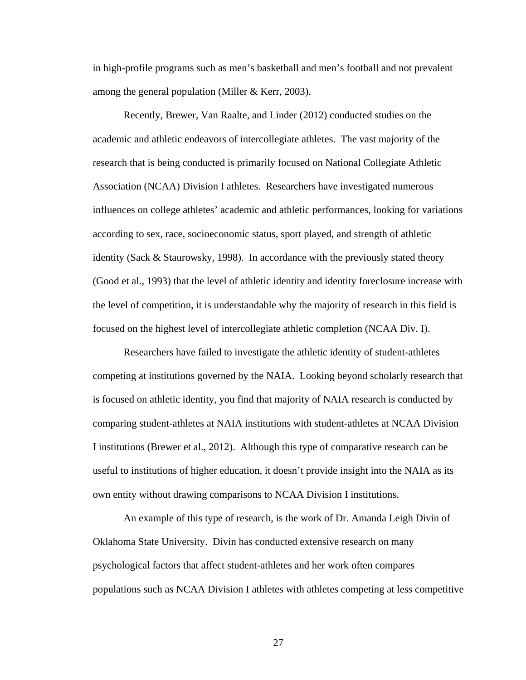in high-profile programs such as men's basketball and men's football and not prevalent among the general population (Miller & Kerr, 2003).

Recently, Brewer, Van Raalte, and Linder (2012) conducted studies on the academic and athletic endeavors of intercollegiate athletes. The vast majority of the research that is being conducted is primarily focused on National Collegiate Athletic Association (NCAA) Division I athletes. Researchers have investigated numerous influences on college athletes' academic and athletic performances, looking for variations according to sex, race, socioeconomic status, sport played, and strength of athletic identity (Sack & Staurowsky, 1998). In accordance with the previously stated theory (Good et al., 1993) that the level of athletic identity and identity foreclosure increase with the level of competition, it is understandable why the majority of research in this field is focused on the highest level of intercollegiate athletic completion (NCAA Div. I).

Researchers have failed to investigate the athletic identity of student-athletes competing at institutions governed by the NAIA. Looking beyond scholarly research that is focused on athletic identity, you find that majority of NAIA research is conducted by comparing student-athletes at NAIA institutions with student-athletes at NCAA Division I institutions (Brewer et al., 2012). Although this type of comparative research can be useful to institutions of higher education, it doesn't provide insight into the NAIA as its own entity without drawing comparisons to NCAA Division I institutions.

An example of this type of research, is the work of Dr. Amanda Leigh Divin of Oklahoma State University. Divin has conducted extensive research on many psychological factors that affect student-athletes and her work often compares populations such as NCAA Division I athletes with athletes competing at less competitive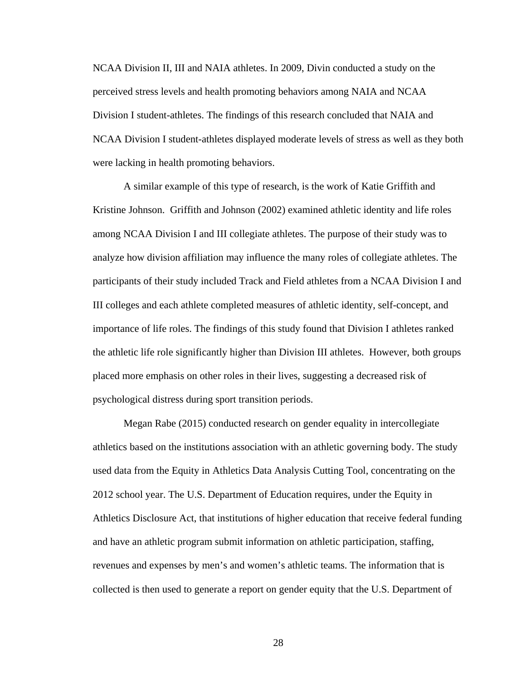NCAA Division II, III and NAIA athletes. In 2009, Divin conducted a study on the perceived stress levels and health promoting behaviors among NAIA and NCAA Division I student-athletes. The findings of this research concluded that NAIA and NCAA Division I student-athletes displayed moderate levels of stress as well as they both were lacking in health promoting behaviors.

A similar example of this type of research, is the work of Katie Griffith and Kristine Johnson. Griffith and Johnson (2002) examined athletic identity and life roles among NCAA Division I and III collegiate athletes. The purpose of their study was to analyze how division affiliation may influence the many roles of collegiate athletes. The participants of their study included Track and Field athletes from a NCAA Division I and III colleges and each athlete completed measures of athletic identity, self-concept, and importance of life roles. The findings of this study found that Division I athletes ranked the athletic life role significantly higher than Division III athletes. However, both groups placed more emphasis on other roles in their lives, suggesting a decreased risk of psychological distress during sport transition periods.

Megan Rabe (2015) conducted research on gender equality in intercollegiate athletics based on the institutions association with an athletic governing body. The study used data from the Equity in Athletics Data Analysis Cutting Tool, concentrating on the 2012 school year. The U.S. Department of Education requires, under the Equity in Athletics Disclosure Act, that institutions of higher education that receive federal funding and have an athletic program submit information on athletic participation, staffing, revenues and expenses by men's and women's athletic teams. The information that is collected is then used to generate a report on gender equity that the U.S. Department of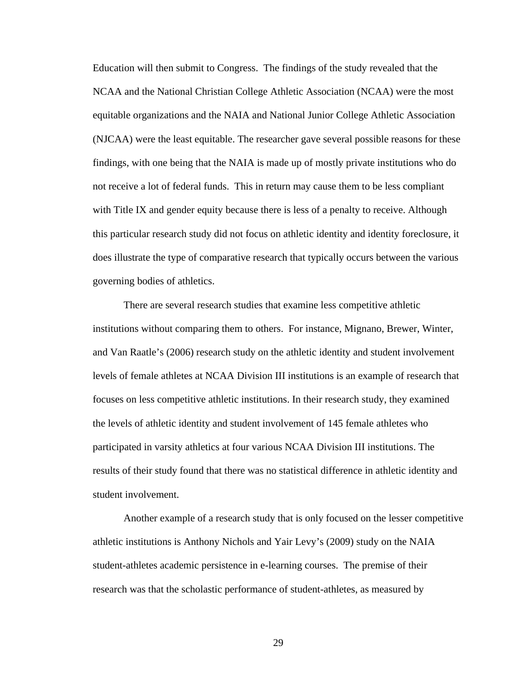Education will then submit to Congress. The findings of the study revealed that the NCAA and the National Christian College Athletic Association (NCAA) were the most equitable organizations and the NAIA and National Junior College Athletic Association (NJCAA) were the least equitable. The researcher gave several possible reasons for these findings, with one being that the NAIA is made up of mostly private institutions who do not receive a lot of federal funds. This in return may cause them to be less compliant with Title IX and gender equity because there is less of a penalty to receive. Although this particular research study did not focus on athletic identity and identity foreclosure, it does illustrate the type of comparative research that typically occurs between the various governing bodies of athletics.

There are several research studies that examine less competitive athletic institutions without comparing them to others. For instance, Mignano, Brewer, Winter, and Van Raatle's (2006) research study on the athletic identity and student involvement levels of female athletes at NCAA Division III institutions is an example of research that focuses on less competitive athletic institutions. In their research study, they examined the levels of athletic identity and student involvement of 145 female athletes who participated in varsity athletics at four various NCAA Division III institutions. The results of their study found that there was no statistical difference in athletic identity and student involvement.

Another example of a research study that is only focused on the lesser competitive athletic institutions is Anthony Nichols and Yair Levy's (2009) study on the NAIA student-athletes academic persistence in e-learning courses. The premise of their research was that the scholastic performance of student-athletes, as measured by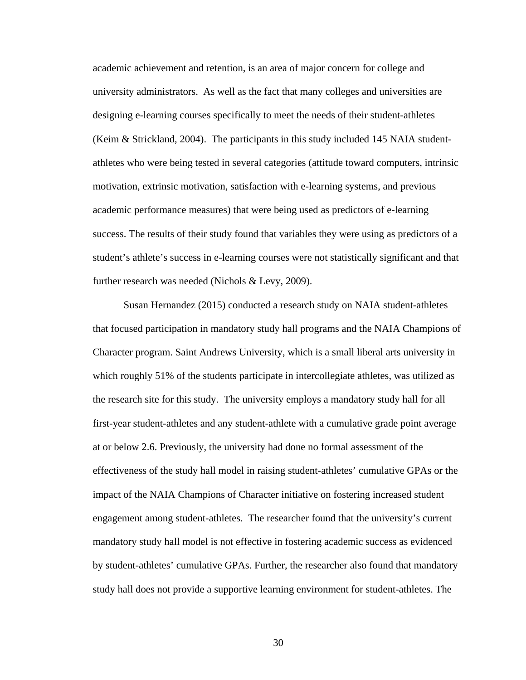academic achievement and retention, is an area of major concern for college and university administrators. As well as the fact that many colleges and universities are designing e-learning courses specifically to meet the needs of their student-athletes (Keim & Strickland, 2004). The participants in this study included 145 NAIA studentathletes who were being tested in several categories (attitude toward computers, intrinsic motivation, extrinsic motivation, satisfaction with e-learning systems, and previous academic performance measures) that were being used as predictors of e-learning success. The results of their study found that variables they were using as predictors of a student's athlete's success in e-learning courses were not statistically significant and that further research was needed (Nichols & Levy, 2009).

Susan Hernandez (2015) conducted a research study on NAIA student-athletes that focused participation in mandatory study hall programs and the NAIA Champions of Character program. Saint Andrews University, which is a small liberal arts university in which roughly 51% of the students participate in intercollegiate athletes, was utilized as the research site for this study. The university employs a mandatory study hall for all first-year student-athletes and any student-athlete with a cumulative grade point average at or below 2.6. Previously, the university had done no formal assessment of the effectiveness of the study hall model in raising student-athletes' cumulative GPAs or the impact of the NAIA Champions of Character initiative on fostering increased student engagement among student-athletes. The researcher found that the university's current mandatory study hall model is not effective in fostering academic success as evidenced by student-athletes' cumulative GPAs. Further, the researcher also found that mandatory study hall does not provide a supportive learning environment for student-athletes. The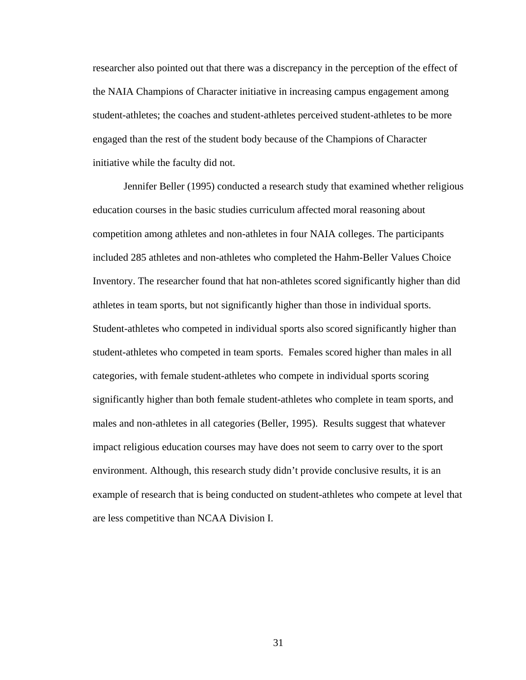researcher also pointed out that there was a discrepancy in the perception of the effect of the NAIA Champions of Character initiative in increasing campus engagement among student-athletes; the coaches and student-athletes perceived student-athletes to be more engaged than the rest of the student body because of the Champions of Character initiative while the faculty did not.

Jennifer Beller (1995) conducted a research study that examined whether religious education courses in the basic studies curriculum affected moral reasoning about competition among athletes and non-athletes in four NAIA colleges. The participants included 285 athletes and non-athletes who completed the Hahm-Beller Values Choice Inventory. The researcher found that hat non-athletes scored significantly higher than did athletes in team sports, but not significantly higher than those in individual sports. Student-athletes who competed in individual sports also scored significantly higher than student-athletes who competed in team sports. Females scored higher than males in all categories, with female student-athletes who compete in individual sports scoring significantly higher than both female student-athletes who complete in team sports, and males and non-athletes in all categories (Beller, 1995). Results suggest that whatever impact religious education courses may have does not seem to carry over to the sport environment. Although, this research study didn't provide conclusive results, it is an example of research that is being conducted on student-athletes who compete at level that are less competitive than NCAA Division I.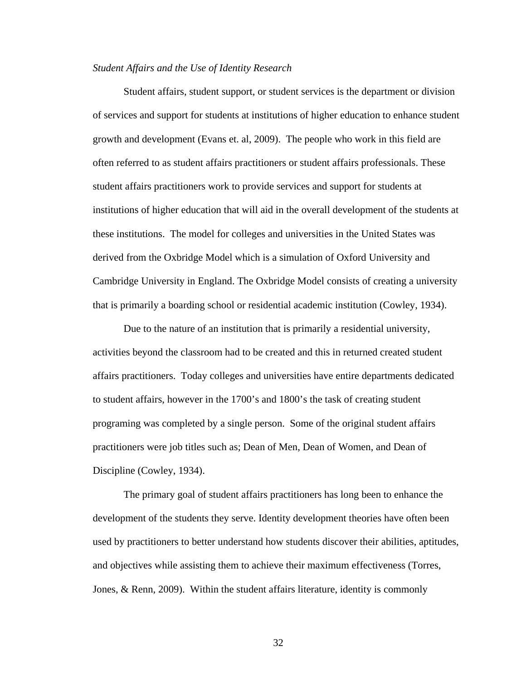#### *Student Affairs and the Use of Identity Research*

Student affairs, student support, or student services is the department or division of services and support for students at institutions of higher education to enhance student growth and development (Evans et. al, 2009). The people who work in this field are often referred to as student affairs practitioners or student affairs professionals. These student affairs practitioners work to provide services and support for students at institutions of higher education that will aid in the overall development of the students at these institutions. The model for colleges and universities in the United States was derived from the Oxbridge Model which is a simulation of Oxford University and Cambridge University in England. The Oxbridge Model consists of creating a university that is primarily a boarding school or residential academic institution (Cowley, 1934).

Due to the nature of an institution that is primarily a residential university, activities beyond the classroom had to be created and this in returned created student affairs practitioners. Today colleges and universities have entire departments dedicated to student affairs, however in the 1700's and 1800's the task of creating student programing was completed by a single person. Some of the original student affairs practitioners were job titles such as; Dean of Men, Dean of Women, and Dean of Discipline (Cowley, 1934).

The primary goal of student affairs practitioners has long been to enhance the development of the students they serve. Identity development theories have often been used by practitioners to better understand how students discover their abilities, aptitudes, and objectives while assisting them to achieve their maximum effectiveness (Torres, Jones, & Renn, 2009). Within the student affairs literature, identity is commonly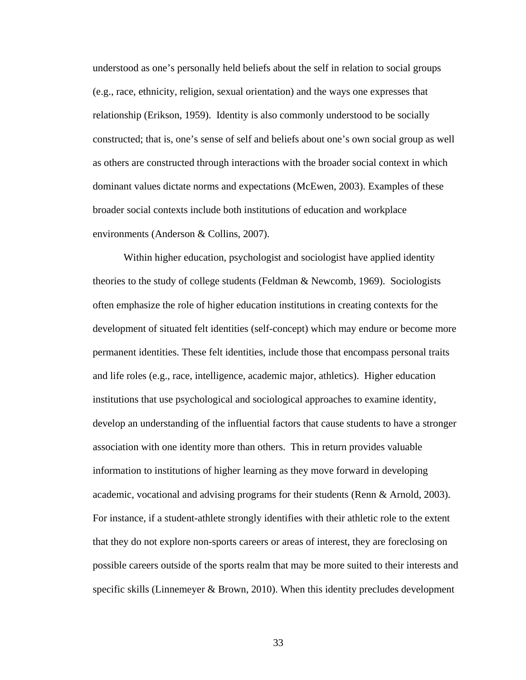understood as one's personally held beliefs about the self in relation to social groups (e.g., race, ethnicity, religion, sexual orientation) and the ways one expresses that relationship (Erikson, 1959). Identity is also commonly understood to be socially constructed; that is, one's sense of self and beliefs about one's own social group as well as others are constructed through interactions with the broader social context in which dominant values dictate norms and expectations (McEwen, 2003). Examples of these broader social contexts include both institutions of education and workplace environments (Anderson & Collins, 2007).

Within higher education, psychologist and sociologist have applied identity theories to the study of college students (Feldman & Newcomb, 1969). Sociologists often emphasize the role of higher education institutions in creating contexts for the development of situated felt identities (self-concept) which may endure or become more permanent identities. These felt identities, include those that encompass personal traits and life roles (e.g., race, intelligence, academic major, athletics). Higher education institutions that use psychological and sociological approaches to examine identity, develop an understanding of the influential factors that cause students to have a stronger association with one identity more than others. This in return provides valuable information to institutions of higher learning as they move forward in developing academic, vocational and advising programs for their students (Renn & Arnold, 2003). For instance, if a student-athlete strongly identifies with their athletic role to the extent that they do not explore non-sports careers or areas of interest, they are foreclosing on possible careers outside of the sports realm that may be more suited to their interests and specific skills (Linnemeyer & Brown, 2010). When this identity precludes development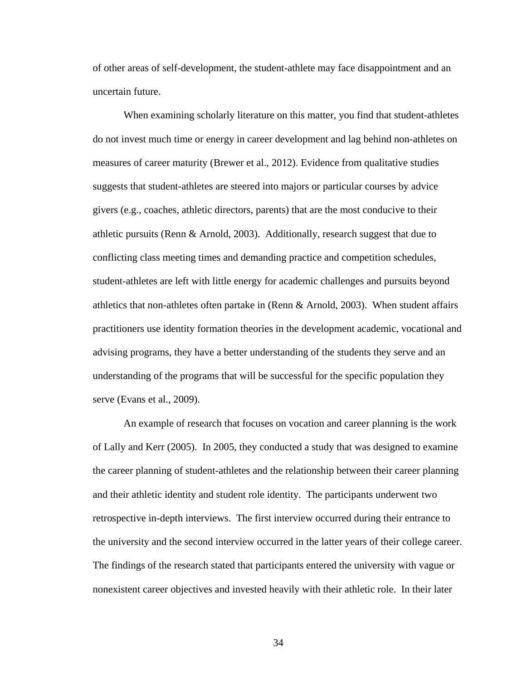of other areas of self-development, the student-athlete may face disappointment and an uncertain future.

When examining scholarly literature on this matter, you find that student-athletes do not invest much time or energy in career development and lag behind non-athletes on measures of career maturity (Brewer et al., 2012). Evidence from qualitative studies suggests that student-athletes are steered into majors or particular courses by advice givers (e.g., coaches, athletic directors, parents) that are the most conducive to their athletic pursuits (Renn & Arnold, 2003). Additionally, research suggest that due to conflicting class meeting times and demanding practice and competition schedules, student-athletes are left with little energy for academic challenges and pursuits beyond athletics that non-athletes often partake in (Renn & Arnold, 2003). When student affairs practitioners use identity formation theories in the development academic, vocational and advising programs, they have a better understanding of the students they serve and an understanding of the programs that will be successful for the specific population they serve (Evans et al., 2009).

An example of research that focuses on vocation and career planning is the work of Lally and Kerr (2005). In 2005, they conducted a study that was designed to examine the career planning of student-athletes and the relationship between their career planning and their athletic identity and student role identity. The participants underwent two retrospective in-depth interviews. The first interview occurred during their entrance to the university and the second interview occurred in the latter years of their college career. The findings of the research stated that participants entered the university with vague or nonexistent career objectives and invested heavily with their athletic role. In their later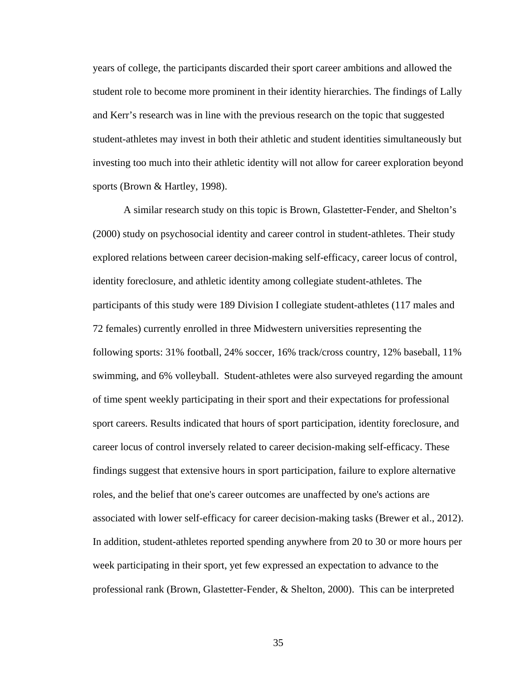years of college, the participants discarded their sport career ambitions and allowed the student role to become more prominent in their identity hierarchies. The findings of Lally and Kerr's research was in line with the previous research on the topic that suggested student-athletes may invest in both their athletic and student identities simultaneously but investing too much into their athletic identity will not allow for career exploration beyond sports (Brown & Hartley, 1998).

A similar research study on this topic is Brown, Glastetter-Fender, and Shelton's (2000) study on psychosocial identity and career control in student-athletes. Their study explored relations between career decision-making self-efficacy, career locus of control, identity foreclosure, and athletic identity among collegiate student-athletes. The participants of this study were 189 Division I collegiate student-athletes (117 males and 72 females) currently enrolled in three Midwestern universities representing the following sports: 31% football, 24% soccer, 16% track/cross country, 12% baseball, 11% swimming, and 6% volleyball. Student-athletes were also surveyed regarding the amount of time spent weekly participating in their sport and their expectations for professional sport careers. Results indicated that hours of sport participation, identity foreclosure, and career locus of control inversely related to career decision-making self-efficacy. These findings suggest that extensive hours in sport participation, failure to explore alternative roles, and the belief that one's career outcomes are unaffected by one's actions are associated with lower self-efficacy for career decision-making tasks (Brewer et al., 2012). In addition, student-athletes reported spending anywhere from 20 to 30 or more hours per week participating in their sport, yet few expressed an expectation to advance to the professional rank (Brown, Glastetter-Fender, & Shelton, 2000). This can be interpreted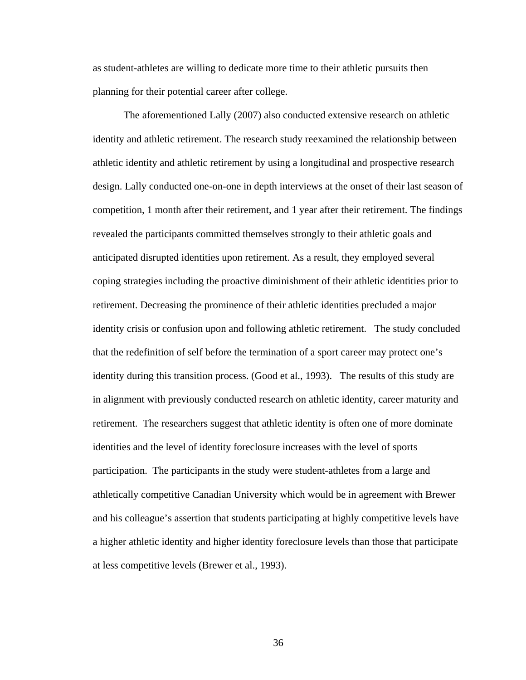as student-athletes are willing to dedicate more time to their athletic pursuits then planning for their potential career after college.

The aforementioned Lally (2007) also conducted extensive research on athletic identity and athletic retirement. The research study reexamined the relationship between athletic identity and athletic retirement by using a longitudinal and prospective research design. Lally conducted one-on-one in depth interviews at the onset of their last season of competition, 1 month after their retirement, and 1 year after their retirement. The findings revealed the participants committed themselves strongly to their athletic goals and anticipated disrupted identities upon retirement. As a result, they employed several coping strategies including the proactive diminishment of their athletic identities prior to retirement. Decreasing the prominence of their athletic identities precluded a major identity crisis or confusion upon and following athletic retirement. The study concluded that the redefinition of self before the termination of a sport career may protect one's identity during this transition process. (Good et al., 1993). The results of this study are in alignment with previously conducted research on athletic identity, career maturity and retirement. The researchers suggest that athletic identity is often one of more dominate identities and the level of identity foreclosure increases with the level of sports participation. The participants in the study were student-athletes from a large and athletically competitive Canadian University which would be in agreement with Brewer and his colleague's assertion that students participating at highly competitive levels have a higher athletic identity and higher identity foreclosure levels than those that participate at less competitive levels (Brewer et al., 1993).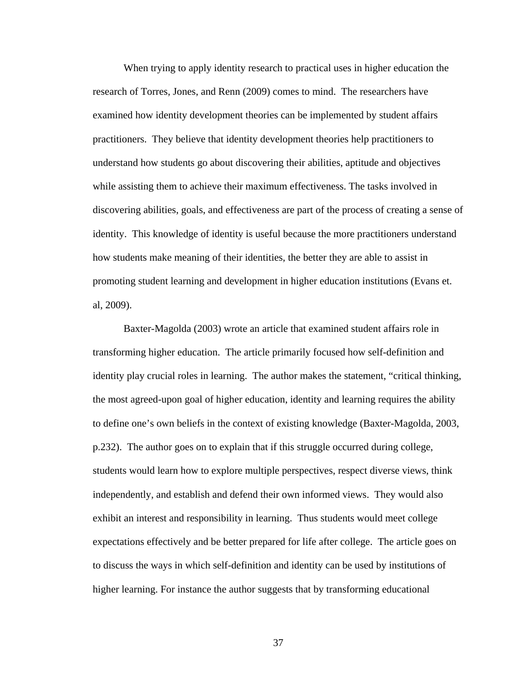When trying to apply identity research to practical uses in higher education the research of Torres, Jones, and Renn (2009) comes to mind. The researchers have examined how identity development theories can be implemented by student affairs practitioners. They believe that identity development theories help practitioners to understand how students go about discovering their abilities, aptitude and objectives while assisting them to achieve their maximum effectiveness. The tasks involved in discovering abilities, goals, and effectiveness are part of the process of creating a sense of identity. This knowledge of identity is useful because the more practitioners understand how students make meaning of their identities, the better they are able to assist in promoting student learning and development in higher education institutions (Evans et. al, 2009).

Baxter-Magolda (2003) wrote an article that examined student affairs role in transforming higher education. The article primarily focused how self-definition and identity play crucial roles in learning. The author makes the statement, "critical thinking, the most agreed-upon goal of higher education, identity and learning requires the ability to define one's own beliefs in the context of existing knowledge (Baxter-Magolda, 2003, p.232). The author goes on to explain that if this struggle occurred during college, students would learn how to explore multiple perspectives, respect diverse views, think independently, and establish and defend their own informed views. They would also exhibit an interest and responsibility in learning. Thus students would meet college expectations effectively and be better prepared for life after college. The article goes on to discuss the ways in which self-definition and identity can be used by institutions of higher learning. For instance the author suggests that by transforming educational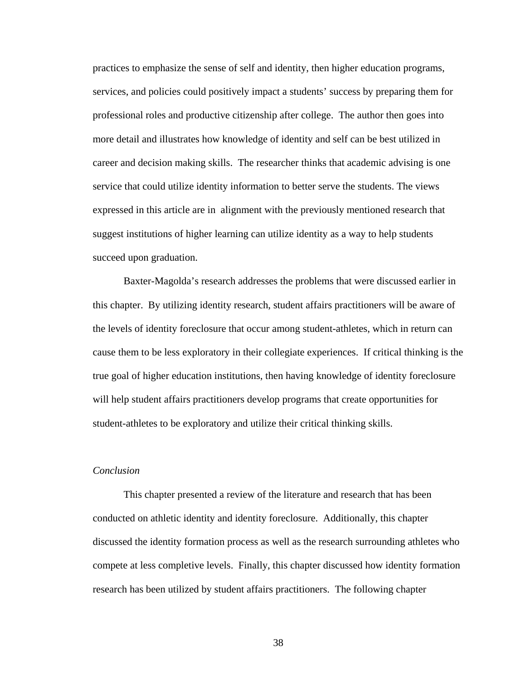practices to emphasize the sense of self and identity, then higher education programs, services, and policies could positively impact a students' success by preparing them for professional roles and productive citizenship after college. The author then goes into more detail and illustrates how knowledge of identity and self can be best utilized in career and decision making skills. The researcher thinks that academic advising is one service that could utilize identity information to better serve the students. The views expressed in this article are in alignment with the previously mentioned research that suggest institutions of higher learning can utilize identity as a way to help students succeed upon graduation.

Baxter-Magolda's research addresses the problems that were discussed earlier in this chapter. By utilizing identity research, student affairs practitioners will be aware of the levels of identity foreclosure that occur among student-athletes, which in return can cause them to be less exploratory in their collegiate experiences. If critical thinking is the true goal of higher education institutions, then having knowledge of identity foreclosure will help student affairs practitioners develop programs that create opportunities for student-athletes to be exploratory and utilize their critical thinking skills.

## *Conclusion*

This chapter presented a review of the literature and research that has been conducted on athletic identity and identity foreclosure. Additionally, this chapter discussed the identity formation process as well as the research surrounding athletes who compete at less completive levels. Finally, this chapter discussed how identity formation research has been utilized by student affairs practitioners. The following chapter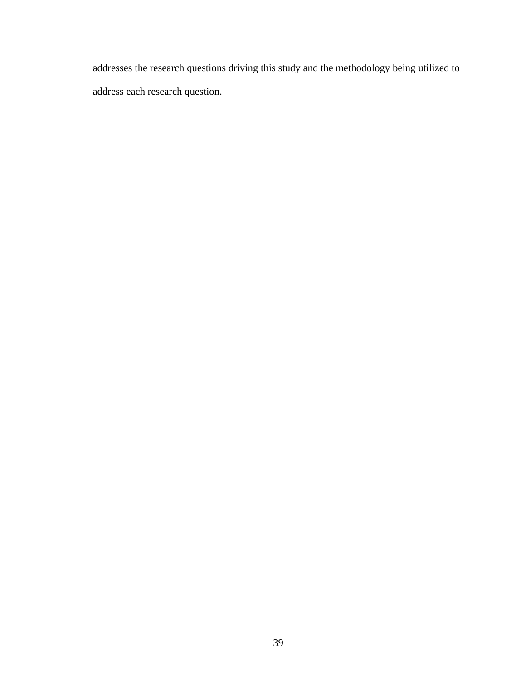addresses the research questions driving this study and the methodology being utilized to address each research question.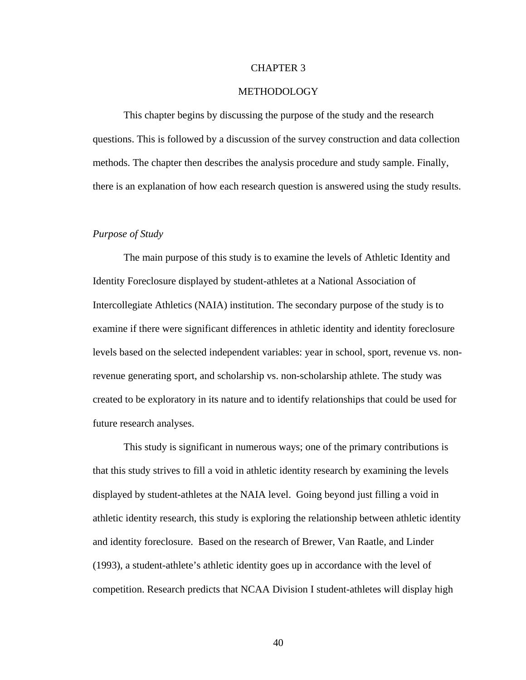#### CHAPTER 3

## METHODOLOGY

This chapter begins by discussing the purpose of the study and the research questions. This is followed by a discussion of the survey construction and data collection methods. The chapter then describes the analysis procedure and study sample. Finally, there is an explanation of how each research question is answered using the study results.

#### *Purpose of Study*

The main purpose of this study is to examine the levels of Athletic Identity and Identity Foreclosure displayed by student-athletes at a National Association of Intercollegiate Athletics (NAIA) institution. The secondary purpose of the study is to examine if there were significant differences in athletic identity and identity foreclosure levels based on the selected independent variables: year in school, sport, revenue vs. nonrevenue generating sport, and scholarship vs. non-scholarship athlete. The study was created to be exploratory in its nature and to identify relationships that could be used for future research analyses.

This study is significant in numerous ways; one of the primary contributions is that this study strives to fill a void in athletic identity research by examining the levels displayed by student-athletes at the NAIA level. Going beyond just filling a void in athletic identity research, this study is exploring the relationship between athletic identity and identity foreclosure. Based on the research of Brewer, Van Raatle, and Linder (1993), a student-athlete's athletic identity goes up in accordance with the level of competition. Research predicts that NCAA Division I student-athletes will display high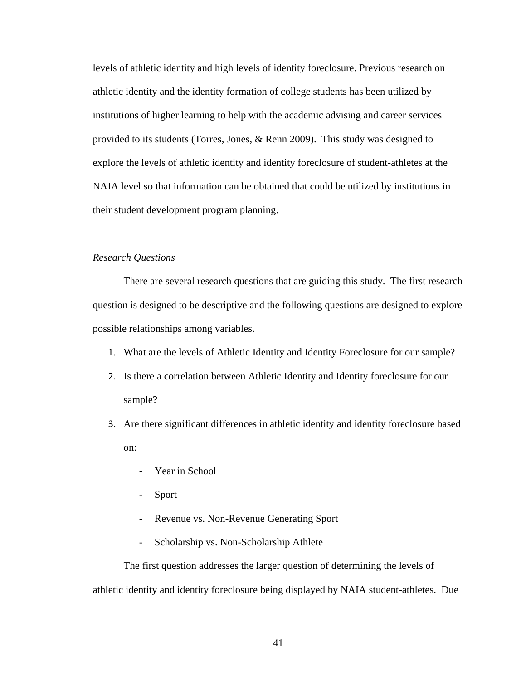levels of athletic identity and high levels of identity foreclosure. Previous research on athletic identity and the identity formation of college students has been utilized by institutions of higher learning to help with the academic advising and career services provided to its students (Torres, Jones, & Renn 2009). This study was designed to explore the levels of athletic identity and identity foreclosure of student-athletes at the NAIA level so that information can be obtained that could be utilized by institutions in their student development program planning.

# *Research Questions*

There are several research questions that are guiding this study. The first research question is designed to be descriptive and the following questions are designed to explore possible relationships among variables.

- 1. What are the levels of Athletic Identity and Identity Foreclosure for our sample?
- 2. Is there a correlation between Athletic Identity and Identity foreclosure for our sample?
- 3. Are there significant differences in athletic identity and identity foreclosure based on:
	- Year in School
	- Sport
	- Revenue vs. Non-Revenue Generating Sport
	- Scholarship vs. Non-Scholarship Athlete

The first question addresses the larger question of determining the levels of athletic identity and identity foreclosure being displayed by NAIA student-athletes. Due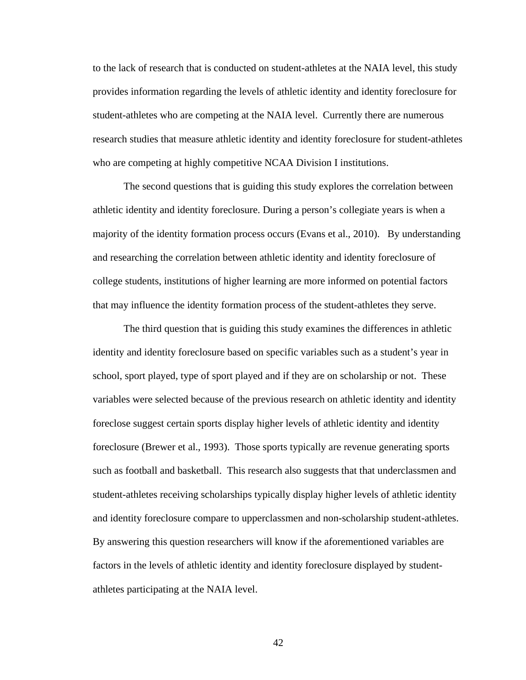to the lack of research that is conducted on student-athletes at the NAIA level, this study provides information regarding the levels of athletic identity and identity foreclosure for student-athletes who are competing at the NAIA level. Currently there are numerous research studies that measure athletic identity and identity foreclosure for student-athletes who are competing at highly competitive NCAA Division I institutions.

The second questions that is guiding this study explores the correlation between athletic identity and identity foreclosure. During a person's collegiate years is when a majority of the identity formation process occurs (Evans et al., 2010). By understanding and researching the correlation between athletic identity and identity foreclosure of college students, institutions of higher learning are more informed on potential factors that may influence the identity formation process of the student-athletes they serve.

The third question that is guiding this study examines the differences in athletic identity and identity foreclosure based on specific variables such as a student's year in school, sport played, type of sport played and if they are on scholarship or not. These variables were selected because of the previous research on athletic identity and identity foreclose suggest certain sports display higher levels of athletic identity and identity foreclosure (Brewer et al., 1993). Those sports typically are revenue generating sports such as football and basketball. This research also suggests that that underclassmen and student-athletes receiving scholarships typically display higher levels of athletic identity and identity foreclosure compare to upperclassmen and non-scholarship student-athletes. By answering this question researchers will know if the aforementioned variables are factors in the levels of athletic identity and identity foreclosure displayed by studentathletes participating at the NAIA level.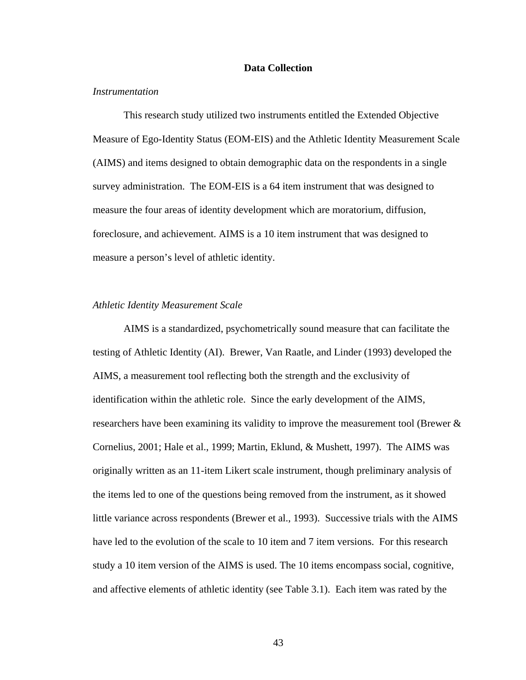### **Data Collection**

## *Instrumentation*

This research study utilized two instruments entitled the Extended Objective Measure of Ego-Identity Status (EOM-EIS) and the Athletic Identity Measurement Scale (AIMS) and items designed to obtain demographic data on the respondents in a single survey administration. The EOM-EIS is a 64 item instrument that was designed to measure the four areas of identity development which are moratorium, diffusion, foreclosure, and achievement. AIMS is a 10 item instrument that was designed to measure a person's level of athletic identity.

#### *Athletic Identity Measurement Scale*

AIMS is a standardized, psychometrically sound measure that can facilitate the testing of Athletic Identity (AI). Brewer, Van Raatle, and Linder (1993) developed the AIMS, a measurement tool reflecting both the strength and the exclusivity of identification within the athletic role. Since the early development of the AIMS, researchers have been examining its validity to improve the measurement tool (Brewer & Cornelius, 2001; Hale et al., 1999; Martin, Eklund, & Mushett, 1997). The AIMS was originally written as an 11-item Likert scale instrument, though preliminary analysis of the items led to one of the questions being removed from the instrument, as it showed little variance across respondents (Brewer et al., 1993). Successive trials with the AIMS have led to the evolution of the scale to 10 item and 7 item versions. For this research study a 10 item version of the AIMS is used. The 10 items encompass social, cognitive, and affective elements of athletic identity (see Table 3.1). Each item was rated by the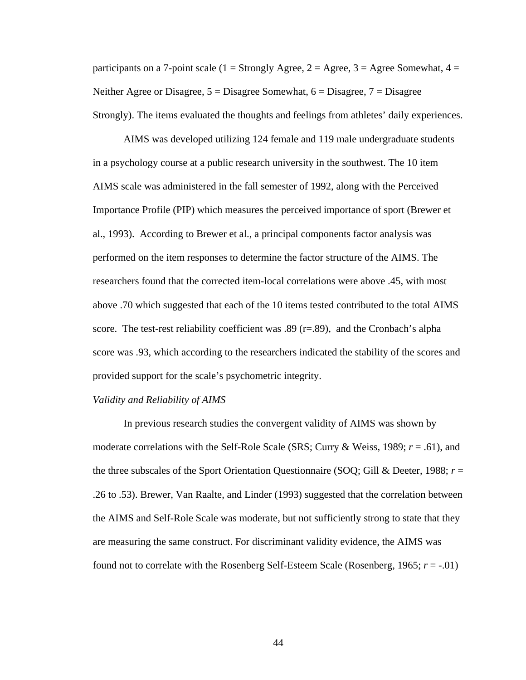participants on a 7-point scale (1 = Strongly Agree, 2 = Agree, 3 = Agree Somewhat, 4 = Neither Agree or Disagree,  $5 = Disagree$  Somewhat,  $6 = Disagree$ ,  $7 = Disagree$ Strongly). The items evaluated the thoughts and feelings from athletes' daily experiences.

AIMS was developed utilizing 124 female and 119 male undergraduate students in a psychology course at a public research university in the southwest. The 10 item AIMS scale was administered in the fall semester of 1992, along with the Perceived Importance Profile (PIP) which measures the perceived importance of sport (Brewer et al., 1993). According to Brewer et al., a principal components factor analysis was performed on the item responses to determine the factor structure of the AIMS. The researchers found that the corrected item-local correlations were above .45, with most above .70 which suggested that each of the 10 items tested contributed to the total AIMS score. The test-rest reliability coefficient was  $.89$  (r= $.89$ ), and the Cronbach's alpha score was .93, which according to the researchers indicated the stability of the scores and provided support for the scale's psychometric integrity.

### *Validity and Reliability of AIMS*

In previous research studies the convergent validity of AIMS was shown by moderate correlations with the Self-Role Scale (SRS; Curry & Weiss, 1989; *r* = .61), and the three subscales of the Sport Orientation Questionnaire (SOQ; Gill & Deeter, 1988; *r* = .26 to .53). Brewer, Van Raalte, and Linder (1993) suggested that the correlation between the AIMS and Self-Role Scale was moderate, but not sufficiently strong to state that they are measuring the same construct. For discriminant validity evidence, the AIMS was found not to correlate with the Rosenberg Self-Esteem Scale (Rosenberg, 1965;  $r = -0.01$ )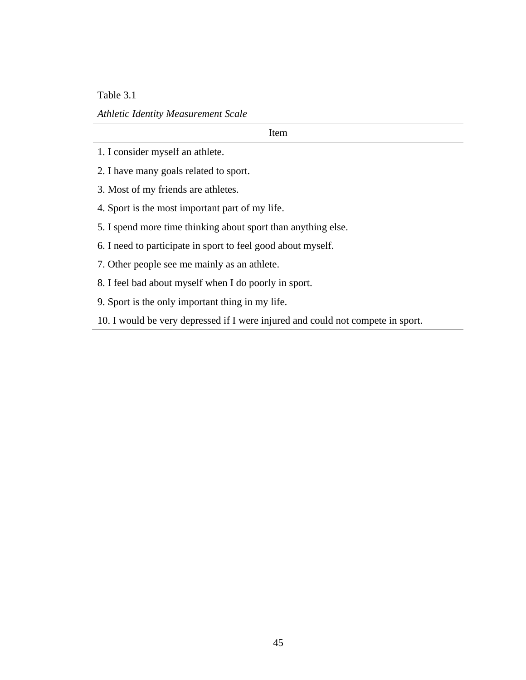Table 3.1

*Athletic Identity Measurement Scale*

Item

- 1. I consider myself an athlete.
- 2. I have many goals related to sport.
- 3. Most of my friends are athletes.
- 4. Sport is the most important part of my life.
- 5. I spend more time thinking about sport than anything else.
- 6. I need to participate in sport to feel good about myself.
- 7. Other people see me mainly as an athlete.
- 8. I feel bad about myself when I do poorly in sport.
- 9. Sport is the only important thing in my life.
- 10. I would be very depressed if I were injured and could not compete in sport.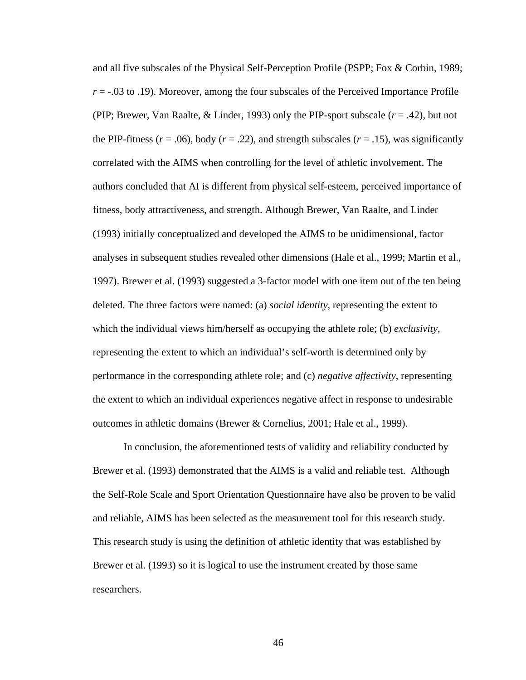and all five subscales of the Physical Self-Perception Profile (PSPP; Fox & Corbin, 1989;  $r = -0.03$  to .19). Moreover, among the four subscales of the Perceived Importance Profile (PIP; Brewer, Van Raalte, & Linder, 1993) only the PIP-sport subscale (*r* = .42), but not the PIP-fitness ( $r = .06$ ), body ( $r = .22$ ), and strength subscales ( $r = .15$ ), was significantly correlated with the AIMS when controlling for the level of athletic involvement. The authors concluded that AI is different from physical self-esteem, perceived importance of fitness, body attractiveness, and strength. Although Brewer, Van Raalte, and Linder (1993) initially conceptualized and developed the AIMS to be unidimensional, factor analyses in subsequent studies revealed other dimensions (Hale et al., 1999; Martin et al., 1997). Brewer et al. (1993) suggested a 3-factor model with one item out of the ten being deleted. The three factors were named: (a) *social identity*, representing the extent to which the individual views him/herself as occupying the athlete role; (b) *exclusivity*, representing the extent to which an individual's self-worth is determined only by performance in the corresponding athlete role; and (c) *negative affectivity*, representing the extent to which an individual experiences negative affect in response to undesirable outcomes in athletic domains (Brewer & Cornelius, 2001; Hale et al., 1999).

In conclusion, the aforementioned tests of validity and reliability conducted by Brewer et al. (1993) demonstrated that the AIMS is a valid and reliable test. Although the Self-Role Scale and Sport Orientation Questionnaire have also be proven to be valid and reliable, AIMS has been selected as the measurement tool for this research study. This research study is using the definition of athletic identity that was established by Brewer et al. (1993) so it is logical to use the instrument created by those same researchers.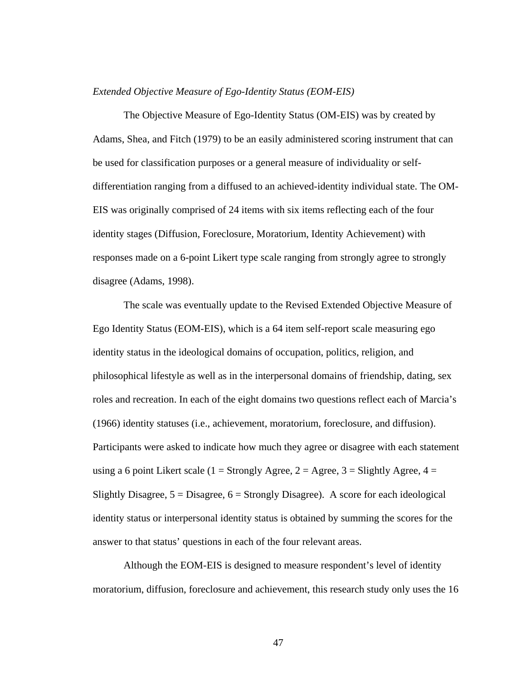### *Extended Objective Measure of Ego-Identity Status (EOM-EIS)*

The Objective Measure of Ego-Identity Status (OM-EIS) was by created by Adams, Shea, and Fitch (1979) to be an easily administered scoring instrument that can be used for classification purposes or a general measure of individuality or selfdifferentiation ranging from a diffused to an achieved-identity individual state. The OM-EIS was originally comprised of 24 items with six items reflecting each of the four identity stages (Diffusion, Foreclosure, Moratorium, Identity Achievement) with responses made on a 6-point Likert type scale ranging from strongly agree to strongly disagree (Adams, 1998).

The scale was eventually update to the Revised Extended Objective Measure of Ego Identity Status (EOM-EIS), which is a 64 item self-report scale measuring ego identity status in the ideological domains of occupation, politics, religion, and philosophical lifestyle as well as in the interpersonal domains of friendship, dating, sex roles and recreation. In each of the eight domains two questions reflect each of Marcia's (1966) identity statuses (i.e., achievement, moratorium, foreclosure, and diffusion). Participants were asked to indicate how much they agree or disagree with each statement using a 6 point Likert scale (1 = Strongly Agree, 2 = Agree, 3 = Slightly Agree,  $4 =$ Slightly Disagree,  $5 =$  Disagree,  $6 =$  Strongly Disagree). A score for each ideological identity status or interpersonal identity status is obtained by summing the scores for the answer to that status' questions in each of the four relevant areas.

Although the EOM-EIS is designed to measure respondent's level of identity moratorium, diffusion, foreclosure and achievement, this research study only uses the 16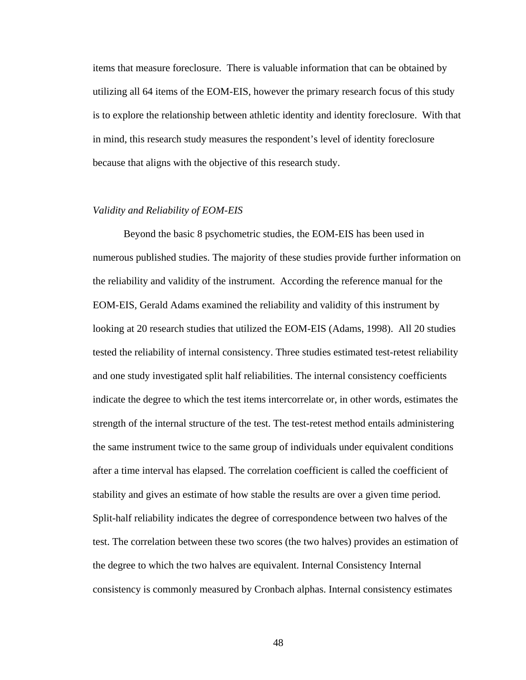items that measure foreclosure. There is valuable information that can be obtained by utilizing all 64 items of the EOM-EIS, however the primary research focus of this study is to explore the relationship between athletic identity and identity foreclosure. With that in mind, this research study measures the respondent's level of identity foreclosure because that aligns with the objective of this research study.

# *Validity and Reliability of EOM-EIS*

Beyond the basic 8 psychometric studies, the EOM-EIS has been used in numerous published studies. The majority of these studies provide further information on the reliability and validity of the instrument. According the reference manual for the EOM-EIS, Gerald Adams examined the reliability and validity of this instrument by looking at 20 research studies that utilized the EOM-EIS (Adams, 1998). All 20 studies tested the reliability of internal consistency. Three studies estimated test-retest reliability and one study investigated split half reliabilities. The internal consistency coefficients indicate the degree to which the test items intercorrelate or, in other words, estimates the strength of the internal structure of the test. The test-retest method entails administering the same instrument twice to the same group of individuals under equivalent conditions after a time interval has elapsed. The correlation coefficient is called the coefficient of stability and gives an estimate of how stable the results are over a given time period. Split-half reliability indicates the degree of correspondence between two halves of the test. The correlation between these two scores (the two halves) provides an estimation of the degree to which the two halves are equivalent. Internal Consistency Internal consistency is commonly measured by Cronbach alphas. Internal consistency estimates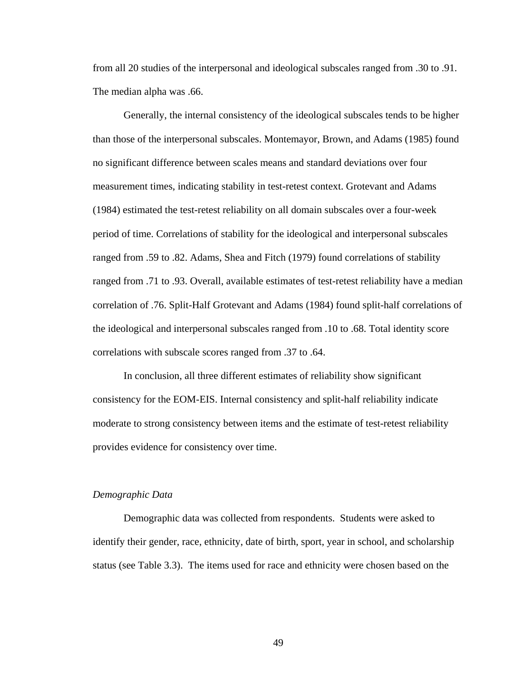from all 20 studies of the interpersonal and ideological subscales ranged from .30 to .91. The median alpha was .66.

Generally, the internal consistency of the ideological subscales tends to be higher than those of the interpersonal subscales. Montemayor, Brown, and Adams (1985) found no significant difference between scales means and standard deviations over four measurement times, indicating stability in test-retest context. Grotevant and Adams (1984) estimated the test-retest reliability on all domain subscales over a four-week period of time. Correlations of stability for the ideological and interpersonal subscales ranged from .59 to .82. Adams, Shea and Fitch (1979) found correlations of stability ranged from .71 to .93. Overall, available estimates of test-retest reliability have a median correlation of .76. Split-Half Grotevant and Adams (1984) found split-half correlations of the ideological and interpersonal subscales ranged from .10 to .68. Total identity score correlations with subscale scores ranged from .37 to .64.

In conclusion, all three different estimates of reliability show significant consistency for the EOM-EIS. Internal consistency and split-half reliability indicate moderate to strong consistency between items and the estimate of test-retest reliability provides evidence for consistency over time.

#### *Demographic Data*

Demographic data was collected from respondents. Students were asked to identify their gender, race, ethnicity, date of birth, sport, year in school, and scholarship status (see Table 3.3). The items used for race and ethnicity were chosen based on the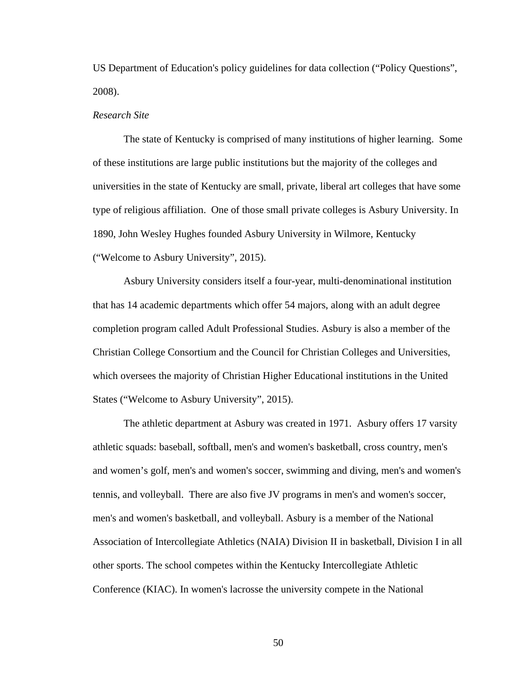US Department of Education's policy guidelines for data collection ("Policy Questions", 2008).

### *Research Site*

The state of Kentucky is comprised of many institutions of higher learning. Some of these institutions are large public institutions but the majority of the colleges and universities in the state of Kentucky are small, private, liberal art colleges that have some type of religious affiliation. One of those small private colleges is Asbury University. In 1890, John Wesley Hughes founded Asbury University in Wilmore, Kentucky ("Welcome to Asbury University", 2015).

Asbury University considers itself a four-year, multi-denominational institution that has 14 academic departments which offer 54 majors, along with an adult degree completion program called Adult Professional Studies. Asbury is also a member of the Christian College Consortium and the Council for Christian Colleges and Universities, which oversees the majority of Christian Higher Educational institutions in the United States ("Welcome to Asbury University", 2015).

The athletic department at Asbury was created in 1971. Asbury offers 17 varsity athletic squads: baseball, softball, men's and women's basketball, cross country, men's and women's golf, men's and women's soccer, swimming and diving, men's and women's tennis, and volleyball. There are also five JV programs in men's and women's soccer, men's and women's basketball, and volleyball. Asbury is a member of the National Association of Intercollegiate Athletics (NAIA) Division II in basketball, Division I in all other sports. The school competes within the Kentucky Intercollegiate Athletic Conference (KIAC). In women's lacrosse the university compete in the National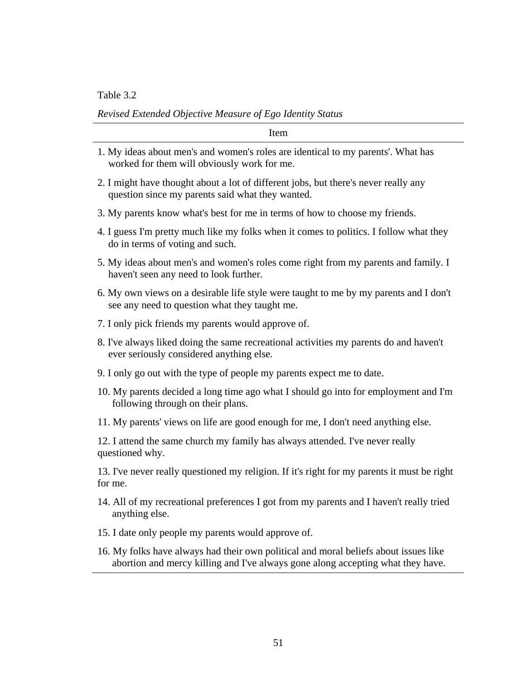Table 3.2

*Revised Extended Objective Measure of Ego Identity Status*

Item

- 1. My ideas about men's and women's roles are identical to my parents'. What has worked for them will obviously work for me.
- 2. I might have thought about a lot of different jobs, but there's never really any question since my parents said what they wanted.
- 3. My parents know what's best for me in terms of how to choose my friends.
- 4. I guess I'm pretty much like my folks when it comes to politics. I follow what they do in terms of voting and such.
- 5. My ideas about men's and women's roles come right from my parents and family. I haven't seen any need to look further.
- 6. My own views on a desirable life style were taught to me by my parents and I don't see any need to question what they taught me.
- 7. I only pick friends my parents would approve of.
- 8. I've always liked doing the same recreational activities my parents do and haven't ever seriously considered anything else.
- 9. I only go out with the type of people my parents expect me to date.
- 10. My parents decided a long time ago what I should go into for employment and I'm following through on their plans.
- 11. My parents' views on life are good enough for me, I don't need anything else.

12. I attend the same church my family has always attended. I've never really questioned why.

13. I've never really questioned my religion. If it's right for my parents it must be right for me.

- 14. All of my recreational preferences I got from my parents and I haven't really tried anything else.
- 15. I date only people my parents would approve of.
- 16. My folks have always had their own political and moral beliefs about issues like abortion and mercy killing and I've always gone along accepting what they have.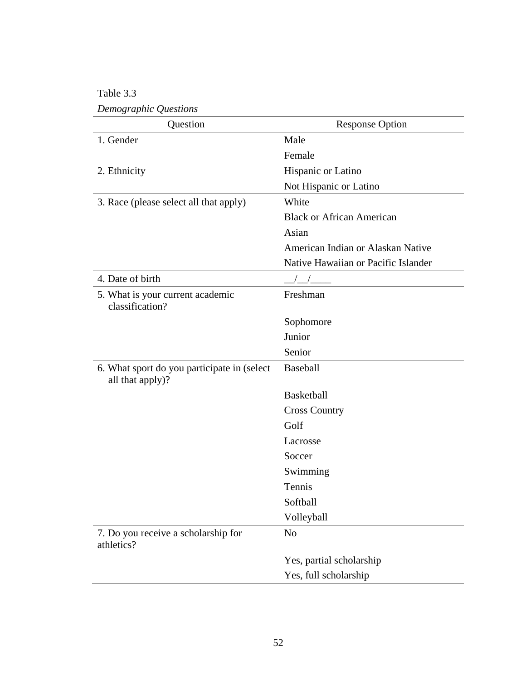Table 3.3 *Demographic Questions*

| Question                                                         | <b>Response Option</b>              |
|------------------------------------------------------------------|-------------------------------------|
| 1. Gender                                                        | Male                                |
|                                                                  | Female                              |
| 2. Ethnicity                                                     | Hispanic or Latino                  |
|                                                                  | Not Hispanic or Latino              |
| 3. Race (please select all that apply)                           | White                               |
|                                                                  | <b>Black or African American</b>    |
|                                                                  | Asian                               |
|                                                                  | American Indian or Alaskan Native   |
|                                                                  | Native Hawaiian or Pacific Islander |
| 4. Date of birth                                                 |                                     |
| 5. What is your current academic<br>classification?              | Freshman                            |
|                                                                  | Sophomore                           |
|                                                                  | Junior                              |
|                                                                  | Senior                              |
| 6. What sport do you participate in (select)<br>all that apply)? | Baseball                            |
|                                                                  | Basketball                          |
|                                                                  | <b>Cross Country</b>                |
|                                                                  | Golf                                |
|                                                                  | Lacrosse                            |
|                                                                  | Soccer                              |
|                                                                  | Swimming                            |
|                                                                  | Tennis                              |
|                                                                  | Softball                            |
|                                                                  | Volleyball                          |
| 7. Do you receive a scholarship for<br>athletics?                | N <sub>o</sub>                      |
|                                                                  | Yes, partial scholarship            |
|                                                                  | Yes, full scholarship               |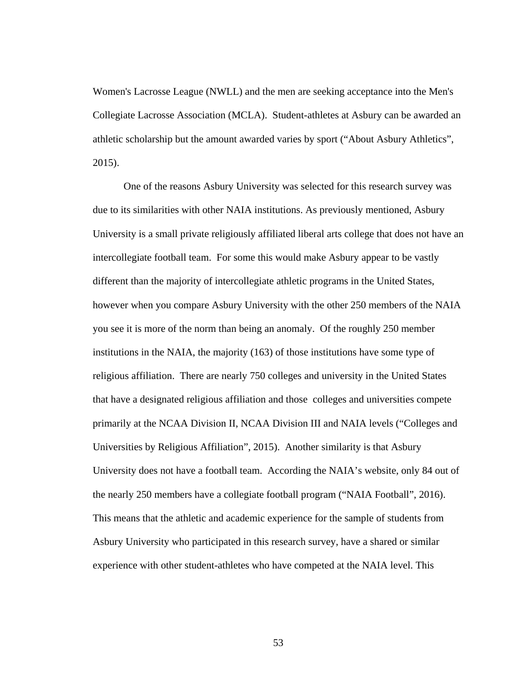Women's Lacrosse League (NWLL) and the men are seeking acceptance into the Men's Collegiate Lacrosse Association (MCLA). Student-athletes at Asbury can be awarded an athletic scholarship but the amount awarded varies by sport ("About Asbury Athletics", 2015).

One of the reasons Asbury University was selected for this research survey was due to its similarities with other NAIA institutions. As previously mentioned, Asbury University is a small private religiously affiliated liberal arts college that does not have an intercollegiate football team. For some this would make Asbury appear to be vastly different than the majority of intercollegiate athletic programs in the United States, however when you compare Asbury University with the other 250 members of the NAIA you see it is more of the norm than being an anomaly. Of the roughly 250 member institutions in the NAIA, the majority (163) of those institutions have some type of religious affiliation. There are nearly 750 colleges and university in the United States that have a designated religious affiliation and those colleges and universities compete primarily at the NCAA Division II, NCAA Division III and NAIA levels ("Colleges and Universities by Religious Affiliation", 2015). Another similarity is that Asbury University does not have a football team. According the NAIA's website, only 84 out of the nearly 250 members have a collegiate football program ("NAIA Football", 2016). This means that the athletic and academic experience for the sample of students from Asbury University who participated in this research survey, have a shared or similar experience with other student-athletes who have competed at the NAIA level. This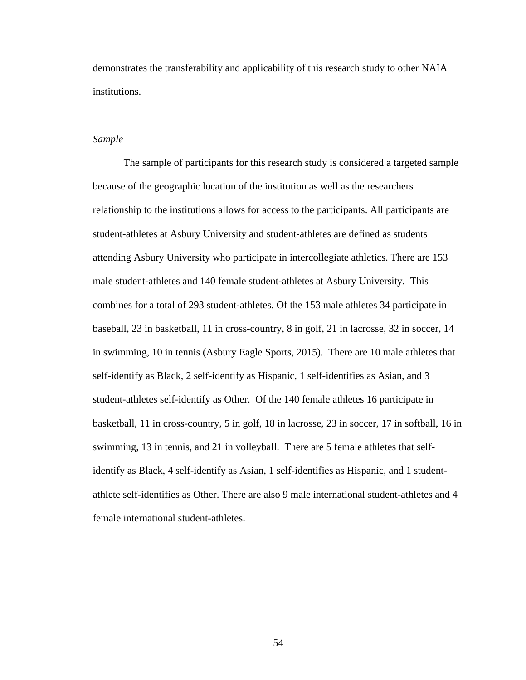demonstrates the transferability and applicability of this research study to other NAIA institutions.

### *Sample*

The sample of participants for this research study is considered a targeted sample because of the geographic location of the institution as well as the researchers relationship to the institutions allows for access to the participants. All participants are student-athletes at Asbury University and student-athletes are defined as students attending Asbury University who participate in intercollegiate athletics. There are 153 male student-athletes and 140 female student-athletes at Asbury University. This combines for a total of 293 student-athletes. Of the 153 male athletes 34 participate in baseball, 23 in basketball, 11 in cross-country, 8 in golf, 21 in lacrosse, 32 in soccer, 14 in swimming, 10 in tennis (Asbury Eagle Sports, 2015). There are 10 male athletes that self-identify as Black, 2 self-identify as Hispanic, 1 self-identifies as Asian, and 3 student-athletes self-identify as Other. Of the 140 female athletes 16 participate in basketball, 11 in cross-country, 5 in golf, 18 in lacrosse, 23 in soccer, 17 in softball, 16 in swimming, 13 in tennis, and 21 in volleyball. There are 5 female athletes that selfidentify as Black, 4 self-identify as Asian, 1 self-identifies as Hispanic, and 1 studentathlete self-identifies as Other. There are also 9 male international student-athletes and 4 female international student-athletes.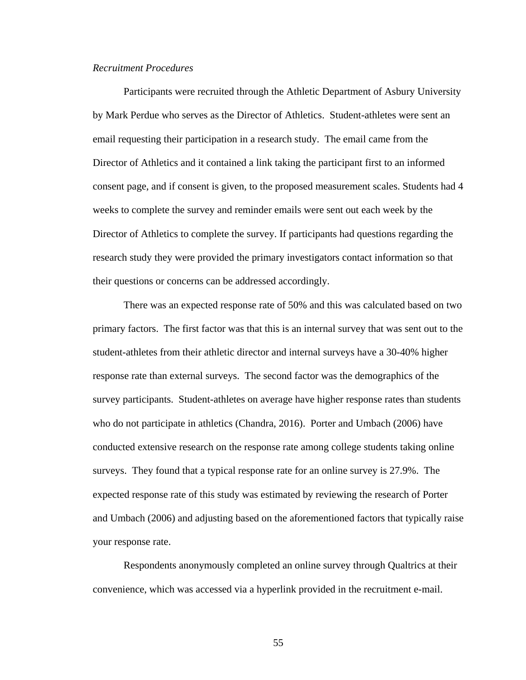#### *Recruitment Procedures*

Participants were recruited through the Athletic Department of Asbury University by Mark Perdue who serves as the Director of Athletics. Student-athletes were sent an email requesting their participation in a research study. The email came from the Director of Athletics and it contained a link taking the participant first to an informed consent page, and if consent is given, to the proposed measurement scales. Students had 4 weeks to complete the survey and reminder emails were sent out each week by the Director of Athletics to complete the survey. If participants had questions regarding the research study they were provided the primary investigators contact information so that their questions or concerns can be addressed accordingly.

There was an expected response rate of 50% and this was calculated based on two primary factors. The first factor was that this is an internal survey that was sent out to the student-athletes from their athletic director and internal surveys have a 30-40% higher response rate than external surveys. The second factor was the demographics of the survey participants. Student-athletes on average have higher response rates than students who do not participate in athletics (Chandra, 2016). Porter and Umbach (2006) have conducted extensive research on the response rate among college students taking online surveys. They found that a typical response rate for an online survey is 27.9%. The expected response rate of this study was estimated by reviewing the research of Porter and Umbach (2006) and adjusting based on the aforementioned factors that typically raise your response rate.

Respondents anonymously completed an online survey through Qualtrics at their convenience, which was accessed via a hyperlink provided in the recruitment e-mail.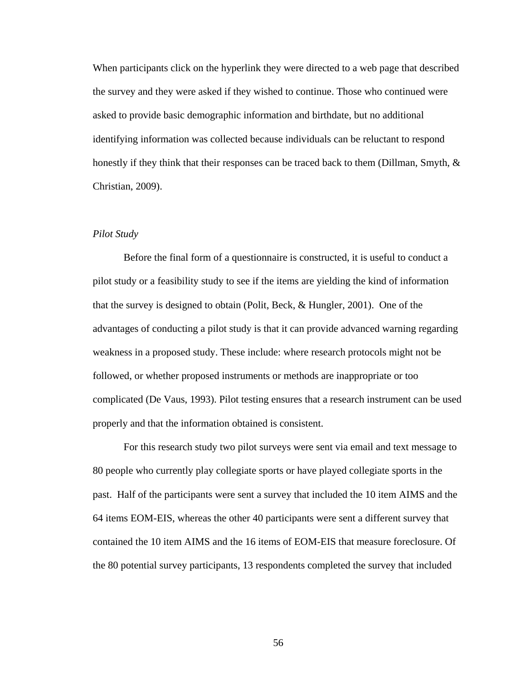When participants click on the hyperlink they were directed to a web page that described the survey and they were asked if they wished to continue. Those who continued were asked to provide basic demographic information and birthdate, but no additional identifying information was collected because individuals can be reluctant to respond honestly if they think that their responses can be traced back to them (Dillman, Smyth, & Christian, 2009).

# *Pilot Study*

Before the final form of a questionnaire is constructed, it is useful to conduct a pilot study or a feasibility study to see if the items are yielding the kind of information that the survey is designed to obtain (Polit, Beck, & Hungler, 2001). One of the advantages of conducting a pilot study is that it can provide advanced warning regarding weakness in a proposed study. These include: where research protocols might not be followed, or whether proposed instruments or methods are inappropriate or too complicated (De Vaus, 1993). Pilot testing ensures that a research instrument can be used properly and that the information obtained is consistent.

For this research study two pilot surveys were sent via email and text message to 80 people who currently play collegiate sports or have played collegiate sports in the past. Half of the participants were sent a survey that included the 10 item AIMS and the 64 items EOM-EIS, whereas the other 40 participants were sent a different survey that contained the 10 item AIMS and the 16 items of EOM-EIS that measure foreclosure. Of the 80 potential survey participants, 13 respondents completed the survey that included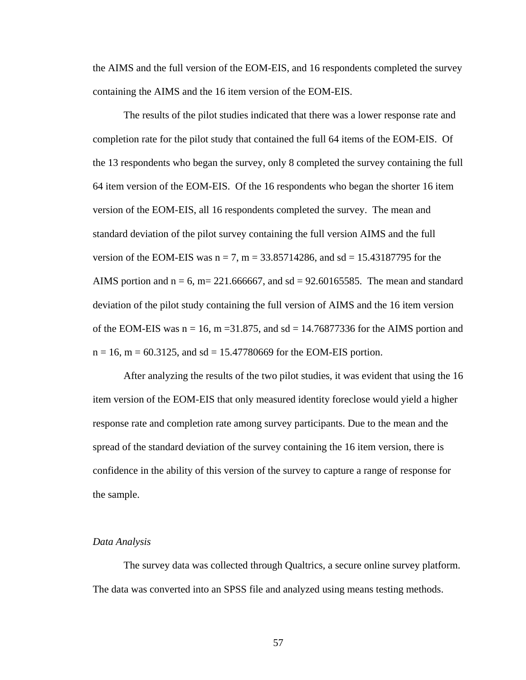the AIMS and the full version of the EOM-EIS, and 16 respondents completed the survey containing the AIMS and the 16 item version of the EOM-EIS.

The results of the pilot studies indicated that there was a lower response rate and completion rate for the pilot study that contained the full 64 items of the EOM-EIS. Of the 13 respondents who began the survey, only 8 completed the survey containing the full 64 item version of the EOM-EIS. Of the 16 respondents who began the shorter 16 item version of the EOM-EIS, all 16 respondents completed the survey. The mean and standard deviation of the pilot survey containing the full version AIMS and the full version of the EOM-EIS was  $n = 7$ ,  $m = 33.85714286$ , and sd = 15.43187795 for the AIMS portion and  $n = 6$ ,  $m = 221.666667$ , and sd = 92.60165585. The mean and standard deviation of the pilot study containing the full version of AIMS and the 16 item version of the EOM-EIS was  $n = 16$ ,  $m = 31.875$ , and sd = 14.76877336 for the AIMS portion and  $n = 16$ ,  $m = 60.3125$ , and  $sd = 15.47780669$  for the EOM-EIS portion.

After analyzing the results of the two pilot studies, it was evident that using the 16 item version of the EOM-EIS that only measured identity foreclose would yield a higher response rate and completion rate among survey participants. Due to the mean and the spread of the standard deviation of the survey containing the 16 item version, there is confidence in the ability of this version of the survey to capture a range of response for the sample.

#### *Data Analysis*

The survey data was collected through Qualtrics, a secure online survey platform. The data was converted into an SPSS file and analyzed using means testing methods.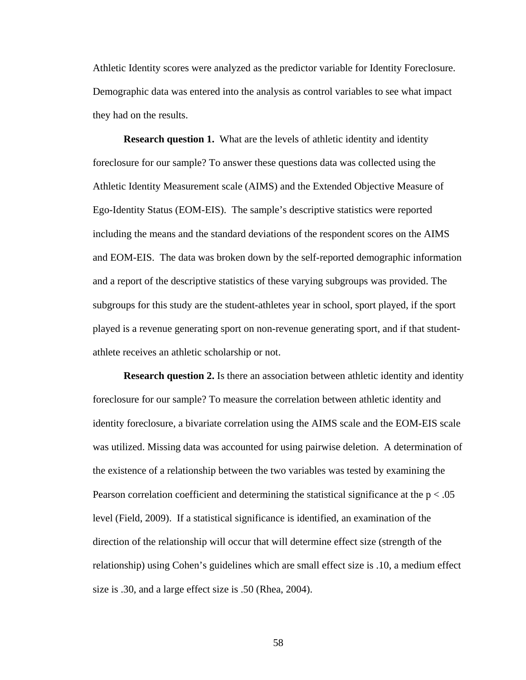Athletic Identity scores were analyzed as the predictor variable for Identity Foreclosure. Demographic data was entered into the analysis as control variables to see what impact they had on the results.

**Research question 1.** What are the levels of athletic identity and identity foreclosure for our sample? To answer these questions data was collected using the Athletic Identity Measurement scale (AIMS) and the Extended Objective Measure of Ego-Identity Status (EOM-EIS). The sample's descriptive statistics were reported including the means and the standard deviations of the respondent scores on the AIMS and EOM-EIS. The data was broken down by the self-reported demographic information and a report of the descriptive statistics of these varying subgroups was provided. The subgroups for this study are the student-athletes year in school, sport played, if the sport played is a revenue generating sport on non-revenue generating sport, and if that studentathlete receives an athletic scholarship or not.

**Research question 2.** Is there an association between athletic identity and identity foreclosure for our sample? To measure the correlation between athletic identity and identity foreclosure, a bivariate correlation using the AIMS scale and the EOM-EIS scale was utilized. Missing data was accounted for using pairwise deletion. A determination of the existence of a relationship between the two variables was tested by examining the Pearson correlation coefficient and determining the statistical significance at the  $p < .05$ level (Field, 2009). If a statistical significance is identified, an examination of the direction of the relationship will occur that will determine effect size (strength of the relationship) using Cohen's guidelines which are small effect size is .10, a medium effect size is .30, and a large effect size is .50 (Rhea, 2004).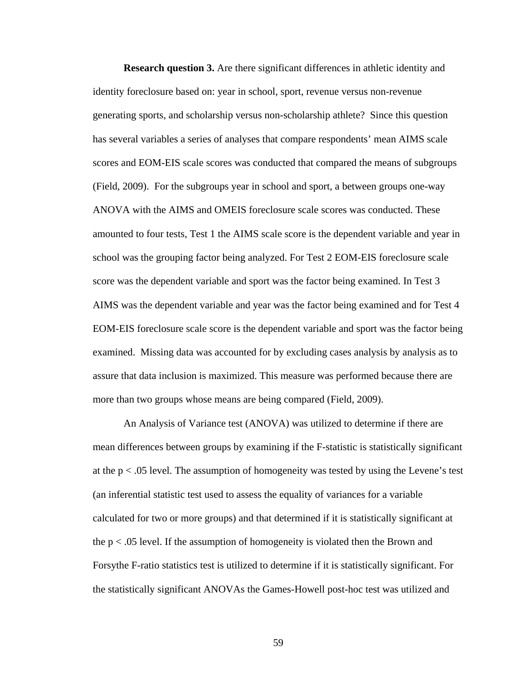**Research question 3.** Are there significant differences in athletic identity and identity foreclosure based on: year in school, sport, revenue versus non-revenue generating sports, and scholarship versus non-scholarship athlete? Since this question has several variables a series of analyses that compare respondents' mean AIMS scale scores and EOM-EIS scale scores was conducted that compared the means of subgroups (Field, 2009). For the subgroups year in school and sport, a between groups one-way ANOVA with the AIMS and OMEIS foreclosure scale scores was conducted. These amounted to four tests, Test 1 the AIMS scale score is the dependent variable and year in school was the grouping factor being analyzed. For Test 2 EOM-EIS foreclosure scale score was the dependent variable and sport was the factor being examined. In Test 3 AIMS was the dependent variable and year was the factor being examined and for Test 4 EOM-EIS foreclosure scale score is the dependent variable and sport was the factor being examined. Missing data was accounted for by excluding cases analysis by analysis as to assure that data inclusion is maximized. This measure was performed because there are more than two groups whose means are being compared (Field, 2009).

An Analysis of Variance test (ANOVA) was utilized to determine if there are mean differences between groups by examining if the F-statistic is statistically significant at the  $p < .05$  level. The assumption of homogeneity was tested by using the Levene's test (an inferential statistic test used to assess the equality of [variances](https://en.wikipedia.org/wiki/Variance) for a variable calculated for two or more groups) and that determined if it is statistically significant at the  $p < .05$  level. If the assumption of homogeneity is violated then the Brown and Forsythe F-ratio statistics test is utilized to determine if it is statistically significant. For the statistically significant ANOVAs the Games-Howell post-hoc test was utilized and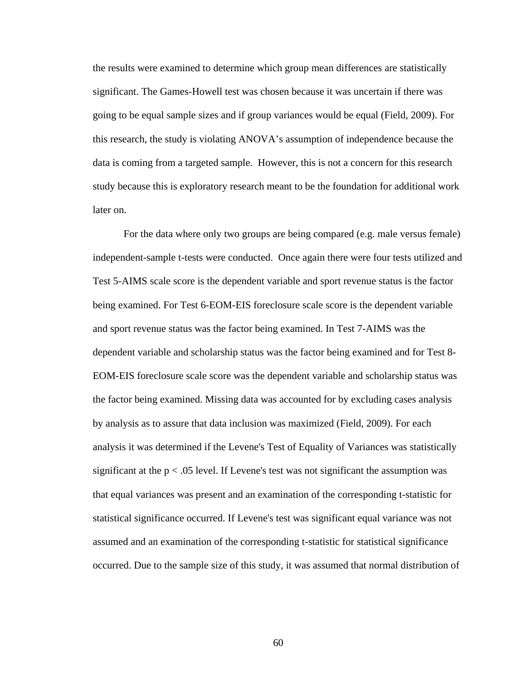the results were examined to determine which group mean differences are statistically significant. The Games-Howell test was chosen because it was uncertain if there was going to be equal sample sizes and if group variances would be equal (Field, 2009). For this research, the study is violating ANOVA's assumption of independence because the data is coming from a targeted sample. However, this is not a concern for this research study because this is exploratory research meant to be the foundation for additional work later on.

For the data where only two groups are being compared (e.g. male versus female) independent-sample t-tests were conducted. Once again there were four tests utilized and Test 5-AIMS scale score is the dependent variable and sport revenue status is the factor being examined. For Test 6-EOM-EIS foreclosure scale score is the dependent variable and sport revenue status was the factor being examined. In Test 7-AIMS was the dependent variable and scholarship status was the factor being examined and for Test 8- EOM-EIS foreclosure scale score was the dependent variable and scholarship status was the factor being examined. Missing data was accounted for by excluding cases analysis by analysis as to assure that data inclusion was maximized (Field, 2009). For each analysis it was determined if the Levene's Test of Equality of Variances was statistically significant at the  $p < .05$  level. If Levene's test was not significant the assumption was that equal variances was present and an examination of the corresponding t-statistic for statistical significance occurred. If Levene's test was significant equal variance was not assumed and an examination of the corresponding t-statistic for statistical significance occurred. Due to the sample size of this study, it was assumed that normal distribution of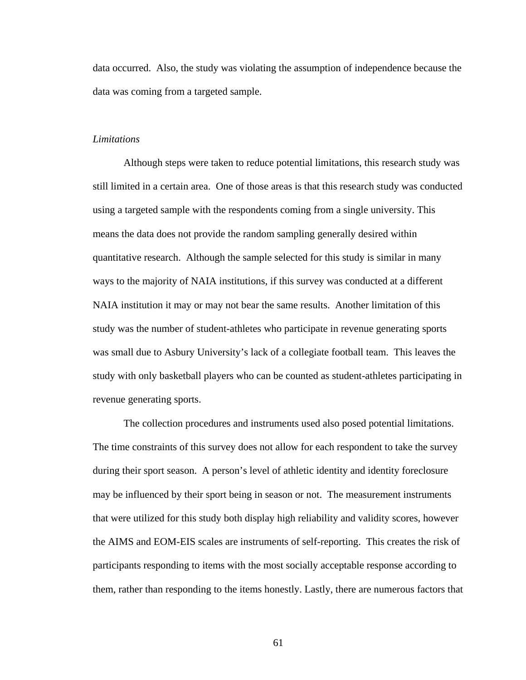data occurred. Also, the study was violating the assumption of independence because the data was coming from a targeted sample.

### *Limitations*

Although steps were taken to reduce potential limitations, this research study was still limited in a certain area. One of those areas is that this research study was conducted using a targeted sample with the respondents coming from a single university. This means the data does not provide the random sampling generally desired within quantitative research. Although the sample selected for this study is similar in many ways to the majority of NAIA institutions, if this survey was conducted at a different NAIA institution it may or may not bear the same results. Another limitation of this study was the number of student-athletes who participate in revenue generating sports was small due to Asbury University's lack of a collegiate football team. This leaves the study with only basketball players who can be counted as student-athletes participating in revenue generating sports.

The collection procedures and instruments used also posed potential limitations. The time constraints of this survey does not allow for each respondent to take the survey during their sport season. A person's level of athletic identity and identity foreclosure may be influenced by their sport being in season or not. The measurement instruments that were utilized for this study both display high reliability and validity scores, however the AIMS and EOM-EIS scales are instruments of self-reporting. This creates the risk of participants responding to items with the most socially acceptable response according to them, rather than responding to the items honestly. Lastly, there are numerous factors that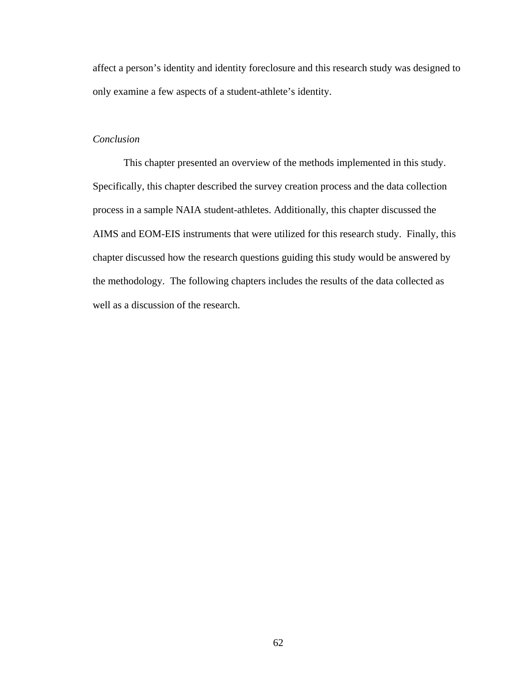affect a person's identity and identity foreclosure and this research study was designed to only examine a few aspects of a student-athlete's identity.

# *Conclusion*

This chapter presented an overview of the methods implemented in this study. Specifically, this chapter described the survey creation process and the data collection process in a sample NAIA student-athletes. Additionally, this chapter discussed the AIMS and EOM-EIS instruments that were utilized for this research study. Finally, this chapter discussed how the research questions guiding this study would be answered by the methodology. The following chapters includes the results of the data collected as well as a discussion of the research.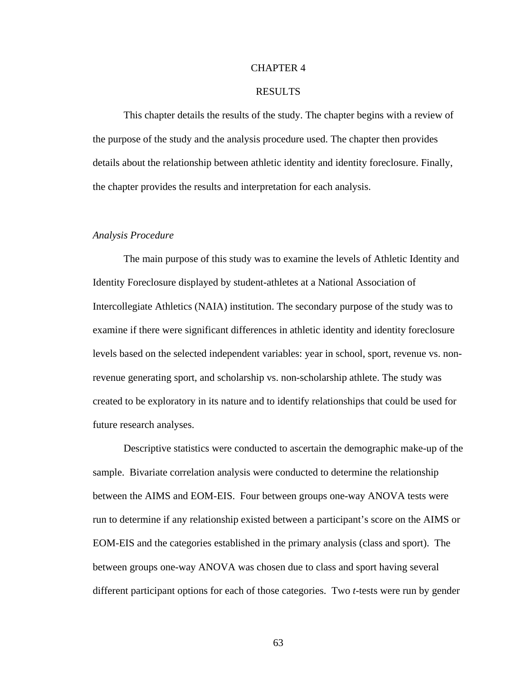## CHAPTER 4

# RESULTS

This chapter details the results of the study. The chapter begins with a review of the purpose of the study and the analysis procedure used. The chapter then provides details about the relationship between athletic identity and identity foreclosure. Finally, the chapter provides the results and interpretation for each analysis.

# *Analysis Procedure*

The main purpose of this study was to examine the levels of Athletic Identity and Identity Foreclosure displayed by student-athletes at a National Association of Intercollegiate Athletics (NAIA) institution. The secondary purpose of the study was to examine if there were significant differences in athletic identity and identity foreclosure levels based on the selected independent variables: year in school, sport, revenue vs. nonrevenue generating sport, and scholarship vs. non-scholarship athlete. The study was created to be exploratory in its nature and to identify relationships that could be used for future research analyses.

Descriptive statistics were conducted to ascertain the demographic make-up of the sample. Bivariate correlation analysis were conducted to determine the relationship between the AIMS and EOM-EIS. Four between groups one-way ANOVA tests were run to determine if any relationship existed between a participant's score on the AIMS or EOM-EIS and the categories established in the primary analysis (class and sport). The between groups one-way ANOVA was chosen due to class and sport having several different participant options for each of those categories. Two *t*-tests were run by gender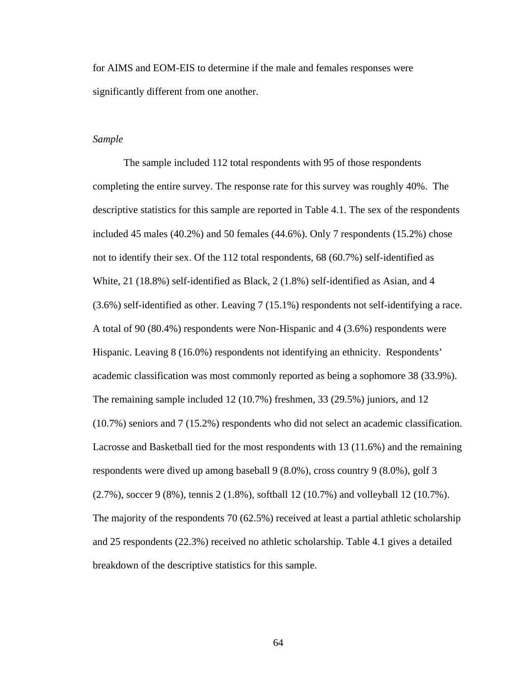for AIMS and EOM-EIS to determine if the male and females responses were significantly different from one another.

# *Sample*

The sample included 112 total respondents with 95 of those respondents completing the entire survey. The response rate for this survey was roughly 40%. The descriptive statistics for this sample are reported in Table 4.1. The sex of the respondents included 45 males (40.2%) and 50 females (44.6%). Only 7 respondents (15.2%) chose not to identify their sex. Of the 112 total respondents, 68 (60.7%) self-identified as White, 21 (18.8%) self-identified as Black, 2 (1.8%) self-identified as Asian, and 4 (3.6%) self-identified as other. Leaving 7 (15.1%) respondents not self-identifying a race. A total of 90 (80.4%) respondents were Non-Hispanic and 4 (3.6%) respondents were Hispanic. Leaving 8 (16.0%) respondents not identifying an ethnicity. Respondents' academic classification was most commonly reported as being a sophomore 38 (33.9%). The remaining sample included 12 (10.7%) freshmen, 33 (29.5%) juniors, and 12 (10.7%) seniors and 7 (15.2%) respondents who did not select an academic classification. Lacrosse and Basketball tied for the most respondents with 13 (11.6%) and the remaining respondents were dived up among baseball 9 (8.0%), cross country 9 (8.0%), golf 3 (2.7%), soccer 9 (8%), tennis 2 (1.8%), softball 12 (10.7%) and volleyball 12 (10.7%). The majority of the respondents 70 (62.5%) received at least a partial athletic scholarship and 25 respondents (22.3%) received no athletic scholarship. Table 4.1 gives a detailed breakdown of the descriptive statistics for this sample.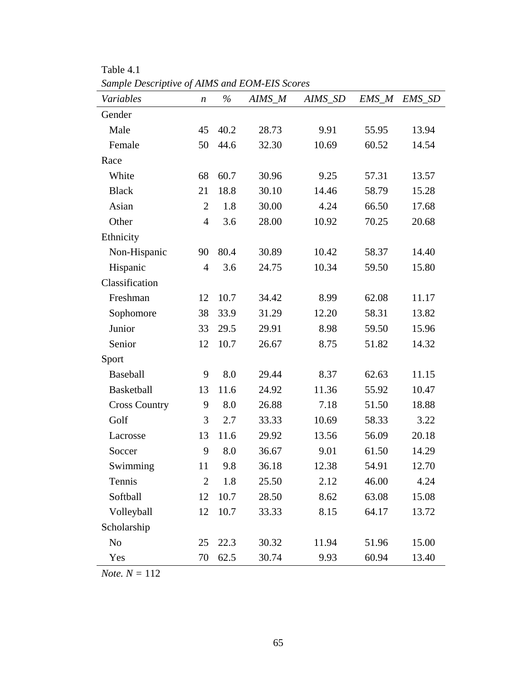| sample Descriptive of Alms and EOM-EIS Scores<br>Variables | $\boldsymbol{n}$ | $\frac{0}{0}$ | AIMS M | AIMS_SD | $EMS\_M$ | EMS_SD |
|------------------------------------------------------------|------------------|---------------|--------|---------|----------|--------|
| Gender                                                     |                  |               |        |         |          |        |
| Male                                                       | 45               | 40.2          | 28.73  | 9.91    | 55.95    | 13.94  |
| Female                                                     | 50               | 44.6          | 32.30  | 10.69   | 60.52    | 14.54  |
| Race                                                       |                  |               |        |         |          |        |
| White                                                      | 68               | 60.7          | 30.96  | 9.25    | 57.31    | 13.57  |
| <b>Black</b>                                               | 21               | 18.8          | 30.10  | 14.46   | 58.79    | 15.28  |
| Asian                                                      | $\overline{2}$   | 1.8           | 30.00  | 4.24    | 66.50    | 17.68  |
| Other                                                      | $\overline{4}$   | 3.6           | 28.00  | 10.92   | 70.25    | 20.68  |
| Ethnicity                                                  |                  |               |        |         |          |        |
| Non-Hispanic                                               | 90               | 80.4          | 30.89  | 10.42   | 58.37    | 14.40  |
| Hispanic                                                   | $\overline{4}$   | 3.6           | 24.75  | 10.34   | 59.50    | 15.80  |
| Classification                                             |                  |               |        |         |          |        |
| Freshman                                                   | 12               | 10.7          | 34.42  | 8.99    | 62.08    | 11.17  |
| Sophomore                                                  | 38               | 33.9          | 31.29  | 12.20   | 58.31    | 13.82  |
| Junior                                                     | 33               | 29.5          | 29.91  | 8.98    | 59.50    | 15.96  |
| Senior                                                     | 12               | 10.7          | 26.67  | 8.75    | 51.82    | 14.32  |
| Sport                                                      |                  |               |        |         |          |        |
| Baseball                                                   | 9                | 8.0           | 29.44  | 8.37    | 62.63    | 11.15  |
| <b>Basketball</b>                                          | 13               | 11.6          | 24.92  | 11.36   | 55.92    | 10.47  |
| <b>Cross Country</b>                                       | 9                | 8.0           | 26.88  | 7.18    | 51.50    | 18.88  |
| Golf                                                       | 3                | 2.7           | 33.33  | 10.69   | 58.33    | 3.22   |
| Lacrosse                                                   | 13               | 11.6          | 29.92  | 13.56   | 56.09    | 20.18  |
| Soccer                                                     | 9                | 8.0           | 36.67  | 9.01    | 61.50    | 14.29  |
| Swimming                                                   | 11               | 9.8           | 36.18  | 12.38   | 54.91    | 12.70  |
| Tennis                                                     | $\overline{2}$   | 1.8           | 25.50  | 2.12    | 46.00    | 4.24   |
| Softball                                                   | 12               | $10.7\,$      | 28.50  | 8.62    | 63.08    | 15.08  |
| Volleyball                                                 | 12               | 10.7          | 33.33  | 8.15    | 64.17    | 13.72  |
| Scholarship                                                |                  |               |        |         |          |        |
| No                                                         | 25               | 22.3          | 30.32  | 11.94   | 51.96    | 15.00  |
| Yes                                                        | 70               | 62.5          | 30.74  | 9.93    | 60.94    | 13.40  |

Table 4.1 *Sample Descriptive of AIMS and EOM-EIS Scores* 

*Note. N =* 112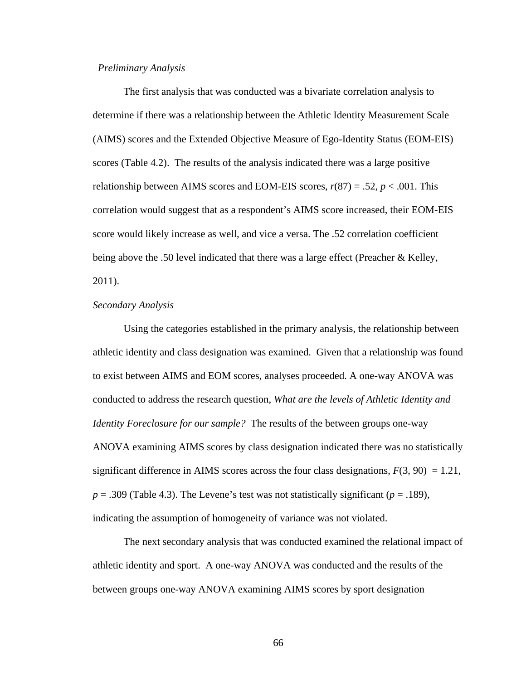## *Preliminary Analysis*

The first analysis that was conducted was a bivariate correlation analysis to determine if there was a relationship between the Athletic Identity Measurement Scale (AIMS) scores and the Extended Objective Measure of Ego-Identity Status (EOM-EIS) scores (Table 4.2). The results of the analysis indicated there was a large positive relationship between AIMS scores and EOM-EIS scores,  $r(87) = .52$ ,  $p < .001$ . This correlation would suggest that as a respondent's AIMS score increased, their EOM-EIS score would likely increase as well, and vice a versa. The .52 correlation coefficient being above the .50 level indicated that there was a large effect (Preacher & Kelley, 2011).

### *Secondary Analysis*

Using the categories established in the primary analysis, the relationship between athletic identity and class designation was examined. Given that a relationship was found to exist between AIMS and EOM scores, analyses proceeded. A one-way ANOVA was conducted to address the research question, *What are the levels of Athletic Identity and Identity Foreclosure for our sample?* The results of the between groups one-way ANOVA examining AIMS scores by class designation indicated there was no statistically significant difference in AIMS scores across the four class designations,  $F(3, 90) = 1.21$ ,  $p = .309$  (Table 4.3). The Levene's test was not statistically significant ( $p = .189$ ), indicating the assumption of homogeneity of variance was not violated.

The next secondary analysis that was conducted examined the relational impact of athletic identity and sport. A one-way ANOVA was conducted and the results of the between groups one-way ANOVA examining AIMS scores by sport designation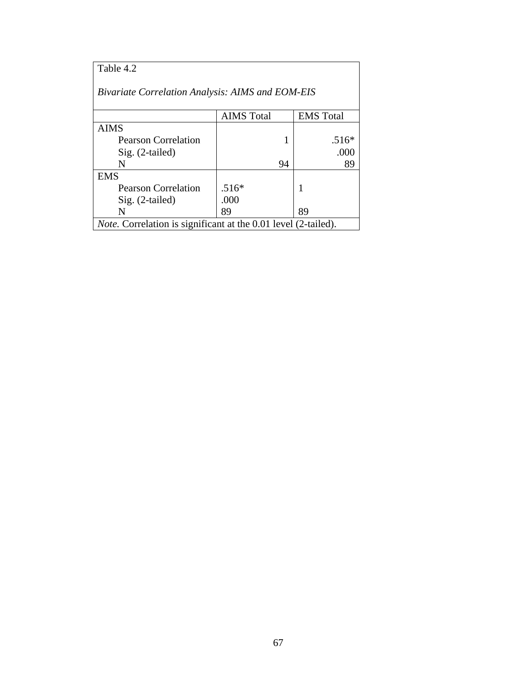| Table 4.2                                                             |                   |                  |  |  |  |  |  |  |  |  |
|-----------------------------------------------------------------------|-------------------|------------------|--|--|--|--|--|--|--|--|
| <b>Bivariate Correlation Analysis: AIMS and EOM-EIS</b>               |                   |                  |  |  |  |  |  |  |  |  |
|                                                                       | <b>AIMS</b> Total | <b>EMS</b> Total |  |  |  |  |  |  |  |  |
| <b>AIMS</b>                                                           |                   |                  |  |  |  |  |  |  |  |  |
| <b>Pearson Correlation</b>                                            | 1                 | $.516*$          |  |  |  |  |  |  |  |  |
| $Sig. (2-tailed)$                                                     |                   | .000             |  |  |  |  |  |  |  |  |
| N                                                                     | 94                | 89               |  |  |  |  |  |  |  |  |
| <b>EMS</b>                                                            |                   |                  |  |  |  |  |  |  |  |  |
| <b>Pearson Correlation</b>                                            | $.516*$           | 1                |  |  |  |  |  |  |  |  |
| $Sig. (2-tailed)$                                                     | .000              |                  |  |  |  |  |  |  |  |  |
| N                                                                     | 89                | 89               |  |  |  |  |  |  |  |  |
| <i>Note.</i> Correlation is significant at the 0.01 level (2-tailed). |                   |                  |  |  |  |  |  |  |  |  |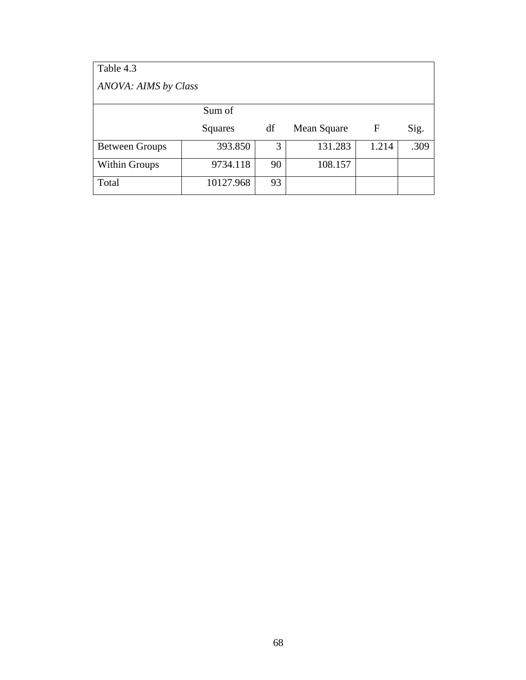| Table 4.3             |           |    |             |       |      |  |  |  |  |  |  |
|-----------------------|-----------|----|-------------|-------|------|--|--|--|--|--|--|
| ANOVA: AIMS by Class  |           |    |             |       |      |  |  |  |  |  |  |
|                       | Sum of    |    |             |       |      |  |  |  |  |  |  |
|                       | Squares   | df | Mean Square | F     | Sig. |  |  |  |  |  |  |
| <b>Between Groups</b> | 393.850   | 3  | 131.283     | 1.214 | .309 |  |  |  |  |  |  |
| Within Groups         | 9734.118  | 90 | 108.157     |       |      |  |  |  |  |  |  |
| Total                 | 10127.968 | 93 |             |       |      |  |  |  |  |  |  |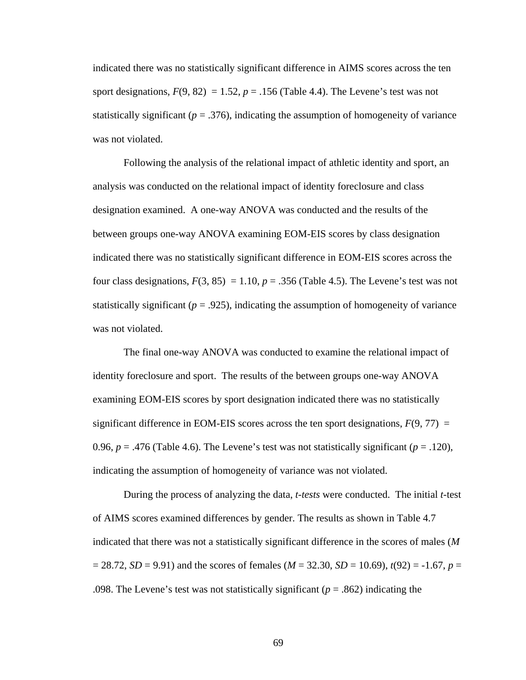indicated there was no statistically significant difference in AIMS scores across the ten sport designations,  $F(9, 82) = 1.52$ ,  $p = .156$  (Table 4.4). The Levene's test was not statistically significant ( $p = 0.376$ ), indicating the assumption of homogeneity of variance was not violated.

Following the analysis of the relational impact of athletic identity and sport, an analysis was conducted on the relational impact of identity foreclosure and class designation examined. A one-way ANOVA was conducted and the results of the between groups one-way ANOVA examining EOM-EIS scores by class designation indicated there was no statistically significant difference in EOM-EIS scores across the four class designations,  $F(3, 85) = 1.10$ ,  $p = .356$  (Table 4.5). The Levene's test was not statistically significant ( $p = .925$ ), indicating the assumption of homogeneity of variance was not violated.

The final one-way ANOVA was conducted to examine the relational impact of identity foreclosure and sport. The results of the between groups one-way ANOVA examining EOM-EIS scores by sport designation indicated there was no statistically significant difference in EOM-EIS scores across the ten sport designations,  $F(9, 77) =$ 0.96,  $p = .476$  (Table 4.6). The Levene's test was not statistically significant ( $p = .120$ ), indicating the assumption of homogeneity of variance was not violated.

During the process of analyzing the data, *t-tests* were conducted. The initial *t*-test of AIMS scores examined differences by gender. The results as shown in Table 4.7 indicated that there was not a statistically significant difference in the scores of males (*M* = 28.72, *SD* = 9.91) and the scores of females (*M* = 32.30, *SD* = 10.69), *t*(92) = -1.67, *p* = .098. The Levene's test was not statistically significant ( $p = .862$ ) indicating the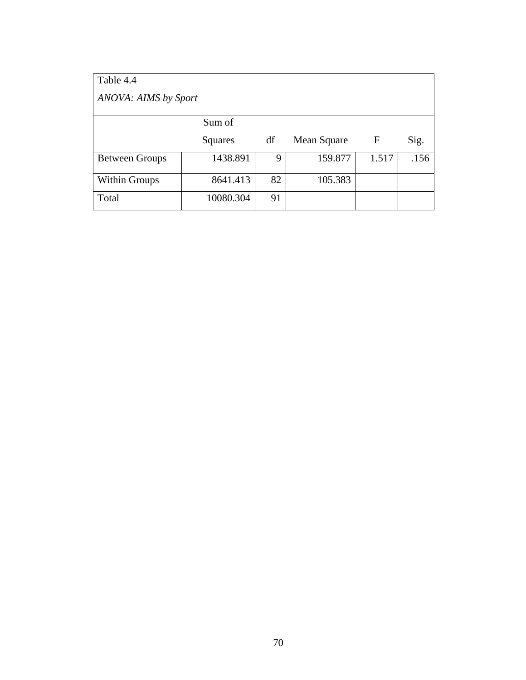| Table 4.4             |           |    |             |       |      |  |  |  |  |  |  |
|-----------------------|-----------|----|-------------|-------|------|--|--|--|--|--|--|
| ANOVA: AIMS by Sport  |           |    |             |       |      |  |  |  |  |  |  |
|                       | Sum of    |    |             |       |      |  |  |  |  |  |  |
|                       | Squares   | df | Mean Square | F     | Sig. |  |  |  |  |  |  |
| <b>Between Groups</b> | 1438.891  | 9  | 159.877     | 1.517 | .156 |  |  |  |  |  |  |
| Within Groups         | 8641.413  | 82 | 105.383     |       |      |  |  |  |  |  |  |
| Total                 | 10080.304 | 91 |             |       |      |  |  |  |  |  |  |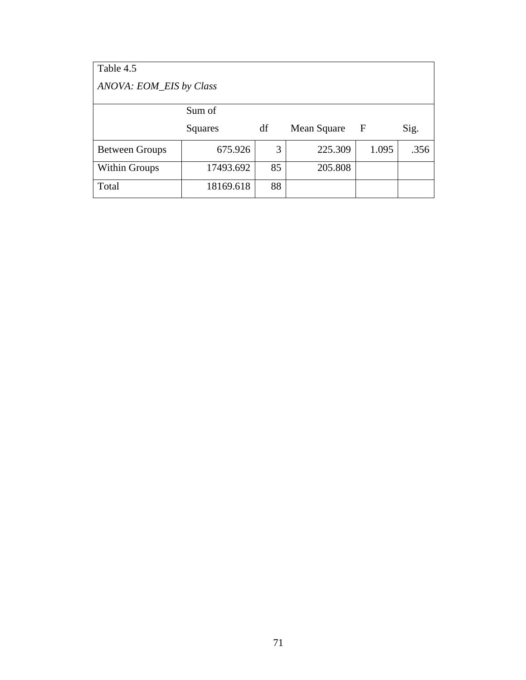| Table 4.5               |           |    |             |       |      |  |  |  |  |  |  |  |
|-------------------------|-----------|----|-------------|-------|------|--|--|--|--|--|--|--|
| ANOVA: EOM_EIS by Class |           |    |             |       |      |  |  |  |  |  |  |  |
|                         | Sum of    |    |             |       |      |  |  |  |  |  |  |  |
|                         | Squares   | df | Mean Square | – F   | Sig. |  |  |  |  |  |  |  |
| <b>Between Groups</b>   | 675.926   | 3  | 225.309     | 1.095 | .356 |  |  |  |  |  |  |  |
| <b>Within Groups</b>    | 17493.692 | 85 | 205.808     |       |      |  |  |  |  |  |  |  |
| Total                   | 18169.618 | 88 |             |       |      |  |  |  |  |  |  |  |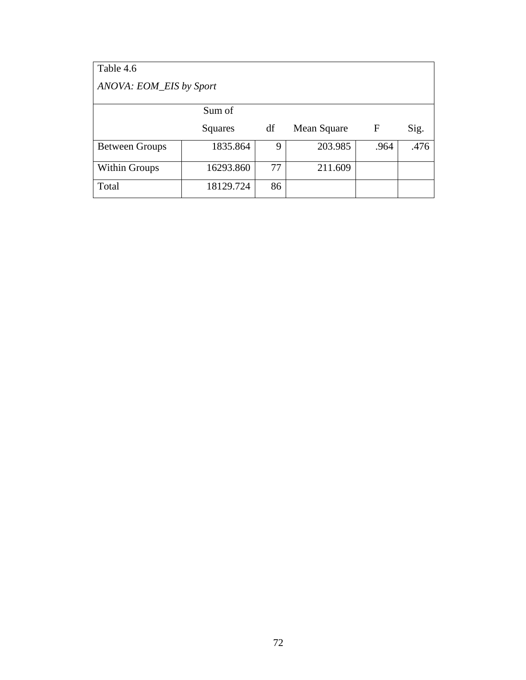| Table 4.6               |           |    |             |              |      |  |  |  |  |  |  |
|-------------------------|-----------|----|-------------|--------------|------|--|--|--|--|--|--|
| ANOVA: EOM_EIS by Sport |           |    |             |              |      |  |  |  |  |  |  |
|                         | Sum of    |    |             |              |      |  |  |  |  |  |  |
|                         | Squares   | df | Mean Square | $\mathbf{F}$ | Sig. |  |  |  |  |  |  |
| <b>Between Groups</b>   | 1835.864  | 9  | 203.985     | .964         | .476 |  |  |  |  |  |  |
| Within Groups           | 16293.860 | 77 | 211.609     |              |      |  |  |  |  |  |  |
| Total                   | 18129.724 | 86 |             |              |      |  |  |  |  |  |  |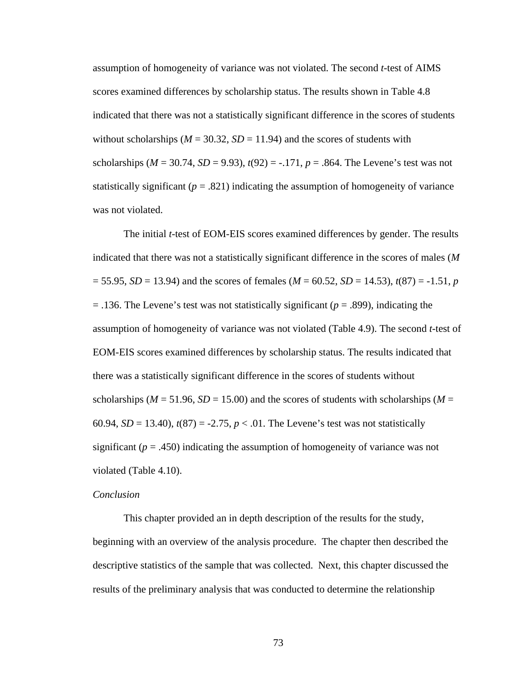assumption of homogeneity of variance was not violated. The second *t*-test of AIMS scores examined differences by scholarship status. The results shown in Table 4.8 indicated that there was not a statistically significant difference in the scores of students without scholarships ( $M = 30.32$ ,  $SD = 11.94$ ) and the scores of students with scholarships ( $M = 30.74$ ,  $SD = 9.93$ ),  $t(92) = -.171$ ,  $p = .864$ . The Levene's test was not statistically significant  $(p = .821)$  indicating the assumption of homogeneity of variance was not violated.

The initial *t*-test of EOM-EIS scores examined differences by gender. The results indicated that there was not a statistically significant difference in the scores of males (*M*  $=$  55.95, *SD* = 13.94) and the scores of females (*M* = 60.52, *SD* = 14.53), *t*(87) = -1.51, *p* = .136. The Levene's test was not statistically significant (*p* = .899), indicating the assumption of homogeneity of variance was not violated (Table 4.9). The second *t*-test of EOM-EIS scores examined differences by scholarship status. The results indicated that there was a statistically significant difference in the scores of students without scholarships ( $M = 51.96$ ,  $SD = 15.00$ ) and the scores of students with scholarships ( $M =$ 60.94,  $SD = 13.40$ ,  $t(87) = -2.75$ ,  $p < .01$ . The Levene's test was not statistically significant  $(p = .450)$  indicating the assumption of homogeneity of variance was not violated (Table 4.10).

# *Conclusion*

This chapter provided an in depth description of the results for the study, beginning with an overview of the analysis procedure. The chapter then described the descriptive statistics of the sample that was collected. Next, this chapter discussed the results of the preliminary analysis that was conducted to determine the relationship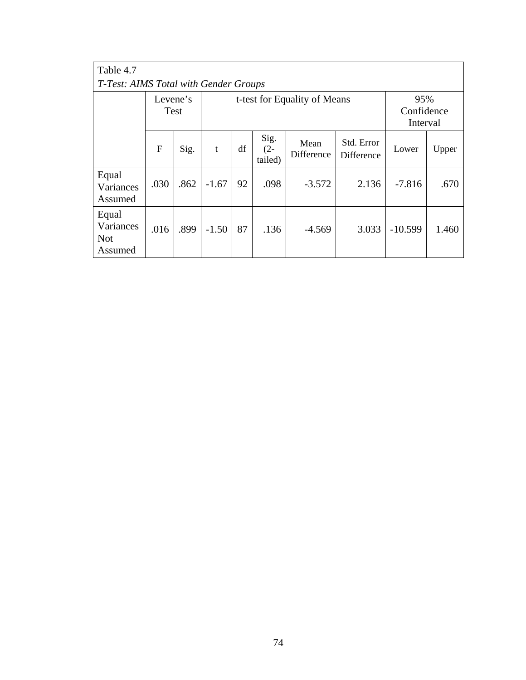| Table 4.7                                   |      |                                                  |         |    |                           |                    |                               |           |       |  |  |
|---------------------------------------------|------|--------------------------------------------------|---------|----|---------------------------|--------------------|-------------------------------|-----------|-------|--|--|
| T-Test: AIMS Total with Gender Groups       |      |                                                  |         |    |                           |                    |                               |           |       |  |  |
|                                             |      | Levene's<br>t-test for Equality of Means<br>Test |         |    |                           |                    | 95%<br>Confidence<br>Interval |           |       |  |  |
|                                             | F    | Sig.                                             | t       | df | Sig.<br>$(2 -$<br>tailed) | Mean<br>Difference | Std. Error<br>Difference      | Lower     | Upper |  |  |
| Equal<br>Variances<br>Assumed               | .030 | .862                                             | $-1.67$ | 92 | .098                      | $-3.572$           | 2.136                         | $-7.816$  | .670  |  |  |
| Equal<br>Variances<br><b>Not</b><br>Assumed | .016 | .899                                             | $-1.50$ | 87 | .136                      | $-4.569$           | 3.033                         | $-10.599$ | 1.460 |  |  |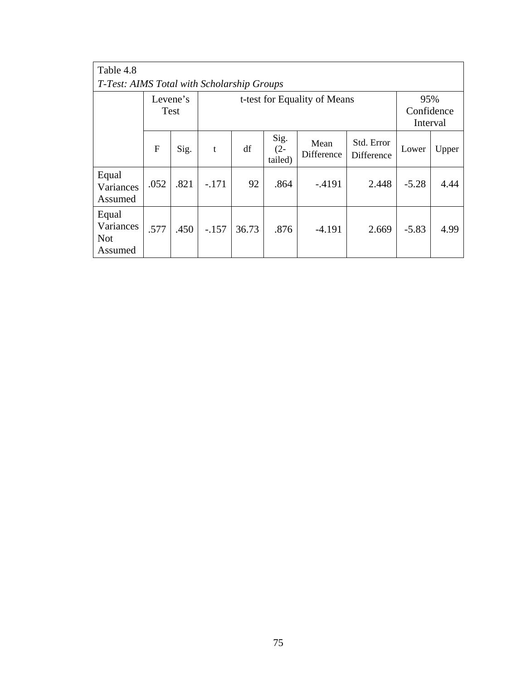| Table 4.8                                   |      |                  |         |       |                           |                              |                          |                               |       |  |  |
|---------------------------------------------|------|------------------|---------|-------|---------------------------|------------------------------|--------------------------|-------------------------------|-------|--|--|
| T-Test: AIMS Total with Scholarship Groups  |      |                  |         |       |                           |                              |                          |                               |       |  |  |
|                                             |      | Levene's<br>Test |         |       |                           | t-test for Equality of Means |                          | 95%<br>Confidence<br>Interval |       |  |  |
|                                             | F    | Sig.             | t       | df    | Sig.<br>$(2 -$<br>tailed) | Mean<br>Difference           | Std. Error<br>Difference | Lower                         | Upper |  |  |
| Equal<br>Variances<br>Assumed               | .052 | .821             | $-.171$ | 92    | .864                      | $-4191$                      | 2.448                    | $-5.28$                       | 4.44  |  |  |
| Equal<br>Variances<br><b>Not</b><br>Assumed | .577 | .450             | $-.157$ | 36.73 | .876                      | $-4.191$                     | 2.669                    | $-5.83$                       | 4.99  |  |  |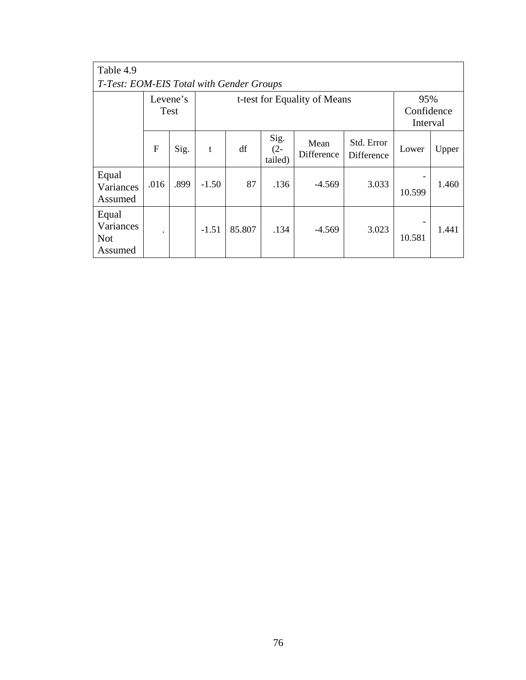| Table 4.9                                   |              |                  |         |        |                           |                              |                               |        |       |  |
|---------------------------------------------|--------------|------------------|---------|--------|---------------------------|------------------------------|-------------------------------|--------|-------|--|
| T-Test: EOM-EIS Total with Gender Groups    |              |                  |         |        |                           |                              |                               |        |       |  |
|                                             |              | Levene's<br>Test |         |        |                           | t-test for Equality of Means | 95%<br>Confidence<br>Interval |        |       |  |
|                                             | $\mathbf{F}$ | Sig.             | t       | df     | Sig.<br>$(2 -$<br>tailed) | Mean<br>Difference           | Std. Error<br>Difference      | Lower  | Upper |  |
| Equal<br>Variances<br>Assumed               | .016         | .899             | $-1.50$ | 87     | .136                      | $-4.569$                     | 3.033                         | 10.599 | 1.460 |  |
| Equal<br>Variances<br><b>Not</b><br>Assumed | $\bullet$    |                  | $-1.51$ | 85.807 | .134                      | $-4.569$                     | 3.023                         | 10.581 | 1.441 |  |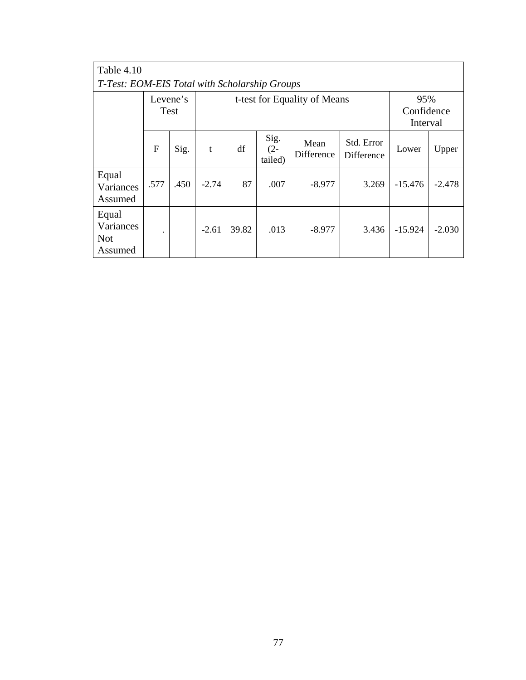| Table 4.10                                    |                                                  |      |         |       |                           |                    |                          |                               |          |  |
|-----------------------------------------------|--------------------------------------------------|------|---------|-------|---------------------------|--------------------|--------------------------|-------------------------------|----------|--|
| T-Test: EOM-EIS Total with Scholarship Groups |                                                  |      |         |       |                           |                    |                          |                               |          |  |
|                                               | Levene's<br>t-test for Equality of Means<br>Test |      |         |       |                           |                    |                          | 95%<br>Confidence<br>Interval |          |  |
|                                               | $\mathbf{F}$                                     | Sig. | t       | df    | Sig.<br>$(2 -$<br>tailed) | Mean<br>Difference | Std. Error<br>Difference | Lower                         | Upper    |  |
| Equal<br>Variances<br>Assumed                 | .577                                             | .450 | $-2.74$ | 87    | .007                      | $-8.977$           | 3.269                    | $-15.476$                     | $-2.478$ |  |
| Equal<br>Variances<br><b>Not</b><br>Assumed   | ۰                                                |      | $-2.61$ | 39.82 | .013                      | $-8.977$           | 3.436                    | $-15.924$                     | $-2.030$ |  |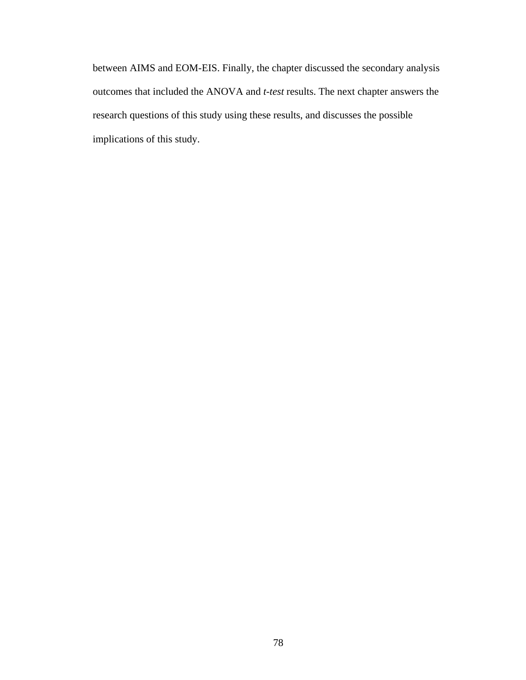between AIMS and EOM-EIS. Finally, the chapter discussed the secondary analysis outcomes that included the ANOVA and *t-test* results. The next chapter answers the research questions of this study using these results, and discusses the possible implications of this study.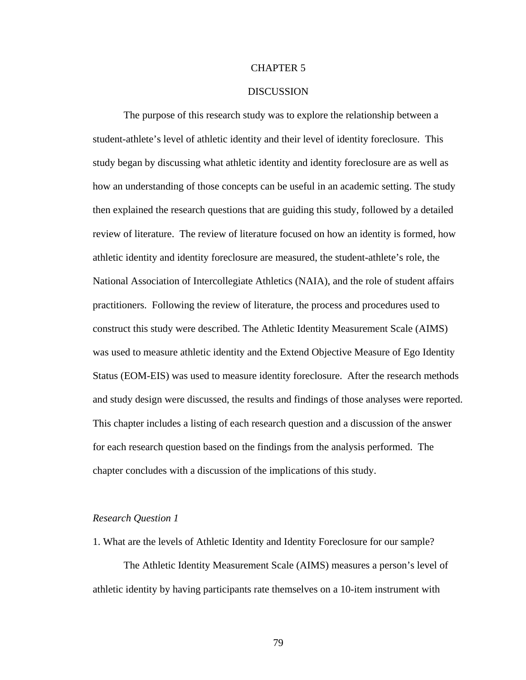# CHAPTER 5

# DISCUSSION

The purpose of this research study was to explore the relationship between a student-athlete's level of athletic identity and their level of identity foreclosure. This study began by discussing what athletic identity and identity foreclosure are as well as how an understanding of those concepts can be useful in an academic setting. The study then explained the research questions that are guiding this study, followed by a detailed review of literature. The review of literature focused on how an identity is formed, how athletic identity and identity foreclosure are measured, the student-athlete's role, the National Association of Intercollegiate Athletics (NAIA), and the role of student affairs practitioners. Following the review of literature, the process and procedures used to construct this study were described. The Athletic Identity Measurement Scale (AIMS) was used to measure athletic identity and the Extend Objective Measure of Ego Identity Status (EOM-EIS) was used to measure identity foreclosure. After the research methods and study design were discussed, the results and findings of those analyses were reported. This chapter includes a listing of each research question and a discussion of the answer for each research question based on the findings from the analysis performed. The chapter concludes with a discussion of the implications of this study.

## *Research Question 1*

1. What are the levels of Athletic Identity and Identity Foreclosure for our sample?

The Athletic Identity Measurement Scale (AIMS) measures a person's level of athletic identity by having participants rate themselves on a 10-item instrument with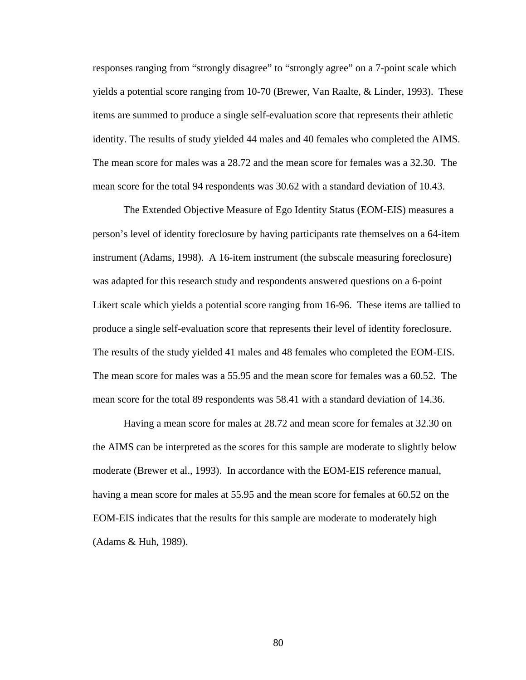responses ranging from "strongly disagree" to "strongly agree" on a 7-point scale which yields a potential score ranging from 10-70 (Brewer, Van Raalte, & Linder, 1993). These items are summed to produce a single self-evaluation score that represents their athletic identity. The results of study yielded 44 males and 40 females who completed the AIMS. The mean score for males was a 28.72 and the mean score for females was a 32.30. The mean score for the total 94 respondents was 30.62 with a standard deviation of 10.43.

The Extended Objective Measure of Ego Identity Status (EOM-EIS) measures a person's level of identity foreclosure by having participants rate themselves on a 64-item instrument (Adams, 1998). A 16-item instrument (the subscale measuring foreclosure) was adapted for this research study and respondents answered questions on a 6-point Likert scale which yields a potential score ranging from 16-96. These items are tallied to produce a single self-evaluation score that represents their level of identity foreclosure. The results of the study yielded 41 males and 48 females who completed the EOM-EIS. The mean score for males was a 55.95 and the mean score for females was a 60.52. The mean score for the total 89 respondents was 58.41 with a standard deviation of 14.36.

Having a mean score for males at 28.72 and mean score for females at 32.30 on the AIMS can be interpreted as the scores for this sample are moderate to slightly below moderate (Brewer et al., 1993). In accordance with the EOM-EIS reference manual, having a mean score for males at 55.95 and the mean score for females at 60.52 on the EOM-EIS indicates that the results for this sample are moderate to moderately high (Adams & Huh, 1989).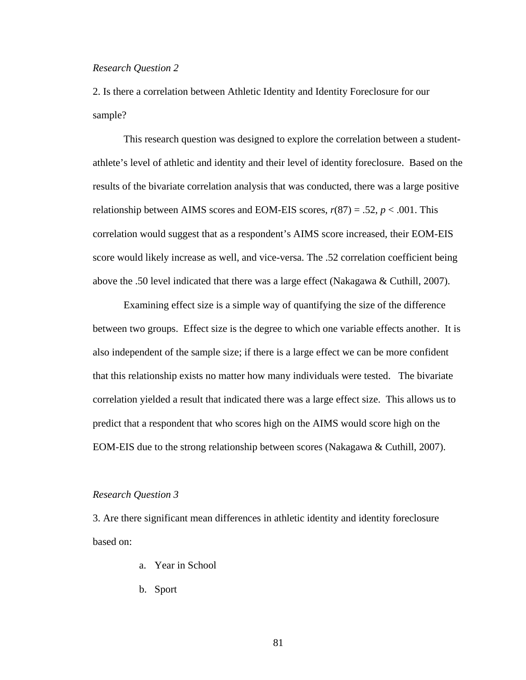### *Research Question 2*

2. Is there a correlation between Athletic Identity and Identity Foreclosure for our sample?

This research question was designed to explore the correlation between a studentathlete's level of athletic and identity and their level of identity foreclosure. Based on the results of the bivariate correlation analysis that was conducted, there was a large positive relationship between AIMS scores and EOM-EIS scores, *r*(87) = .52, *p* < .001. This correlation would suggest that as a respondent's AIMS score increased, their EOM-EIS score would likely increase as well, and vice-versa. The .52 correlation coefficient being above the .50 level indicated that there was a large effect (Nakagawa & Cuthill, 2007).

Examining effect size is a simple way of quantifying the size of the difference between two groups. Effect size is the degree to which one variable effects another. It is also independent of the sample size; if there is a large effect we can be more confident that this relationship exists no matter how many individuals were tested. The bivariate correlation yielded a result that indicated there was a large effect size. This allows us to predict that a respondent that who scores high on the AIMS would score high on the EOM-EIS due to the strong relationship between scores (Nakagawa & Cuthill, 2007).

#### *Research Question 3*

3. Are there significant mean differences in athletic identity and identity foreclosure based on:

- a. Year in School
- b. Sport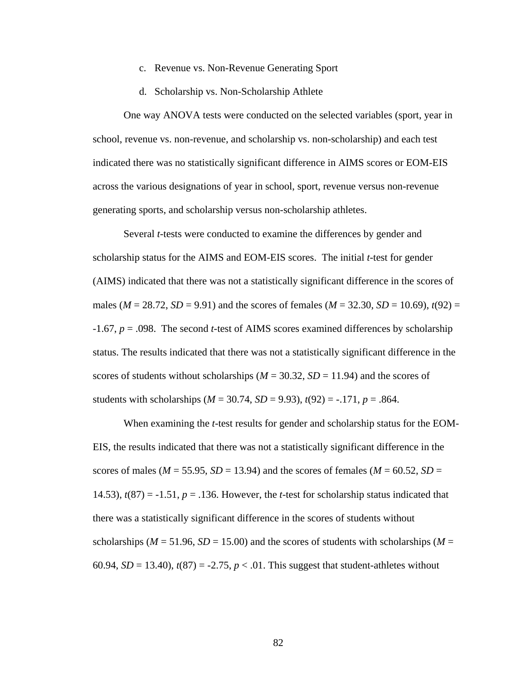- c. Revenue vs. Non-Revenue Generating Sport
- d. Scholarship vs. Non-Scholarship Athlete

One way ANOVA tests were conducted on the selected variables (sport, year in school, revenue vs. non-revenue, and scholarship vs. non-scholarship) and each test indicated there was no statistically significant difference in AIMS scores or EOM-EIS across the various designations of year in school, sport, revenue versus non-revenue generating sports, and scholarship versus non-scholarship athletes.

Several *t-*tests were conducted to examine the differences by gender and scholarship status for the AIMS and EOM-EIS scores. The initial *t*-test for gender (AIMS) indicated that there was not a statistically significant difference in the scores of males ( $M = 28.72$ ,  $SD = 9.91$ ) and the scores of females ( $M = 32.30$ ,  $SD = 10.69$ ),  $t(92) =$ -1.67, *p* = .098. The second *t*-test of AIMS scores examined differences by scholarship status. The results indicated that there was not a statistically significant difference in the scores of students without scholarships ( $M = 30.32$ ,  $SD = 11.94$ ) and the scores of students with scholarships ( $M = 30.74$ ,  $SD = 9.93$ ),  $t(92) = -.171$ ,  $p = .864$ .

When examining the *t*-test results for gender and scholarship status for the EOM-EIS, the results indicated that there was not a statistically significant difference in the scores of males ( $M = 55.95$ ,  $SD = 13.94$ ) and the scores of females ( $M = 60.52$ ,  $SD =$ 14.53),  $t(87) = -1.51$ ,  $p = .136$ . However, the *t*-test for scholarship status indicated that there was a statistically significant difference in the scores of students without scholarships ( $M = 51.96$ ,  $SD = 15.00$ ) and the scores of students with scholarships ( $M =$ 60.94,  $SD = 13.40$ ),  $t(87) = -2.75$ ,  $p < .01$ . This suggest that student-athletes without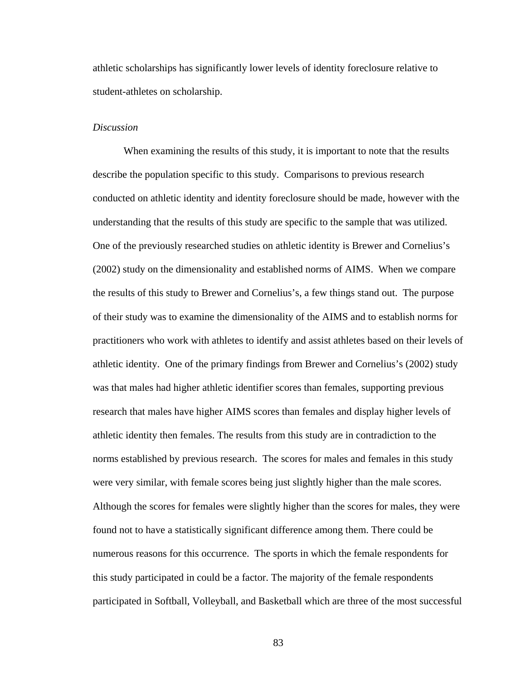athletic scholarships has significantly lower levels of identity foreclosure relative to student-athletes on scholarship.

# *Discussion*

When examining the results of this study, it is important to note that the results describe the population specific to this study. Comparisons to previous research conducted on athletic identity and identity foreclosure should be made, however with the understanding that the results of this study are specific to the sample that was utilized. One of the previously researched studies on athletic identity is Brewer and Cornelius's (2002) study on the dimensionality and established norms of AIMS. When we compare the results of this study to Brewer and Cornelius's, a few things stand out. The purpose of their study was to examine the dimensionality of the AIMS and to establish norms for practitioners who work with athletes to identify and assist athletes based on their levels of athletic identity. One of the primary findings from Brewer and Cornelius's (2002) study was that males had higher athletic identifier scores than females, supporting previous research that males have higher AIMS scores than females and display higher levels of athletic identity then females. The results from this study are in contradiction to the norms established by previous research. The scores for males and females in this study were very similar, with female scores being just slightly higher than the male scores. Although the scores for females were slightly higher than the scores for males, they were found not to have a statistically significant difference among them. There could be numerous reasons for this occurrence. The sports in which the female respondents for this study participated in could be a factor. The majority of the female respondents participated in Softball, Volleyball, and Basketball which are three of the most successful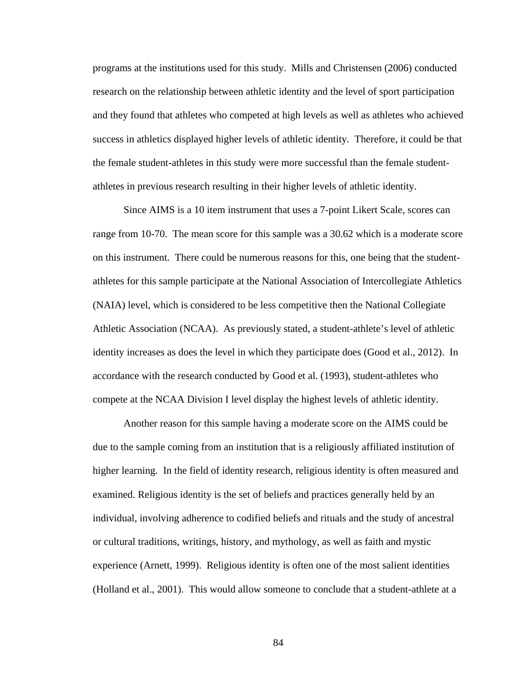programs at the institutions used for this study. Mills and Christensen (2006) conducted research on the relationship between athletic identity and the level of sport participation and they found that athletes who competed at high levels as well as athletes who achieved success in athletics displayed higher levels of athletic identity. Therefore, it could be that the female student-athletes in this study were more successful than the female studentathletes in previous research resulting in their higher levels of athletic identity.

Since AIMS is a 10 item instrument that uses a 7-point Likert Scale, scores can range from 10-70. The mean score for this sample was a 30.62 which is a moderate score on this instrument. There could be numerous reasons for this, one being that the studentathletes for this sample participate at the National Association of Intercollegiate Athletics (NAIA) level, which is considered to be less competitive then the National Collegiate Athletic Association (NCAA). As previously stated, a student-athlete's level of athletic identity increases as does the level in which they participate does (Good et al., 2012). In accordance with the research conducted by Good et al. (1993), student-athletes who compete at the NCAA Division I level display the highest levels of athletic identity.

Another reason for this sample having a moderate score on the AIMS could be due to the sample coming from an institution that is a religiously affiliated institution of higher learning. In the field of identity research, religious identity is often measured and examined. Religious identity is the set of beliefs and practices generally held by an individual, involving adherence to codified beliefs and rituals and the study of ancestral or cultural traditions, writings, history, and mythology, as well as faith and mystic experience (Arnett, 1999). Religious identity is often one of the most salient identities (Holland et al., 2001). This would allow someone to conclude that a student-athlete at a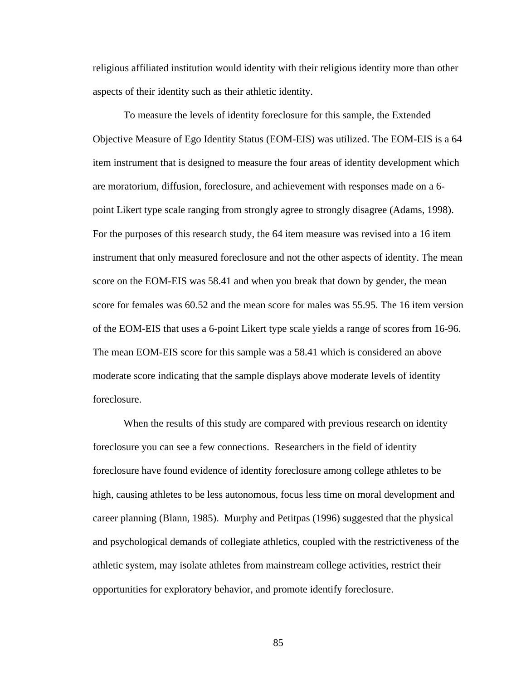religious affiliated institution would identity with their religious identity more than other aspects of their identity such as their athletic identity.

To measure the levels of identity foreclosure for this sample, the Extended Objective Measure of Ego Identity Status (EOM-EIS) was utilized. The EOM-EIS is a 64 item instrument that is designed to measure the four areas of identity development which are moratorium, diffusion, foreclosure, and achievement with responses made on a 6 point Likert type scale ranging from strongly agree to strongly disagree (Adams, 1998). For the purposes of this research study, the 64 item measure was revised into a 16 item instrument that only measured foreclosure and not the other aspects of identity. The mean score on the EOM-EIS was 58.41 and when you break that down by gender, the mean score for females was 60.52 and the mean score for males was 55.95. The 16 item version of the EOM-EIS that uses a 6-point Likert type scale yields a range of scores from 16-96. The mean EOM-EIS score for this sample was a 58.41 which is considered an above moderate score indicating that the sample displays above moderate levels of identity foreclosure.

When the results of this study are compared with previous research on identity foreclosure you can see a few connections. Researchers in the field of identity foreclosure have found evidence of identity foreclosure among college athletes to be high, causing athletes to be less autonomous, focus less time on moral development and career planning (Blann, 1985). Murphy and Petitpas (1996) suggested that the physical and psychological demands of collegiate athletics, coupled with the restrictiveness of the athletic system, may isolate athletes from mainstream college activities, restrict their opportunities for exploratory behavior, and promote identify foreclosure.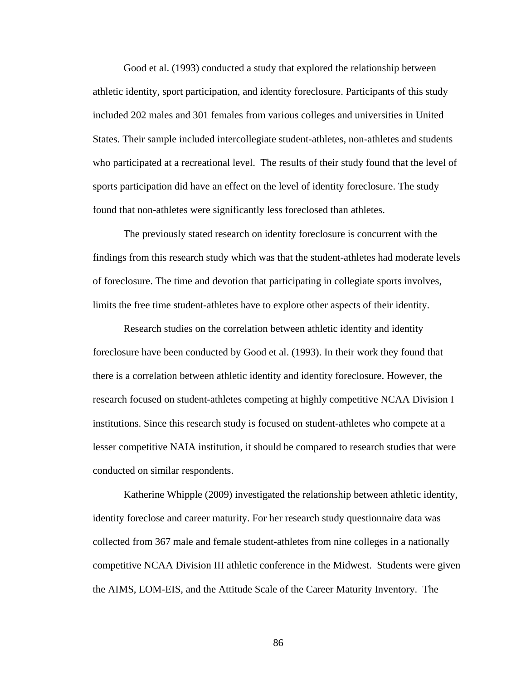Good et al. (1993) conducted a study that explored the relationship between athletic identity, sport participation, and identity foreclosure. Participants of this study included 202 males and 301 females from various colleges and universities in United States. Their sample included intercollegiate student-athletes, non-athletes and students who participated at a recreational level. The results of their study found that the level of sports participation did have an effect on the level of identity foreclosure. The study found that non-athletes were significantly less foreclosed than athletes.

The previously stated research on identity foreclosure is concurrent with the findings from this research study which was that the student-athletes had moderate levels of foreclosure. The time and devotion that participating in collegiate sports involves, limits the free time student-athletes have to explore other aspects of their identity.

Research studies on the correlation between athletic identity and identity foreclosure have been conducted by Good et al. (1993). In their work they found that there is a correlation between athletic identity and identity foreclosure. However, the research focused on student-athletes competing at highly competitive NCAA Division I institutions. Since this research study is focused on student-athletes who compete at a lesser competitive NAIA institution, it should be compared to research studies that were conducted on similar respondents.

Katherine Whipple (2009) investigated the relationship between athletic identity, identity foreclose and career maturity. For her research study questionnaire data was collected from 367 male and female student-athletes from nine colleges in a nationally competitive NCAA Division III athletic conference in the Midwest. Students were given the AIMS, EOM-EIS, and the Attitude Scale of the Career Maturity Inventory. The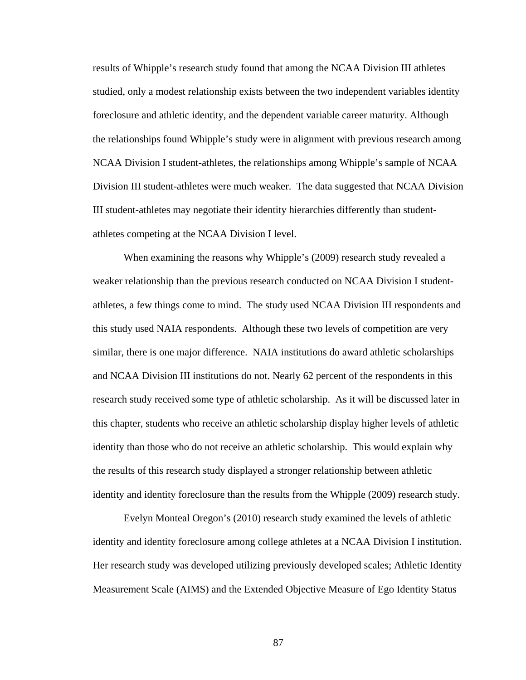results of Whipple's research study found that among the NCAA Division III athletes studied, only a modest relationship exists between the two independent variables identity foreclosure and athletic identity, and the dependent variable career maturity. Although the relationships found Whipple's study were in alignment with previous research among NCAA Division I student-athletes, the relationships among Whipple's sample of NCAA Division III student-athletes were much weaker. The data suggested that NCAA Division III student-athletes may negotiate their identity hierarchies differently than studentathletes competing at the NCAA Division I level.

When examining the reasons why Whipple's (2009) research study revealed a weaker relationship than the previous research conducted on NCAA Division I studentathletes, a few things come to mind. The study used NCAA Division III respondents and this study used NAIA respondents. Although these two levels of competition are very similar, there is one major difference. NAIA institutions do award athletic scholarships and NCAA Division III institutions do not. Nearly 62 percent of the respondents in this research study received some type of athletic scholarship. As it will be discussed later in this chapter, students who receive an athletic scholarship display higher levels of athletic identity than those who do not receive an athletic scholarship. This would explain why the results of this research study displayed a stronger relationship between athletic identity and identity foreclosure than the results from the Whipple (2009) research study.

Evelyn Monteal Oregon's (2010) research study examined the levels of athletic identity and identity foreclosure among college athletes at a NCAA Division I institution. Her research study was developed utilizing previously developed scales; Athletic Identity Measurement Scale (AIMS) and the Extended Objective Measure of Ego Identity Status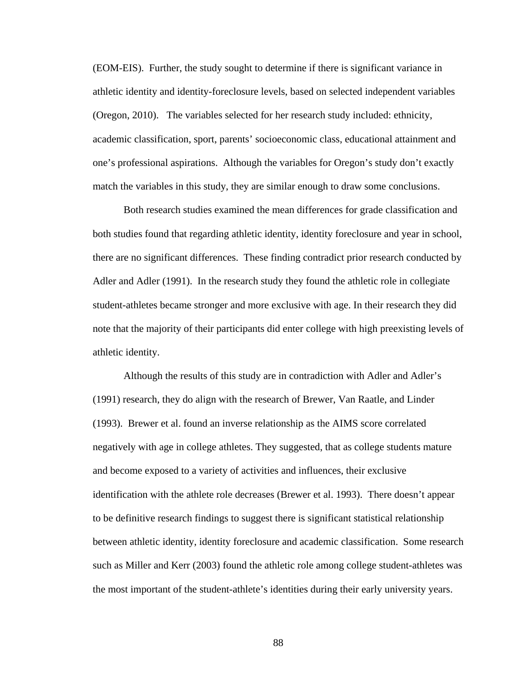(EOM-EIS). Further, the study sought to determine if there is significant variance in athletic identity and identity-foreclosure levels, based on selected independent variables (Oregon, 2010). The variables selected for her research study included: ethnicity, academic classification, sport, parents' socioeconomic class, educational attainment and one's professional aspirations. Although the variables for Oregon's study don't exactly match the variables in this study, they are similar enough to draw some conclusions.

Both research studies examined the mean differences for grade classification and both studies found that regarding athletic identity, identity foreclosure and year in school, there are no significant differences. These finding contradict prior research conducted by Adler and Adler (1991). In the research study they found the athletic role in collegiate student-athletes became stronger and more exclusive with age. In their research they did note that the majority of their participants did enter college with high preexisting levels of athletic identity.

Although the results of this study are in contradiction with Adler and Adler's (1991) research, they do align with the research of Brewer, Van Raatle, and Linder (1993). Brewer et al. found an inverse relationship as the AIMS score correlated negatively with age in college athletes. They suggested, that as college students mature and become exposed to a variety of activities and influences, their exclusive identification with the athlete role decreases (Brewer et al. 1993). There doesn't appear to be definitive research findings to suggest there is significant statistical relationship between athletic identity, identity foreclosure and academic classification. Some research such as Miller and Kerr (2003) found the athletic role among college student-athletes was the most important of the student-athlete's identities during their early university years.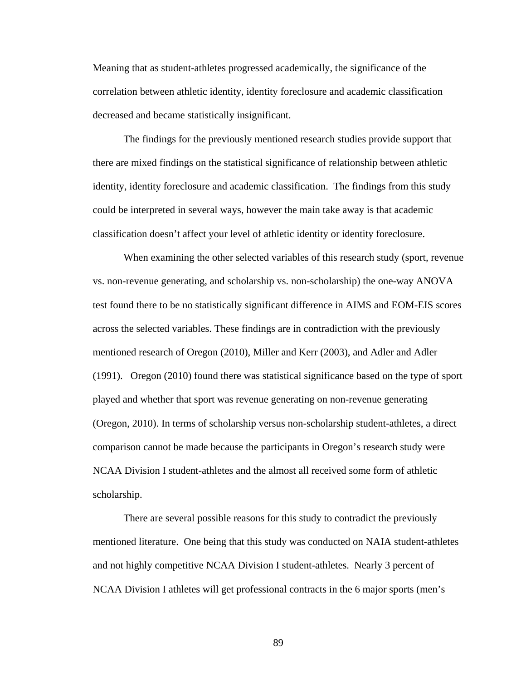Meaning that as student-athletes progressed academically, the significance of the correlation between athletic identity, identity foreclosure and academic classification decreased and became statistically insignificant.

The findings for the previously mentioned research studies provide support that there are mixed findings on the statistical significance of relationship between athletic identity, identity foreclosure and academic classification. The findings from this study could be interpreted in several ways, however the main take away is that academic classification doesn't affect your level of athletic identity or identity foreclosure.

When examining the other selected variables of this research study (sport, revenue vs. non-revenue generating, and scholarship vs. non-scholarship) the one-way ANOVA test found there to be no statistically significant difference in AIMS and EOM-EIS scores across the selected variables. These findings are in contradiction with the previously mentioned research of Oregon (2010), Miller and Kerr (2003), and Adler and Adler (1991). Oregon (2010) found there was statistical significance based on the type of sport played and whether that sport was revenue generating on non-revenue generating (Oregon, 2010). In terms of scholarship versus non-scholarship student-athletes, a direct comparison cannot be made because the participants in Oregon's research study were NCAA Division I student-athletes and the almost all received some form of athletic scholarship.

There are several possible reasons for this study to contradict the previously mentioned literature. One being that this study was conducted on NAIA student-athletes and not highly competitive NCAA Division I student-athletes. Nearly 3 percent of NCAA Division I athletes will get professional contracts in the 6 major sports (men's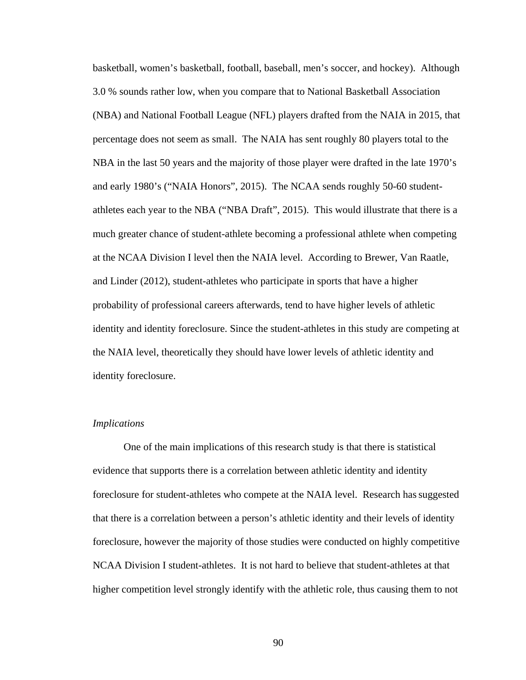basketball, women's basketball, football, baseball, men's soccer, and hockey). Although 3.0 % sounds rather low, when you compare that to National Basketball Association (NBA) and National Football League (NFL) players drafted from the NAIA in 2015, that percentage does not seem as small. The NAIA has sent roughly 80 players total to the NBA in the last 50 years and the majority of those player were drafted in the late 1970's and early 1980's ("NAIA Honors", 2015). The NCAA sends roughly 50-60 studentathletes each year to the NBA ("NBA Draft", 2015). This would illustrate that there is a much greater chance of student-athlete becoming a professional athlete when competing at the NCAA Division I level then the NAIA level. According to Brewer, Van Raatle, and Linder (2012), student-athletes who participate in sports that have a higher probability of professional careers afterwards, tend to have higher levels of athletic identity and identity foreclosure. Since the student-athletes in this study are competing at the NAIA level, theoretically they should have lower levels of athletic identity and identity foreclosure.

## *Implications*

One of the main implications of this research study is that there is statistical evidence that supports there is a correlation between athletic identity and identity foreclosure for student-athletes who compete at the NAIA level. Research hassuggested that there is a correlation between a person's athletic identity and their levels of identity foreclosure, however the majority of those studies were conducted on highly competitive NCAA Division I student-athletes. It is not hard to believe that student-athletes at that higher competition level strongly identify with the athletic role, thus causing them to not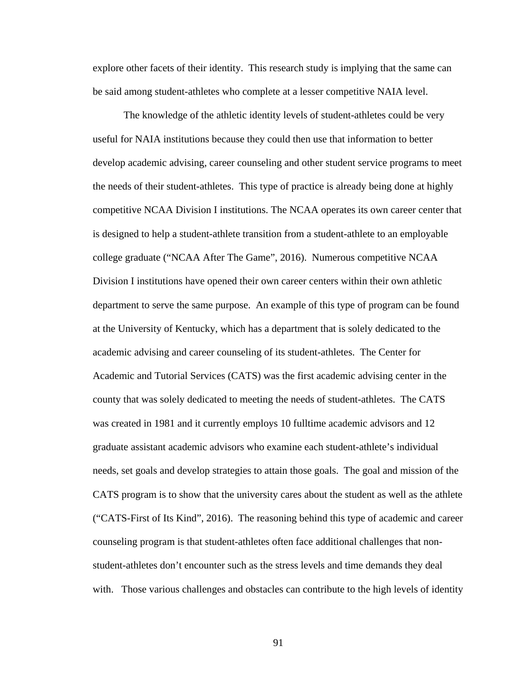explore other facets of their identity. This research study is implying that the same can be said among student-athletes who complete at a lesser competitive NAIA level.

The knowledge of the athletic identity levels of student-athletes could be very useful for NAIA institutions because they could then use that information to better develop academic advising, career counseling and other student service programs to meet the needs of their student-athletes. This type of practice is already being done at highly competitive NCAA Division I institutions. The NCAA operates its own career center that is designed to help a student-athlete transition from a student-athlete to an employable college graduate ("NCAA After The Game", 2016). Numerous competitive NCAA Division I institutions have opened their own career centers within their own athletic department to serve the same purpose. An example of this type of program can be found at the University of Kentucky, which has a department that is solely dedicated to the academic advising and career counseling of its student-athletes. The Center for Academic and Tutorial Services (CATS) was the first academic advising center in the county that was solely dedicated to meeting the needs of student-athletes. The CATS was created in 1981 and it currently employs 10 fulltime academic advisors and 12 graduate assistant academic advisors who examine each student-athlete's individual needs, set goals and develop strategies to attain those goals. The goal and mission of the CATS program is to show that the university cares about the student as well as the athlete ("CATS-First of Its Kind", 2016). The reasoning behind this type of academic and career counseling program is that student-athletes often face additional challenges that nonstudent-athletes don't encounter such as the stress levels and time demands they deal with. Those various challenges and obstacles can contribute to the high levels of identity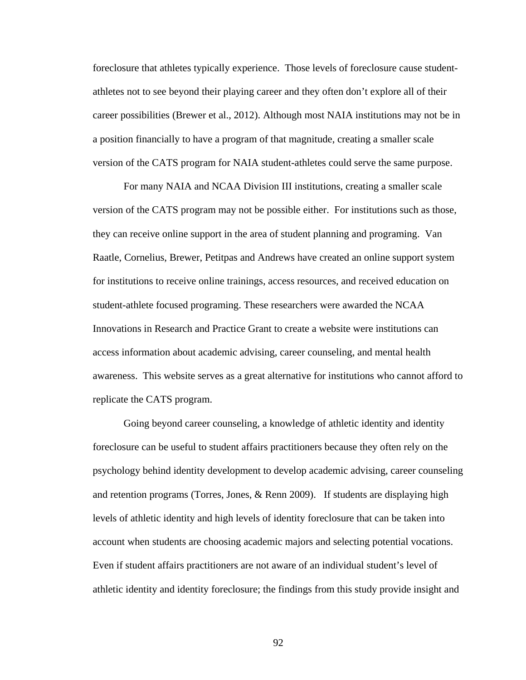foreclosure that athletes typically experience. Those levels of foreclosure cause studentathletes not to see beyond their playing career and they often don't explore all of their career possibilities (Brewer et al., 2012). Although most NAIA institutions may not be in a position financially to have a program of that magnitude, creating a smaller scale version of the CATS program for NAIA student-athletes could serve the same purpose.

For many NAIA and NCAA Division III institutions, creating a smaller scale version of the CATS program may not be possible either. For institutions such as those, they can receive online support in the area of student planning and programing. Van Raatle, Cornelius, Brewer, Petitpas and Andrews have created an online support system for institutions to receive online trainings, access resources, and received education on student-athlete focused programing. These researchers were awarded the NCAA Innovations in Research and Practice Grant to create a website were institutions can access information about academic advising, career counseling, and mental health awareness. This website serves as a great alternative for institutions who cannot afford to replicate the CATS program.

Going beyond career counseling, a knowledge of athletic identity and identity foreclosure can be useful to student affairs practitioners because they often rely on the psychology behind identity development to develop academic advising, career counseling and retention programs (Torres, Jones,  $\&$  Renn 2009). If students are displaying high levels of athletic identity and high levels of identity foreclosure that can be taken into account when students are choosing academic majors and selecting potential vocations. Even if student affairs practitioners are not aware of an individual student's level of athletic identity and identity foreclosure; the findings from this study provide insight and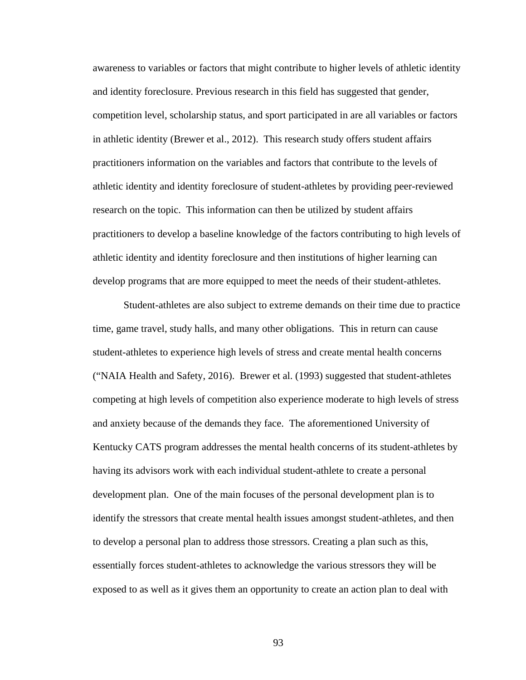awareness to variables or factors that might contribute to higher levels of athletic identity and identity foreclosure. Previous research in this field has suggested that gender, competition level, scholarship status, and sport participated in are all variables or factors in athletic identity (Brewer et al., 2012). This research study offers student affairs practitioners information on the variables and factors that contribute to the levels of athletic identity and identity foreclosure of student-athletes by providing peer-reviewed research on the topic. This information can then be utilized by student affairs practitioners to develop a baseline knowledge of the factors contributing to high levels of athletic identity and identity foreclosure and then institutions of higher learning can develop programs that are more equipped to meet the needs of their student-athletes.

Student-athletes are also subject to extreme demands on their time due to practice time, game travel, study halls, and many other obligations. This in return can cause student-athletes to experience high levels of stress and create mental health concerns ("NAIA Health and Safety, 2016). Brewer et al. (1993) suggested that student-athletes competing at high levels of competition also experience moderate to high levels of stress and anxiety because of the demands they face. The aforementioned University of Kentucky CATS program addresses the mental health concerns of its student-athletes by having its advisors work with each individual student-athlete to create a personal development plan. One of the main focuses of the personal development plan is to identify the stressors that create mental health issues amongst student-athletes, and then to develop a personal plan to address those stressors. Creating a plan such as this, essentially forces student-athletes to acknowledge the various stressors they will be exposed to as well as it gives them an opportunity to create an action plan to deal with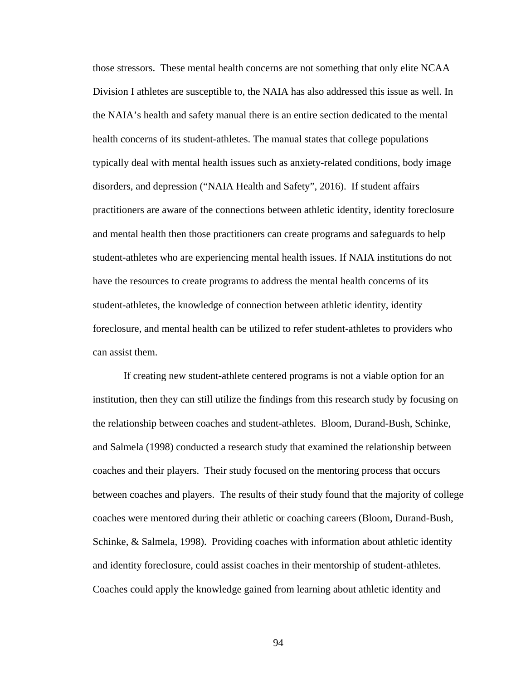those stressors. These mental health concerns are not something that only elite NCAA Division I athletes are susceptible to, the NAIA has also addressed this issue as well. In the NAIA's health and safety manual there is an entire section dedicated to the mental health concerns of its student-athletes. The manual states that college populations typically deal with mental health issues such as anxiety-related conditions, body image disorders, and depression ("NAIA Health and Safety", 2016). If student affairs practitioners are aware of the connections between athletic identity, identity foreclosure and mental health then those practitioners can create programs and safeguards to help student-athletes who are experiencing mental health issues. If NAIA institutions do not have the resources to create programs to address the mental health concerns of its student-athletes, the knowledge of connection between athletic identity, identity foreclosure, and mental health can be utilized to refer student-athletes to providers who can assist them.

If creating new student-athlete centered programs is not a viable option for an institution, then they can still utilize the findings from this research study by focusing on the relationship between coaches and student-athletes. Bloom, Durand-Bush, Schinke, and Salmela (1998) conducted a research study that examined the relationship between coaches and their players. Their study focused on the mentoring process that occurs between coaches and players. The results of their study found that the majority of college coaches were mentored during their athletic or coaching careers (Bloom, Durand-Bush, Schinke, & Salmela, 1998). Providing coaches with information about athletic identity and identity foreclosure, could assist coaches in their mentorship of student-athletes. Coaches could apply the knowledge gained from learning about athletic identity and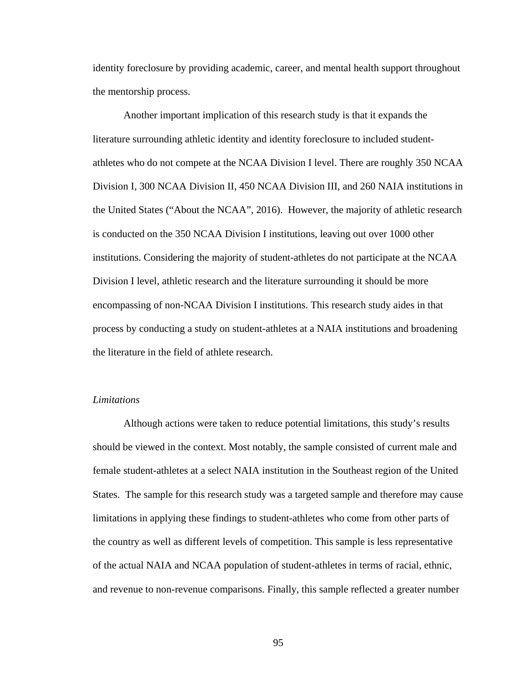identity foreclosure by providing academic, career, and mental health support throughout the mentorship process.

Another important implication of this research study is that it expands the literature surrounding athletic identity and identity foreclosure to included studentathletes who do not compete at the NCAA Division I level. There are roughly 350 NCAA Division I, 300 NCAA Division II, 450 NCAA Division III, and 260 NAIA institutions in the United States ("About the NCAA", 2016). However, the majority of athletic research is conducted on the 350 NCAA Division I institutions, leaving out over 1000 other institutions. Considering the majority of student-athletes do not participate at the NCAA Division I level, athletic research and the literature surrounding it should be more encompassing of non-NCAA Division I institutions. This research study aides in that process by conducting a study on student-athletes at a NAIA institutions and broadening the literature in the field of athlete research.

# *Limitations*

Although actions were taken to reduce potential limitations, this study's results should be viewed in the context. Most notably, the sample consisted of current male and female student-athletes at a select NAIA institution in the Southeast region of the United States. The sample for this research study was a targeted sample and therefore may cause limitations in applying these findings to student-athletes who come from other parts of the country as well as different levels of competition. This sample is less representative of the actual NAIA and NCAA population of student-athletes in terms of racial, ethnic, and revenue to non-revenue comparisons. Finally, this sample reflected a greater number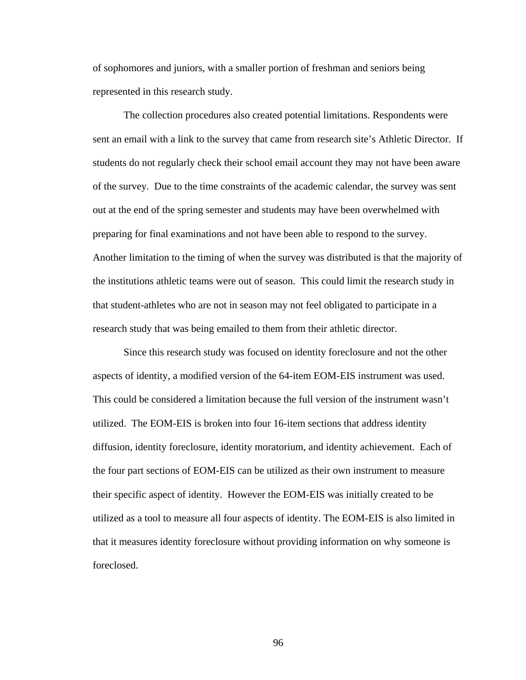of sophomores and juniors, with a smaller portion of freshman and seniors being represented in this research study.

The collection procedures also created potential limitations. Respondents were sent an email with a link to the survey that came from research site's Athletic Director. If students do not regularly check their school email account they may not have been aware of the survey. Due to the time constraints of the academic calendar, the survey was sent out at the end of the spring semester and students may have been overwhelmed with preparing for final examinations and not have been able to respond to the survey. Another limitation to the timing of when the survey was distributed is that the majority of the institutions athletic teams were out of season. This could limit the research study in that student-athletes who are not in season may not feel obligated to participate in a research study that was being emailed to them from their athletic director.

Since this research study was focused on identity foreclosure and not the other aspects of identity, a modified version of the 64-item EOM-EIS instrument was used. This could be considered a limitation because the full version of the instrument wasn't utilized. The EOM-EIS is broken into four 16-item sections that address identity diffusion, identity foreclosure, identity moratorium, and identity achievement. Each of the four part sections of EOM-EIS can be utilized as their own instrument to measure their specific aspect of identity. However the EOM-EIS was initially created to be utilized as a tool to measure all four aspects of identity. The EOM-EIS is also limited in that it measures identity foreclosure without providing information on why someone is foreclosed.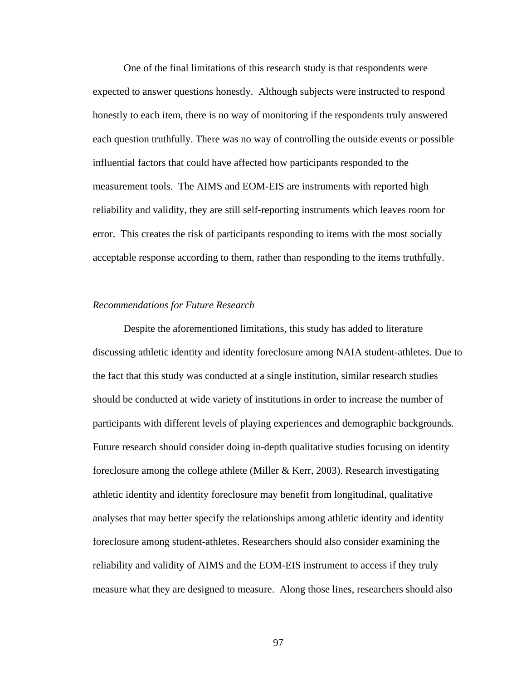One of the final limitations of this research study is that respondents were expected to answer questions honestly. Although subjects were instructed to respond honestly to each item, there is no way of monitoring if the respondents truly answered each question truthfully. There was no way of controlling the outside events or possible influential factors that could have affected how participants responded to the measurement tools. The AIMS and EOM-EIS are instruments with reported high reliability and validity, they are still self-reporting instruments which leaves room for error. This creates the risk of participants responding to items with the most socially acceptable response according to them, rather than responding to the items truthfully.

#### *Recommendations for Future Research*

Despite the aforementioned limitations, this study has added to literature discussing athletic identity and identity foreclosure among NAIA student-athletes. Due to the fact that this study was conducted at a single institution, similar research studies should be conducted at wide variety of institutions in order to increase the number of participants with different levels of playing experiences and demographic backgrounds. Future research should consider doing in-depth qualitative studies focusing on identity foreclosure among the college athlete (Miller & Kerr, 2003). Research investigating athletic identity and identity foreclosure may benefit from longitudinal, qualitative analyses that may better specify the relationships among athletic identity and identity foreclosure among student-athletes. Researchers should also consider examining the reliability and validity of AIMS and the EOM-EIS instrument to access if they truly measure what they are designed to measure. Along those lines, researchers should also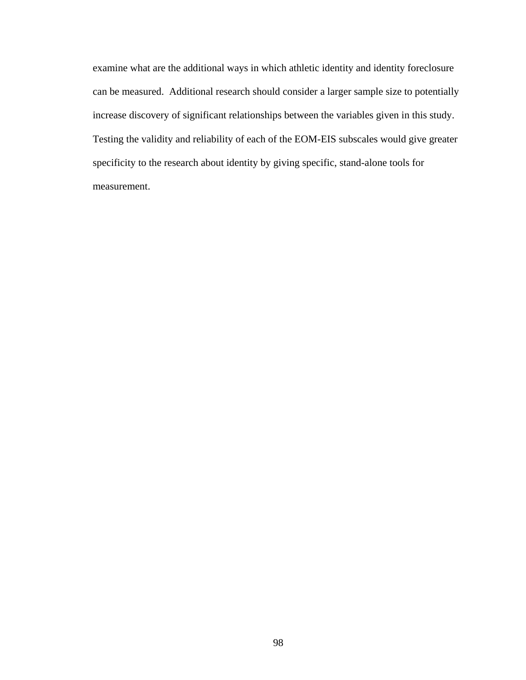examine what are the additional ways in which athletic identity and identity foreclosure can be measured. Additional research should consider a larger sample size to potentially increase discovery of significant relationships between the variables given in this study. Testing the validity and reliability of each of the EOM-EIS subscales would give greater specificity to the research about identity by giving specific, stand-alone tools for measurement.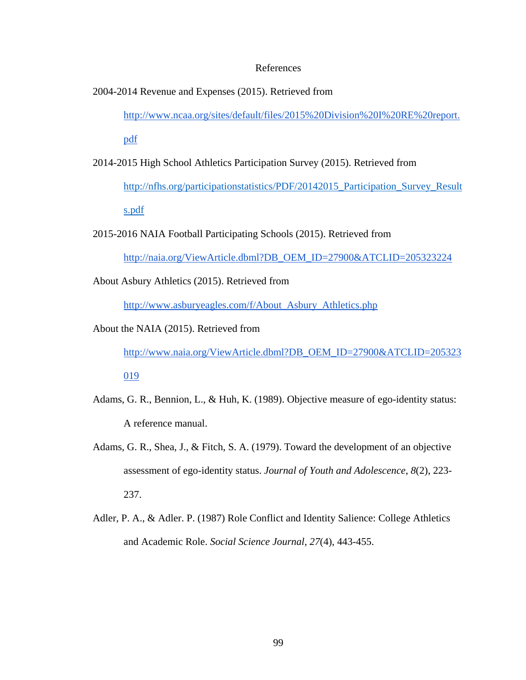#### References

2004-2014 Revenue and Expenses (2015). Retrieved from

[http://www.ncaa.org/sites/default/files/2015%20Division%20I%20RE%20report.](http://www.ncaa.org/sites/default/files/2015%20Division%20I%20RE%20report.pdf)

[pdf](http://www.ncaa.org/sites/default/files/2015%20Division%20I%20RE%20report.pdf)

2014-2015 High School Athletics Participation Survey (2015). Retrieved from

[http://nfhs.org/participationstatistics/PDF/20142015\\_Participation\\_Survey\\_Result](http://nfhs.org/participationstatistics/PDF/20142015_Participation_Survey_Results.pdf) [s.pdf](http://nfhs.org/participationstatistics/PDF/20142015_Participation_Survey_Results.pdf)

2015-2016 NAIA Football Participating Schools (2015). Retrieved from

[http://naia.org/ViewArticle.dbml?DB\\_OEM\\_ID=27900&ATCLID=205323224](http://naia.org/ViewArticle.dbml?DB_OEM_ID=27900&ATCLID=205323224)

About Asbury Athletics (2015). Retrieved from

[http://www.asburyeagles.com/f/About\\_Asbury\\_Athletics.php](http://www.asburyeagles.com/f/About_Asbury_Athletics.php)

About the NAIA (2015). Retrieved from

[http://www.naia.org/ViewArticle.dbml?DB\\_OEM\\_ID=27900&ATCLID=205323](http://www.naia.org/ViewArticle.dbml?DB_OEM_ID=27900&ATCLID=205323019) [019](http://www.naia.org/ViewArticle.dbml?DB_OEM_ID=27900&ATCLID=205323019)

- Adams, G. R., Bennion, L., & Huh, K. (1989). Objective measure of ego-identity status: A reference manual.
	- Adams, G. R., Shea, J., & Fitch, S. A. (1979). Toward the development of an objective assessment of ego-identity status. *Journal of Youth and Adolescence*, *8*(2), 223- 237.
	- Adler, P. A., & Adler. P. (1987) Role Conflict and Identity Salience: College Athletics and Academic Role. *Social Science Journal*, *27*(4), 443-455.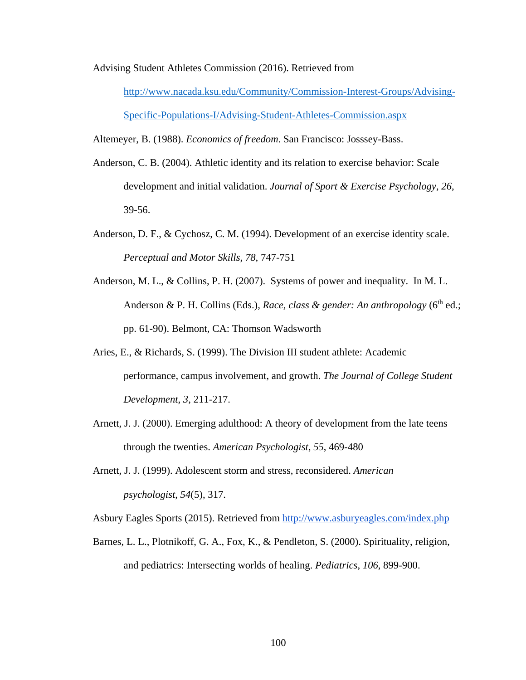Advising Student Athletes Commission (2016). Retrieved from

[http://www.nacada.ksu.edu/Community/Commission-Interest-Groups/Advising-](http://www.nacada.ksu.edu/Community/Commission-Interest-Groups/Advising-Specific-Populations-I/Advising-Student-Athletes-Commission.aspx)[Specific-Populations-I/Advising-Student-Athletes-Commission.aspx](http://www.nacada.ksu.edu/Community/Commission-Interest-Groups/Advising-Specific-Populations-I/Advising-Student-Athletes-Commission.aspx)

Altemeyer, B. (1988). *Economics of freedom*. San Francisco: Josssey-Bass.

- Anderson, C. B. (2004). Athletic identity and its relation to exercise behavior: Scale development and initial validation. *Journal of Sport & Exercise Psychology*, *26*, 39-56.
- Anderson, D. F., & Cychosz, C. M. (1994). Development of an exercise identity scale. *Perceptual and Motor Skills*, *78*, 747-751
- Anderson, M. L., & Collins, P. H. (2007). Systems of power and inequality. In M. L. Anderson & P. H. Collins (Eds.), *Race, class & gender: An anthropology* (6<sup>th</sup> ed.; pp. 61-90). Belmont, CA: Thomson Wadsworth
- Aries, E., & Richards, S. (1999). The Division III student athlete: Academic performance, campus involvement, and growth. *The Journal of College Student Development*, *3*, 211-217.
- Arnett, J. J. (2000). Emerging adulthood: A theory of development from the late teens through the twenties. *American Psychologist*, *55*, 469-480
- Arnett, J. J. (1999). Adolescent storm and stress, reconsidered. *American psychologist*, *54*(5), 317.

Asbury Eagles Sports (2015). Retrieved from<http://www.asburyeagles.com/index.php>

Barnes, L. L., Plotnikoff, G. A., Fox, K., & Pendleton, S. (2000). Spirituality, religion, and pediatrics: Intersecting worlds of healing. *Pediatrics*, *106*, 899-900.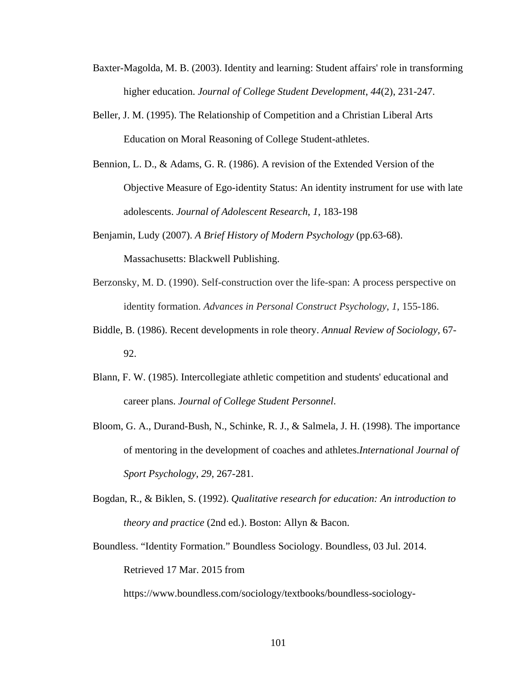- Baxter-Magolda, M. B. (2003). Identity and learning: Student affairs' role in transforming higher education. *Journal of College Student Development*, *44*(2), 231-247.
- Beller, J. M. (1995). The Relationship of Competition and a Christian Liberal Arts Education on Moral Reasoning of College Student-athletes.
- Bennion, L. D., & Adams, G. R. (1986). A revision of the Extended Version of the Objective Measure of Ego-identity Status: An identity instrument for use with late adolescents. *Journal of Adolescent Research*, *1*, 183-198
- Benjamin, Ludy (2007). *A Brief History of Modern Psychology* (pp.63-68). Massachusetts: Blackwell Publishing.
- Berzonsky, M. D. (1990). Self-construction over the life-span: A process perspective on identity formation. *Advances in Personal Construct Psychology*, *1*, 155-186.
- Biddle, B. (1986). Recent developments in role theory. *Annual Review of Sociology,* 67- 92.
- Blann, F. W. (1985). Intercollegiate athletic competition and students' educational and career plans. *Journal of College Student Personnel*.
- Bloom, G. A., Durand-Bush, N., Schinke, R. J., & Salmela, J. H. (1998). The importance of mentoring in the development of coaches and athletes.*International Journal of Sport Psychology*, *29*, 267-281.
- Bogdan, R., & Biklen, S. (1992). *Qualitative research for education: An introduction to theory and practice* (2nd ed.). Boston: Allyn & Bacon.
- Boundless. "Identity Formation." Boundless Sociology. Boundless, 03 Jul. 2014. Retrieved 17 Mar. 2015 from

https://www.boundless.com/sociology/textbooks/boundless-sociology-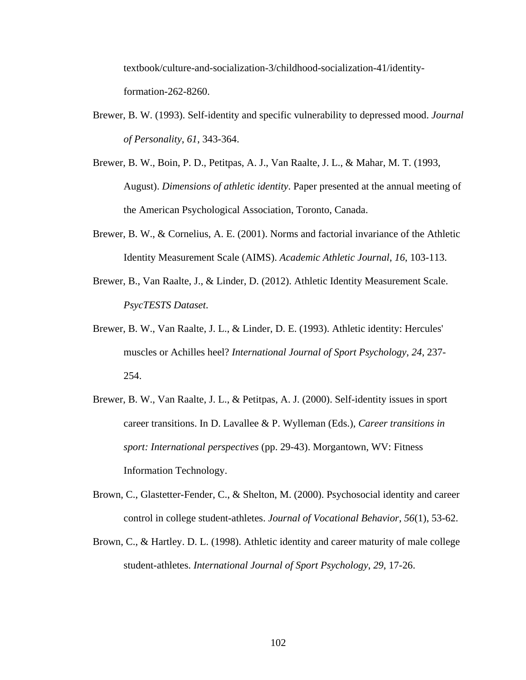textbook/culture-and-socialization-3/childhood-socialization-41/identityformation-262-8260.

- Brewer, B. W. (1993). Self-identity and specific vulnerability to depressed mood. *Journal of Personality*, *61*, 343-364.
- Brewer, B. W., Boin, P. D., Petitpas, A. J., Van Raalte, J. L., & Mahar, M. T. (1993, August). *Dimensions of athletic identity*. Paper presented at the annual meeting of the American Psychological Association, Toronto, Canada.
- Brewer, B. W., & Cornelius, A. E. (2001). Norms and factorial invariance of the Athletic Identity Measurement Scale (AIMS). *Academic Athletic Journal*, *16*, 103-113.
- Brewer, B., Van Raalte, J., & Linder, D. (2012). Athletic Identity Measurement Scale. *PsycTESTS Dataset*.
- Brewer, B. W., Van Raalte, J. L., & Linder, D. E. (1993). Athletic identity: Hercules' muscles or Achilles heel? *International Journal of Sport Psychology*, *24*, 237- 254.
- Brewer, B. W., Van Raalte, J. L., & Petitpas, A. J. (2000). Self-identity issues in sport career transitions. In D. Lavallee & P. Wylleman (Eds.), *Career transitions in sport: International perspectives* (pp. 29-43). Morgantown, WV: Fitness Information Technology.
- Brown, C., Glastetter-Fender, C., & Shelton, M. (2000). Psychosocial identity and career control in college student-athletes. *Journal of Vocational Behavior*, *56*(1), 53-62.
- Brown, C., & Hartley. D. L. (1998). Athletic identity and career maturity of male college student-athletes. *International Journal of Sport Psychology*, *29*, 17-26.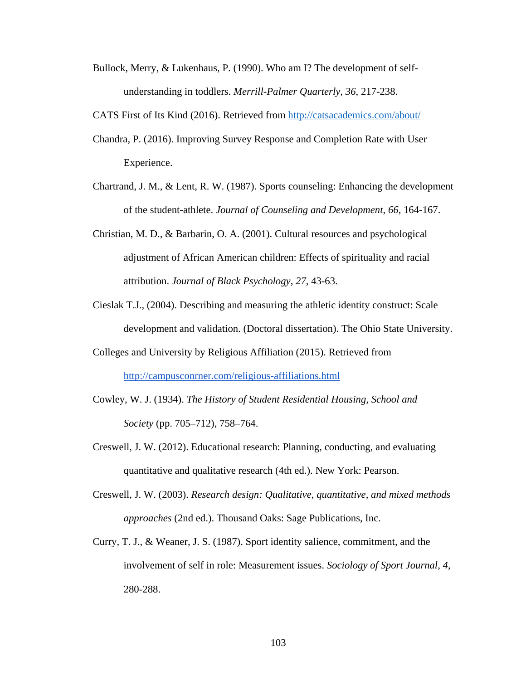Bullock, Merry, & Lukenhaus, P. (1990). Who am I? The development of selfunderstanding in toddlers. *Merrill-Palmer Quarterly*, *36*, 217-238.

CATS First of Its Kind (2016). Retrieved from<http://catsacademics.com/about/>

- Chandra, P. (2016). Improving Survey Response and Completion Rate with User Experience.
- Chartrand, J. M., & Lent, R. W. (1987). Sports counseling: Enhancing the development of the student-athlete. *Journal of Counseling and Development*, *66*, 164-167.
- Christian, M. D., & Barbarin, O. A. (2001). Cultural resources and psychological adjustment of African American children: Effects of spirituality and racial attribution. *Journal of Black Psychology*, *27*, 43-63.
- Cieslak T.J., (2004). Describing and measuring the athletic identity construct: Scale development and validation. (Doctoral dissertation). The Ohio State University.
- Colleges and University by Religious Affiliation (2015). Retrieved from <http://campusconrner.com/religious-affiliations.html>
- Cowley, W. J. (1934). *The History of Student Residential Housing, School and Society* (pp. 705–712), 758–764.
- Creswell, J. W. (2012). Educational research: Planning, conducting, and evaluating quantitative and qualitative research (4th ed.). New York: Pearson.
- Creswell, J. W. (2003). *Research design: Qualitative, quantitative, and mixed methods approaches* (2nd ed.). Thousand Oaks: Sage Publications, Inc.
- Curry, T. J., & Weaner, J. S. (1987). Sport identity salience, commitment, and the involvement of self in role: Measurement issues. *Sociology of Sport Journal*, *4*, 280-288.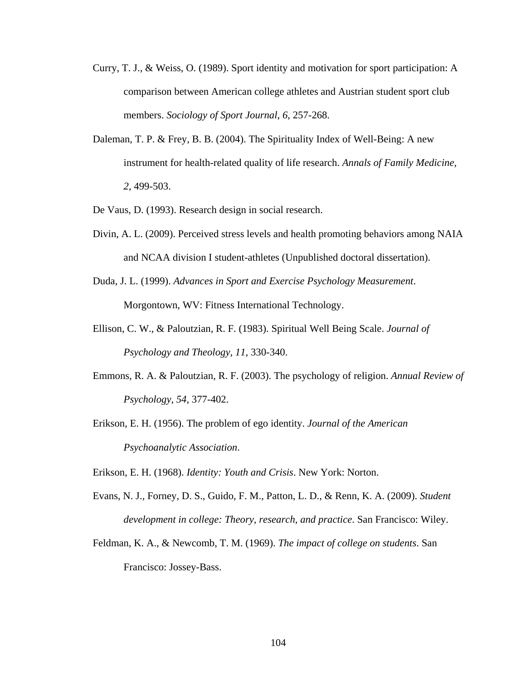- Curry, T. J., & Weiss, O. (1989). Sport identity and motivation for sport participation: A comparison between American college athletes and Austrian student sport club members. *Sociology of Sport Journal*, *6*, 257-268.
- Daleman, T. P. & Frey, B. B. (2004). The Spirituality Index of Well-Being: A new instrument for health-related quality of life research. *Annals of Family Medicine*, *2*, 499-503.
- De Vaus, D. (1993). Research design in social research.
- Divin, A. L. (2009). Perceived stress levels and health promoting behaviors among NAIA and NCAA division I student-athletes (Unpublished doctoral dissertation).
- Duda, J. L. (1999). *Advances in Sport and Exercise Psychology Measurement*. Morgontown, WV: Fitness International Technology.
- Ellison, C. W., & Paloutzian, R. F. (1983). Spiritual Well Being Scale. *Journal of Psychology and Theology*, *11*, 330-340.
- Emmons, R. A. & Paloutzian, R. F. (2003). The psychology of religion. *Annual Review of Psychology*, *54*, 377-402.
- Erikson, E. H. (1956). The problem of ego identity. *Journal of the American Psychoanalytic Association*.

Erikson, E. H. (1968). *Identity: Youth and Crisis*. New York: Norton.

- Evans, N. J., Forney, D. S., Guido, F. M., Patton, L. D., & Renn, K. A. (2009). *Student development in college: Theory, research, and practice*. San Francisco: Wiley.
- Feldman, K. A., & Newcomb, T. M. (1969). *The impact of college on students*. San Francisco: Jossey-Bass.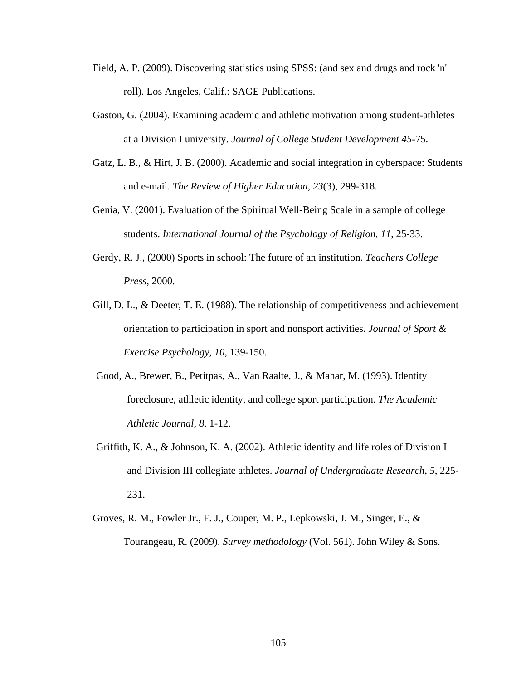- Field, A. P. (2009). Discovering statistics using SPSS: (and sex and drugs and rock 'n' roll). Los Angeles, Calif.: SAGE Publications.
- Gaston, G. (2004). Examining academic and athletic motivation among student-athletes at a Division I university. *Journal of College Student Development 45*-75.
- Gatz, L. B., & Hirt, J. B. (2000). Academic and social integration in cyberspace: Students and e-mail. *The Review of Higher Education*, *23*(3), 299-318.
- Genia, V. (2001). Evaluation of the Spiritual Well-Being Scale in a sample of college students. *International Journal of the Psychology of Religion*, *11*, 25-33.
- Gerdy, R. J., (2000) Sports in school: The future of an institution. *Teachers College Press*, 2000.
- Gill, D. L., & Deeter, T. E. (1988). The relationship of competitiveness and achievement orientation to participation in sport and nonsport activities. *Journal of Sport & Exercise Psychology*, *10*, 139-150.
- Good, A., Brewer, B., Petitpas, A., Van Raalte, J., & Mahar, M. (1993). Identity foreclosure, athletic identity, and college sport participation. *The Academic Athletic Journal, 8*, 1-12.
- Griffith, K. A., & Johnson, K. A. (2002). Athletic identity and life roles of Division I and Division III collegiate athletes. *Journal of Undergraduate Research*, *5*, 225- 231.
- Groves, R. M., Fowler Jr., F. J., Couper, M. P., Lepkowski, J. M., Singer, E., & Tourangeau, R. (2009). *Survey methodology* (Vol. 561). John Wiley & Sons.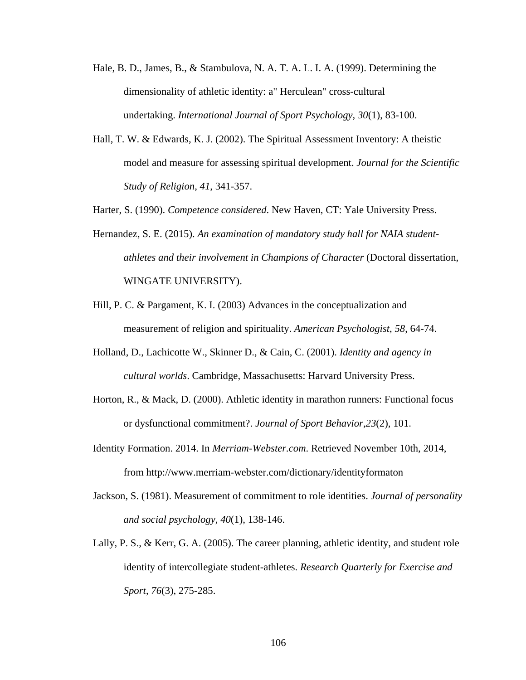- Hale, B. D., James, B., & Stambulova, N. A. T. A. L. I. A. (1999). Determining the dimensionality of athletic identity: a" Herculean" cross-cultural undertaking. *International Journal of Sport Psychology*, *30*(1), 83-100.
- Hall, T. W. & Edwards, K. J. (2002). The Spiritual Assessment Inventory: A theistic model and measure for assessing spiritual development. *Journal for the Scientific Study of Religion*, *41*, 341-357.
- Harter, S. (1990). *Competence considered*. New Haven, CT: Yale University Press.
- Hernandez, S. E. (2015). *An examination of mandatory study hall for NAIA studentathletes and their involvement in Champions of Character* (Doctoral dissertation, WINGATE UNIVERSITY).
- Hill, P. C. & Pargament, K. I. (2003) Advances in the conceptualization and measurement of religion and spirituality. *American Psychologist*, *58*, 64-74.
- Holland, D., Lachicotte W., Skinner D., & Cain, C. (2001). *Identity and agency in cultural worlds*. Cambridge, Massachusetts: Harvard University Press.
- Horton, R., & Mack, D. (2000). Athletic identity in marathon runners: Functional focus or dysfunctional commitment?. *Journal of Sport Behavior*,*23*(2), 101.
- Identity Formation. 2014. In *Merriam-Webster.com*. Retrieved November 10th, 2014, from http://www.merriam-webster.com/dictionary/identityformaton
- Jackson, S. (1981). Measurement of commitment to role identities. *Journal of personality and social psychology*, *40*(1), 138-146.
- Lally, P. S., & Kerr, G. A. (2005). The career planning, athletic identity, and student role identity of intercollegiate student-athletes. *Research Quarterly for Exercise and Sport*, *76*(3), 275-285.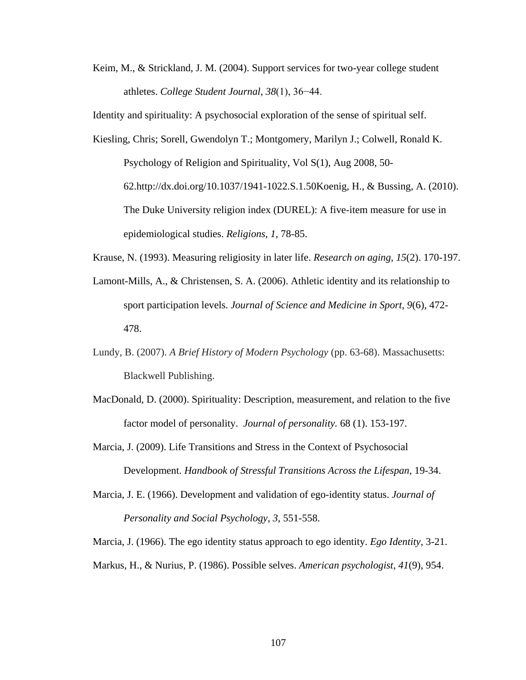Keim, M., & Strickland, J. M. (2004). Support services for two-year college student athletes. *College Student Journal*, *38*(1), 36−44.

Identity and spirituality: A psychosocial exploration of the sense of spiritual self.

- Kiesling, Chris; Sorell, Gwendolyn T.; Montgomery, Marilyn J.; Colwell, Ronald K. Psychology of Religion and Spirituality, Vol S(1), Aug 2008, 50- 62.http://dx.doi.org/10.1037/1941-1022.S.1.50Koenig, H., & Bussing, A. (2010). The Duke University religion index (DUREL): A five-item measure for use in epidemiological studies. *Religions*, *1*, 78-85.
- Krause, N. (1993). Measuring religiosity in later life. *Research on aging*, *15*(2). 170-197.
- Lamont-Mills, A., & Christensen, S. A. (2006). Athletic identity and its relationship to sport participation levels. *Journal of Science and Medicine in Sport*, *9*(6), 472- 478.
- Lundy, B. (2007). *A Brief History of Modern Psychology* (pp. 63-68). Massachusetts: Blackwell Publishing.
- MacDonald, D. (2000). Spirituality: Description, measurement, and relation to the five factor model of personality. *Journal of personality.* 68 (1). 153-197.
- Marcia, J. (2009). Life Transitions and Stress in the Context of Psychosocial Development. *Handbook of Stressful Transitions Across the Lifespan,* 19-34.
- Marcia, J. E. (1966). Development and validation of ego-identity status. *Journal of Personality and Social Psychology*, *3*, 551-558.

Marcia, J. (1966). The ego identity status approach to ego identity. *Ego Identity,* 3-21. Markus, H., & Nurius, P. (1986). Possible selves. *American psychologist*, *41*(9), 954.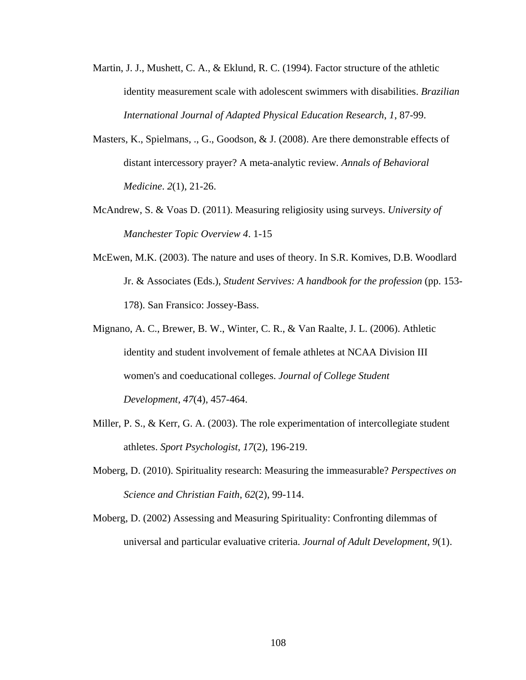- Martin, J. J., Mushett, C. A., & Eklund, R. C. (1994). Factor structure of the athletic identity measurement scale with adolescent swimmers with disabilities. *Brazilian International Journal of Adapted Physical Education Research*, *1*, 87-99.
- Masters, K., Spielmans, ., G., Goodson, & J. (2008). Are there demonstrable effects of distant intercessory prayer? A meta-analytic review*. Annals of Behavioral Medicine*. *2*(1), 21-26.
- McAndrew, S. & Voas D. (2011). Measuring religiosity using surveys. *University of Manchester Topic Overview 4*. 1-15
- McEwen, M.K. (2003). The nature and uses of theory. In S.R. Komives, D.B. Woodlard Jr. & Associates (Eds.), *Student Servives: A handbook for the profession* (pp. 153- 178). San Fransico: Jossey-Bass.
- Mignano, A. C., Brewer, B. W., Winter, C. R., & Van Raalte, J. L. (2006). Athletic identity and student involvement of female athletes at NCAA Division III women's and coeducational colleges. *Journal of College Student Development*, *47*(4), 457-464.
- Miller, P. S., & Kerr, G. A. (2003). The role experimentation of intercollegiate student athletes. *Sport Psychologist*, *17*(2), 196-219.
- Moberg, D. (2010). Spirituality research: Measuring the immeasurable? *Perspectives on Science and Christian Faith*, *62*(2), 99-114.
- Moberg, D. (2002) Assessing and Measuring Spirituality: Confronting dilemmas of universal and particular evaluative criteria. *Journal of Adult Development*, *9*(1).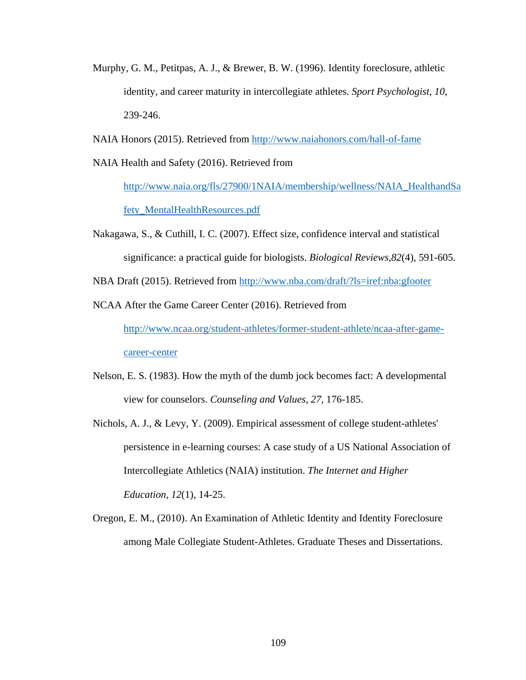- Murphy, G. M., Petitpas, A. J., & Brewer, B. W. (1996). Identity foreclosure, athletic identity, and career maturity in intercollegiate athletes. *Sport Psychologist*, *10*, 239-246.
- NAIA Honors (2015). Retrieved from<http://www.naiahonors.com/hall-of-fame>
- NAIA Health and Safety (2016). Retrieved from

[http://www.naia.org/fls/27900/1NAIA/membership/wellness/NAIA\\_HealthandSa](http://www.naia.org/fls/27900/1NAIA/membership/wellness/NAIA_HealthandSafety_MentalHealthResources.pdf) [fety\\_MentalHealthResources.pdf](http://www.naia.org/fls/27900/1NAIA/membership/wellness/NAIA_HealthandSafety_MentalHealthResources.pdf)

- Nakagawa, S., & Cuthill, I. C. (2007). Effect size, confidence interval and statistical significance: a practical guide for biologists. *Biological Reviews*,*82*(4), 591-605.
- NBA Draft (2015). Retrieved from<http://www.nba.com/draft/?ls=iref:nba:gfooter>
- NCAA After the Game Career Center (2016). Retrieved from

[http://www.ncaa.org/student-athletes/former-student-athlete/ncaa-after-game](http://www.ncaa.org/student-athletes/former-student-athlete/ncaa-after-game-career-center)[career-center](http://www.ncaa.org/student-athletes/former-student-athlete/ncaa-after-game-career-center)

- Nelson, E. S. (1983). How the myth of the dumb jock becomes fact: A developmental view for counselors. *Counseling and Values*, *27*, 176-185.
- Nichols, A. J., & Levy, Y. (2009). Empirical assessment of college student-athletes' persistence in e-learning courses: A case study of a US National Association of Intercollegiate Athletics (NAIA) institution. *The Internet and Higher Education*, *12*(1), 14-25.
- Oregon, E. M., (2010). An Examination of Athletic Identity and Identity Foreclosure among Male Collegiate Student-Athletes. Graduate Theses and Dissertations.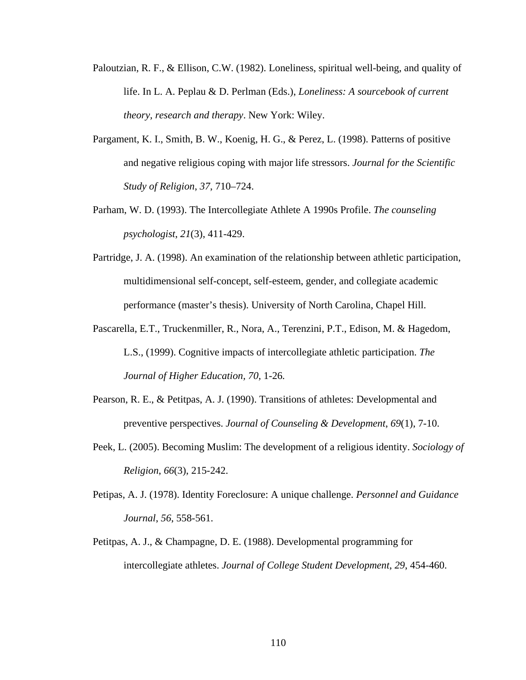- Paloutzian, R. F., & Ellison, C.W. (1982). Loneliness, spiritual well-being, and quality of life. In L. A. Peplau & D. Perlman (Eds.), *Loneliness: A sourcebook of current theory, research and therapy*. New York: Wiley.
- Pargament, K. I., Smith, B. W., Koenig, H. G., & Perez, L. (1998). Patterns of positive and negative religious coping with major life stressors. *Journal for the Scientific Study of Religion*, *37*, 710–724.
- Parham, W. D. (1993). The Intercollegiate Athlete A 1990s Profile. *The counseling psychologist*, *21*(3), 411-429.
- Partridge, J. A. (1998). An examination of the relationship between athletic participation, multidimensional self-concept, self-esteem, gender, and collegiate academic performance (master's thesis). University of North Carolina, Chapel Hill.
- Pascarella, E.T., Truckenmiller, R., Nora, A., Terenzini, P.T., Edison, M. & Hagedom, L.S., (1999). Cognitive impacts of intercollegiate athletic participation. *The Journal of Higher Education, 70,* 1-26*.*
- Pearson, R. E., & Petitpas, A. J. (1990). Transitions of athletes: Developmental and preventive perspectives. *Journal of Counseling & Development*, *69*(1), 7-10.
- Peek, L. (2005). Becoming Muslim: The development of a religious identity. *Sociology of Religion*, *66*(3), 215-242.
- Petipas, A. J. (1978). Identity Foreclosure: A unique challenge. *Personnel and Guidance Journal*, *56*, 558-561.
- Petitpas, A. J., & Champagne, D. E. (1988). Developmental programming for intercollegiate athletes. *Journal of College Student Development*, *29*, 454-460.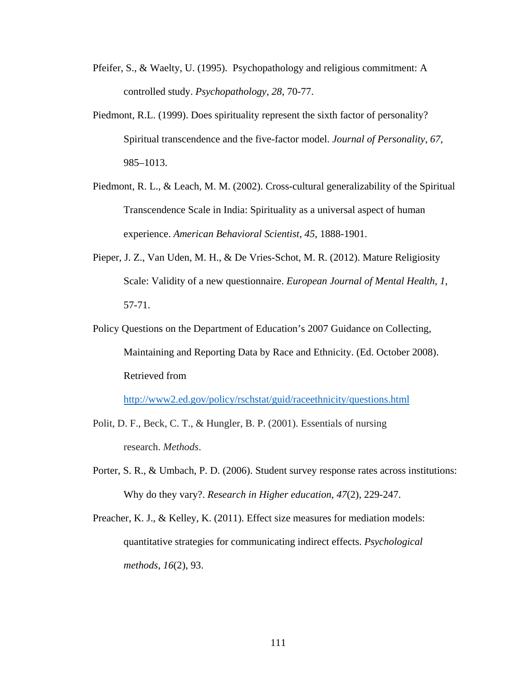- Pfeifer, S., & Waelty, U. (1995). Psychopathology and religious commitment: A controlled study. *Psychopathology, 28*, 70-77.
- Piedmont, R.L. (1999). Does spirituality represent the sixth factor of personality? Spiritual transcendence and the five-factor model. *Journal of Personality*, *67*, 985–1013.
- Piedmont, R. L., & Leach, M. M. (2002). Cross-cultural generalizability of the Spiritual Transcendence Scale in India: Spirituality as a universal aspect of human experience. *American Behavioral Scientist*, *45*, 1888-1901.
- Pieper, J. Z., Van Uden, M. H., & De Vries-Schot, M. R. (2012). Mature Religiosity Scale: Validity of a new questionnaire. *European Journal of Mental Health*, *1*, 57-71.
- Policy Questions on the Department of Education's 2007 Guidance on Collecting, Maintaining and Reporting Data by Race and Ethnicity. (Ed. October 2008). Retrieved from

<http://www2.ed.gov/policy/rschstat/guid/raceethnicity/questions.html>

- Polit, D. F., Beck, C. T., & Hungler, B. P. (2001). Essentials of nursing research. *Methods*.
- Porter, S. R., & Umbach, P. D. (2006). Student survey response rates across institutions: Why do they vary?. *Research in Higher education*, *47*(2), 229-247.
- Preacher, K. J., & Kelley, K. (2011). Effect size measures for mediation models: quantitative strategies for communicating indirect effects. *Psychological methods*, *16*(2), 93.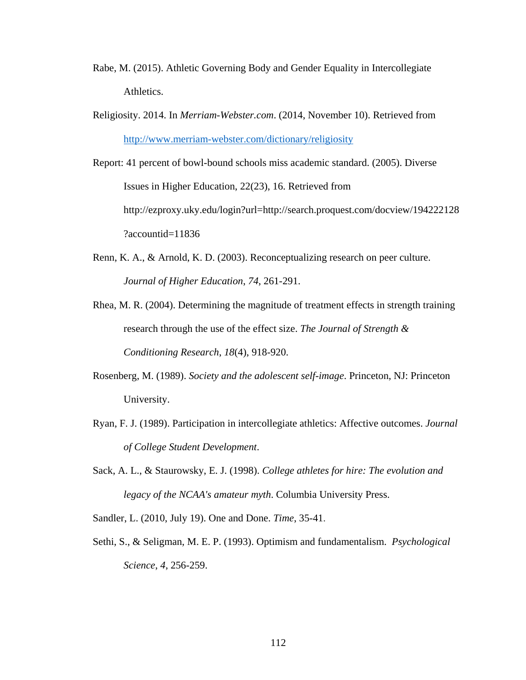- Rabe, M. (2015). Athletic Governing Body and Gender Equality in Intercollegiate Athletics.
- Religiosity. 2014. In *Merriam-Webster.com*. (2014, November 10). Retrieved from <http://www.merriam-webster.com/dictionary/religiosity>
- Report: 41 percent of bowl-bound schools miss academic standard. (2005). Diverse Issues in Higher Education, 22(23), 16. Retrieved from http://ezproxy.uky.edu/login?url=http://search.proquest.com/docview/194222128 ?accountid=11836
- Renn, K. A., & Arnold, K. D. (2003). Reconceptualizing research on peer culture. *Journal of Higher Education*, *74*, 261-291.
- Rhea, M. R. (2004). Determining the magnitude of treatment effects in strength training research through the use of the effect size. *The Journal of Strength & Conditioning Research*, *18*(4), 918-920.
- Rosenberg, M. (1989). *Society and the adolescent self-image*. Princeton, NJ: Princeton University.
- Ryan, F. J. (1989). Participation in intercollegiate athletics: Affective outcomes. *Journal of College Student Development*.
- Sack, A. L., & Staurowsky, E. J. (1998). *College athletes for hire: The evolution and legacy of the NCAA's amateur myth*. Columbia University Press.
- Sandler, L. (2010, July 19). One and Done. *Time*, 35-41.
- Sethi, S., & Seligman, M. E. P. (1993). Optimism and fundamentalism. *Psychological Science*, *4*, 256-259.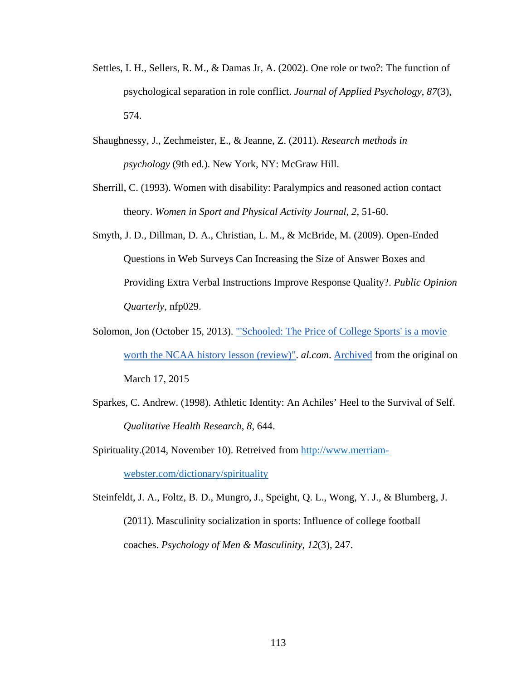- Settles, I. H., Sellers, R. M., & Damas Jr, A. (2002). One role or two?: The function of psychological separation in role conflict. *Journal of Applied Psychology*, *87*(3), 574.
- Shaughnessy, J., Zechmeister, E., & Jeanne, Z. (2011). *Research methods in psychology* (9th ed.). New York, NY: [McGraw Hill.](http://en.wikipedia.org/wiki/McGraw_Hill)
- Sherrill, C. (1993). Women with disability: Paralympics and reasoned action contact theory. *Women in Sport and Physical Activity Journal*, *2*, 51-60.
- Smyth, J. D., Dillman, D. A., Christian, L. M., & McBride, M. (2009). Open-Ended Questions in Web Surveys Can Increasing the Size of Answer Boxes and Providing Extra Verbal Instructions Improve Response Quality?. *Public Opinion Quarterly*, nfp029.
- Solomon, Jon (October 15, 2013)[.](http://www.al.com/sports/index.ssf/2013/10/schooled_the_price_of_college.html) "Schooled: The Price of College Sports' is a movie [worth the NCAA history](http://www.al.com/sports/index.ssf/2013/10/schooled_the_price_of_college.html) lesson (review)". *al.com*. [Archived](http://www.webcitation.org/6X5Q4doWb) from the original on March 17, 2015
- Sparkes, C. Andrew. (1998). Athletic Identity: An Achiles' Heel to the Survival of Self. *Qualitative Health Research*, *8*, 644.

Spirituality.(2014, November 10). Retreived from [http://www.merriam](http://www.merriam-webster.com/dictionary/spirituality)[webster.com/dictionary/spirituality](http://www.merriam-webster.com/dictionary/spirituality)

Steinfeldt, J. A., Foltz, B. D., Mungro, J., Speight, Q. L., Wong, Y. J., & Blumberg, J. (2011). Masculinity socialization in sports: Influence of college football coaches. *Psychology of Men & Masculinity*, *12*(3), 247.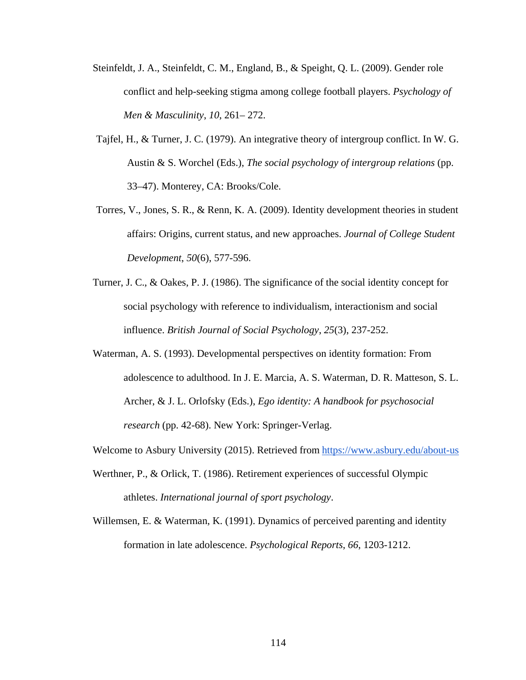- Steinfeldt, J. A., Steinfeldt, C. M., England, B., & Speight, Q. L. (2009). Gender role conflict and help-seeking stigma among college football players. *Psychology of Men & Masculinity*, *10*, 261– 272.
- Tajfel, H., & Turner, J. C. (1979). An integrative theory of intergroup conflict. In W. G. Austin & S. Worchel (Eds.), *The social psychology of intergroup relations* (pp. 33–47). Monterey, CA: Brooks/Cole.
- Torres, V., Jones, S. R., & Renn, K. A. (2009). Identity development theories in student affairs: Origins, current status, and new approaches. *Journal of College Student Development*, *50*(6), 577-596.
- Turner, J. C., & Oakes, P. J. (1986). The significance of the social identity concept for social psychology with reference to individualism, interactionism and social influence. *British Journal of Social Psychology*, *25*(3), 237-252.
- Waterman, A. S. (1993). Developmental perspectives on identity formation: From adolescence to adulthood. In J. E. Marcia, A. S. Waterman, D. R. Matteson, S. L. Archer, & J. L. Orlofsky (Eds.), *Ego identity: A handbook for psychosocial research* (pp. 42-68). New York: Springer-Verlag.

Welcome to Asbury University (2015). Retrieved from <https://www.asbury.edu/about-us>

- Werthner, P., & Orlick, T. (1986). Retirement experiences of successful Olympic athletes. *International journal of sport psychology*.
- Willemsen, E. & Waterman, K. (1991). Dynamics of perceived parenting and identity formation in late adolescence. *Psychological Reports*, *66*, 1203-1212.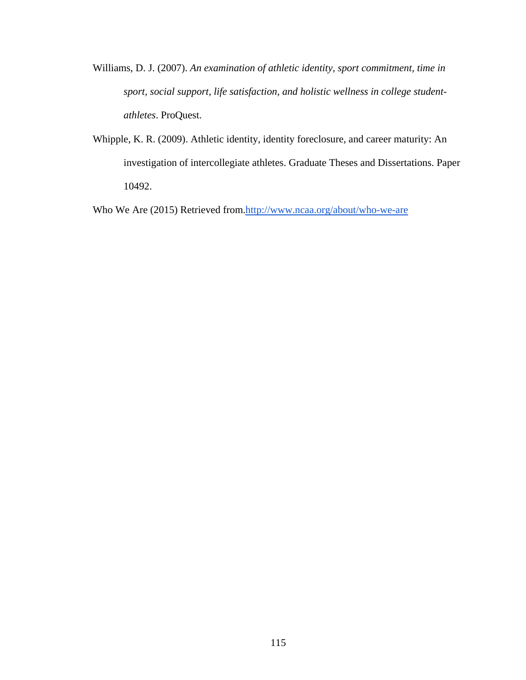- Williams, D. J. (2007). *An examination of athletic identity, sport commitment, time in sport, social support, life satisfaction, and holistic wellness in college studentathletes*. ProQuest.
- Whipple, K. R. (2009). Athletic identity, identity foreclosure, and career maturity: An investigation of intercollegiate athletes. Graduate Theses and Dissertations. Paper 10492.

Who We Are (2015) Retrieved from[.http://www.ncaa.org/about/who-we-are](http://www.ncaa.org/about/who-we-are)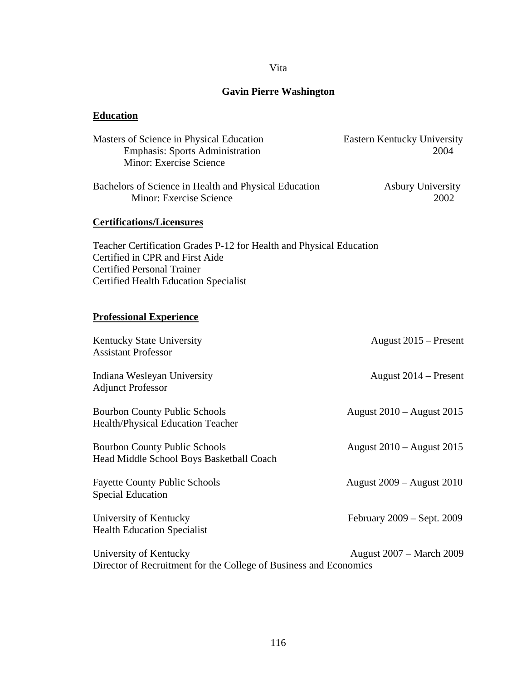### Vita

## **Gavin Pierre Washington**

# **Education**

| Masters of Science in Physical Education<br><b>Emphasis: Sports Administration</b><br>Minor: Exercise Science                                                                               | <b>Eastern Kentucky University</b><br>2004 |
|---------------------------------------------------------------------------------------------------------------------------------------------------------------------------------------------|--------------------------------------------|
| Bachelors of Science in Health and Physical Education<br>Minor: Exercise Science                                                                                                            | <b>Asbury University</b><br>2002           |
| <b>Certifications/Licensures</b>                                                                                                                                                            |                                            |
| Teacher Certification Grades P-12 for Health and Physical Education<br>Certified in CPR and First Aide<br><b>Certified Personal Trainer</b><br><b>Certified Health Education Specialist</b> |                                            |
| <b>Professional Experience</b>                                                                                                                                                              |                                            |
| Kentucky State University<br><b>Assistant Professor</b>                                                                                                                                     | August 2015 – Present                      |
| Indiana Wesleyan University<br><b>Adjunct Professor</b>                                                                                                                                     | August 2014 – Present                      |
| <b>Bourbon County Public Schools</b><br>Health/Physical Education Teacher                                                                                                                   | August 2010 – August 2015                  |
| <b>Bourbon County Public Schools</b><br>Head Middle School Boys Basketball Coach                                                                                                            | August 2010 – August 2015                  |
| <b>Fayette County Public Schools</b><br><b>Special Education</b>                                                                                                                            | August 2009 – August 2010                  |
| University of Kentucky<br><b>Health Education Specialist</b>                                                                                                                                | February 2009 – Sept. 2009                 |
| University of Kentucky<br>Director of Recruitment for the College of Business and Economics                                                                                                 | <b>August 2007 – March 2009</b>            |